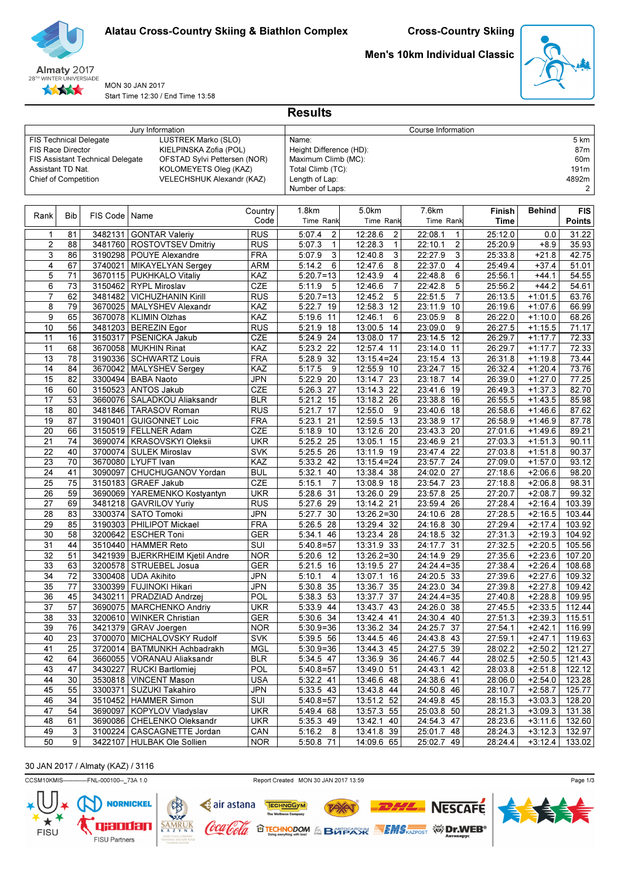

Men's 10km Individual Classic



MON 30 JAN 2017 Start Time 12:30 / End Time 13:58

|                               |                       |                                  | Jury Information                                       | Course Information       |                                    |                                |                                    |                    |                        |                  |  |  |
|-------------------------------|-----------------------|----------------------------------|--------------------------------------------------------|--------------------------|------------------------------------|--------------------------------|------------------------------------|--------------------|------------------------|------------------|--|--|
| <b>FIS Technical Delegate</b> |                       |                                  | LUSTREK Marko (SLO)                                    |                          | Name:                              |                                |                                    |                    |                        | 5 km             |  |  |
| <b>FIS Race Director</b>      |                       |                                  | KIELPINSKA Zofia (POL)                                 |                          | Height Difference (HD):            |                                |                                    |                    |                        | 87m              |  |  |
|                               |                       | FIS Assistant Technical Delegate | OFSTAD Sylvi Pettersen (NOR)                           |                          | Maximum Climb (MC):                |                                |                                    |                    |                        | 60m              |  |  |
| Assistant TD Nat.             |                       |                                  | KOLOMEYETS Oleg (KAZ)                                  |                          | Total Climb (TC):                  |                                |                                    |                    |                        | 191m             |  |  |
| Chief of Competition          |                       |                                  | VELECHSHUK Alexandr (KAZ)                              |                          | Length of Lap:                     |                                |                                    |                    |                        | 4892m            |  |  |
|                               |                       |                                  |                                                        |                          | Number of Laps:                    |                                |                                    |                    |                        | 2                |  |  |
|                               |                       |                                  |                                                        |                          |                                    |                                |                                    |                    |                        |                  |  |  |
|                               |                       |                                  |                                                        | Country                  | 1.8km                              | 5.0km                          | 7.6km                              | Finish             | Behind                 | <b>FIS</b>       |  |  |
| Rank                          | <b>Bib</b>            | FIS Code   Name                  |                                                        | Code                     | Time Rank                          | Time Rank                      | Time Rank                          | Time               |                        | <b>Points</b>    |  |  |
|                               |                       |                                  |                                                        |                          |                                    |                                |                                    |                    |                        |                  |  |  |
| 1                             | 81                    | 3482131                          | GONTAR Valeriy                                         | <b>RUS</b>               | 5:07.4<br>2                        | 12:28.6<br>2                   | 22:08.1<br>1                       | 25:12.0            | 0.0                    | 31.22            |  |  |
| $\overline{2}$                | 88                    |                                  | 3481760   ROSTOVTSEV Dmitriy                           | <b>RUS</b>               | 5:07.3<br>$\mathbf{1}$             | 12:28.3<br>$\mathbf{1}$        | $\overline{\mathbf{c}}$<br>22:10.1 | 25:20.9            | $+8.9$                 | 35.93            |  |  |
| 3                             | 86                    |                                  | 3190298 POUYE Alexandre                                | <b>FRA</b>               | 5:07.9<br>3                        | 12:40.8<br>3                   | 3<br>22:27.9                       | 25:33.8            | $+21.8$                | 42.75            |  |  |
| 4                             | 67                    |                                  | 3740021 MIKAYELYAN Sergey                              | <b>ARM</b>               | 6<br>5:14.2                        | 12:47.6<br>8                   | 22:37.0<br>4                       | 25:49.4            | $+37.4$                | 51.01            |  |  |
| 5                             | 71                    |                                  | 3670115   PUKHKALO Vitaliy                             | KAZ                      | $5:20.7=13$                        | 12:43.9<br>4                   | 22:48.8<br>6                       | 25:56.1            | $+44.1$                | 54.55            |  |  |
| 6                             | 73                    |                                  | 3150462   RYPL Miroslav                                | CZE                      | 5:11.9<br>5                        | 12:46.6<br>7                   | 5<br>22:42.8                       | 25:56.2            | $+44.2$                | 54.61            |  |  |
| 7                             | 62                    |                                  | 3481482   VICHUZHANIN Kirill                           | <b>RUS</b>               | $5:20.7=13$                        | 12:45.2<br>5                   | 22:51.5<br>$\overline{7}$          | 26:13.5            | $+1:01.5$              | 63.76            |  |  |
| 8                             | 79                    | 3670025                          | MALYSHEV Alexandr                                      | KAZ                      | 5:22.7<br>19                       | $12:58.3$ 12                   | 23:11.9 10                         | 26:19.6            | $+1:07.6$              | 66.99            |  |  |
| 9                             | 65                    |                                  | 3670078   KLIMIN Olzhas                                | KAZ                      | 5:19.6<br>11                       | 12:46.1<br>6                   | 23:05.9<br>8                       | 26:22.0            | $+1:10.0$              | 68.26            |  |  |
| 10                            | 56                    | 3150317                          | 3481203   BEREZIN Egor                                 | <b>RUS</b>               | 5:21.9 18                          | 13:00.5<br>14                  | 23:09.0<br>9                       | 26:27.5            | $+1:15.5$              | 71.17            |  |  |
| 11                            | 16                    |                                  | <b>PSENICKA Jakub</b>                                  | <b>CZE</b>               | 5:24.9 24                          | 13:08.0 17                     | 23:14.5 12                         | 26:29.7            | $+1:17.7$              | 72.33            |  |  |
| 11                            | 68                    |                                  | 3670058   MUKHIN Rinat                                 | KAZ                      | 5:23.2 22                          | 12:57.4<br>11                  | 23:14.0 11                         | 26:29.7            | $+1:17.7$              | 72.33            |  |  |
| 13                            | 78                    |                                  | 3190336   SCHWARTZ Louis                               | <b>FRA</b>               | 5:28.9<br>32                       | $13:15.4=24$                   | 23:15.4 13                         | 26:31.8            | $+1:19.8$              | 73.44            |  |  |
| 14                            | 84                    | 3670042                          | MALYSHEV Sergey                                        | KAZ                      | 5:17.5<br>9                        | 12:55.9 10                     | 23:24.7 15                         | 26:32.4            | $+1:20.4$              | 73.76            |  |  |
| 15                            | 82                    |                                  | 3300494   BABA Naoto                                   | JPN                      | 5:22.9 20                          | 13:14.7 23                     | 23:18.7 14                         | 26:39.0            | $+1:27.0$              | 77.25            |  |  |
| 16                            | 60                    |                                  | 3150523 ANTOS Jakub                                    | CZE                      | 5:26.3 27                          | $13:14.3$ 22                   | 23:41.6 19                         | 26:49.3            | $+1:37.3$              | 82.70            |  |  |
| 17                            | 53                    |                                  | 3660076   SALADKOU Aliaksandr                          | <b>BLR</b>               | $5:21.2$ 15                        | 13:18.2 26                     | 23:38.8 16                         | 26:55.5            | $+1:43.5$              | 85.98            |  |  |
| 18                            | 80                    |                                  | 3481846   TARASOV Roman                                | RUS                      | 5:21.7<br>17                       | 12:55.0<br>9                   | 23:40.6 18                         | 26:58.6            | $+1:46.6$              | 87.62            |  |  |
| 19                            | 87                    |                                  | 3190401 GUIGONNET Loic                                 | <b>FRA</b>               | 5:23.1<br>21                       | 12:59.5<br>13                  | 23:38.9 17                         | 26:58.9            | $+1:46.9$              | 87.78            |  |  |
| 20                            | 66<br>$\overline{74}$ |                                  | 3150519   FELLNER Adam                                 | CZE                      | 5:18.9 10                          | 13:12.6 20                     | 23:43.3 20                         | 27:01.6            | $+1:49.6$              | 89.21            |  |  |
| 21<br>22                      | 40                    |                                  | 3690074   KRASOVSKYI Oleksii<br>3700074 SULEK Miroslav | <b>UKR</b><br><b>SVK</b> | $5:25.2$ 25                        | 13:05.1<br>15<br>13:11.9<br>19 | 23:46.9 21<br>$23:47.4$ 22         | 27:03.3<br>27:03.8 | $+1:51.3$<br>$+1:51.8$ | 90.11            |  |  |
| 23                            | 70                    |                                  | 3670080 LYUFT Ivan                                     | KAZ                      | 5:25.5 26<br>42                    | $13:15.4=24$                   | 23:57.7 24                         | 27:09.0            | $+1:57.0$              | 90.37<br>93.12   |  |  |
| 24                            | 41                    | 3090097                          |                                                        |                          | 5:33.2<br>40                       |                                | 24:02.0 27                         |                    |                        |                  |  |  |
| 25                            | $\overline{75}$       |                                  | CHUCHUGANOV Yordan                                     | <b>BUL</b><br>CZE        | 5:32.1<br>5:15.1<br>$\overline{7}$ | 13:38.4 38<br>13:08.9<br>18    | 23:54.7 23                         | 27:18.6            | $+2:06.6$<br>$+2:06.8$ | 98.20<br>98.31   |  |  |
|                               |                       |                                  | 3150183 GRAEF Jakub                                    |                          |                                    |                                |                                    | 27:18.8            |                        |                  |  |  |
| 26<br>27                      | 59<br>69              |                                  | 3690069   YAREMENKO Kostyantyn                         | <b>UKR</b>               | 5:28.6<br>31                       | 13:26.0 29                     | 23:57.8 25                         | 27:20.7            | $+2:08.7$              | 99.32            |  |  |
| 28                            | 83                    | 3481218                          | GAVRILOV Yuriy<br>3300374 SATO Tomoki                  | <b>RUS</b><br><b>JPN</b> | 5:27.6<br>29<br>5:27.7<br>30       | 13:14.2 21<br>$13:26.2=30$     | 23:59.4 26<br>24:10.6 28           | 27:28.4<br>27:28.5 | $+2:16.4$<br>$+2:16.5$ | 103.39<br>103.44 |  |  |
| 29                            | 85                    |                                  | 3190303   PHILIPOT Mickael                             | <b>FRA</b>               | 28                                 |                                | 24:16.8 30                         |                    |                        | 103.92           |  |  |
| 30                            | 58                    |                                  | 3200642 ESCHER Toni                                    | <b>GER</b>               | 5:26.5<br>5:34.1<br>46             | 13:29.4 32<br>13:23.4 28       | 24:18.5 32                         | 27:29.4<br>27:31.3 | $+2:17.4$<br>$+2:19.3$ | 104.92           |  |  |
| 31                            | 44                    |                                  | 3510440   HAMMER Reto                                  | SUI                      | $5:40.8=57$                        | $13:31.9$ 33                   | 24:17.7 31                         | 27:32.5            | $+2:20.5$              | 105.56           |  |  |
| 32                            | 51                    |                                  | 3421939   BJERKRHEIM Kjetil Andre                      | <b>NOR</b>               | 5:20.6 12                          | $13:26.2=30$                   | 24:14.9 29                         | 27:35.6            | $+2:23.6$              | 107.20           |  |  |
| 33                            | 63                    |                                  | 3200578 STRUEBEL Josua                                 | <b>GER</b>               | $5:21.5$ 16                        | 13:19.5 27                     | $24:24.4=35$                       | 27:38.4            | $+2:26.4$              | 108.68           |  |  |
| 34                            | $\overline{72}$       |                                  | 3300408 UDA Akihito                                    | <b>JPN</b>               | 5:10.1<br>4                        | 13:07.1<br>16                  | 24:20.5 33                         | 27:39.6            | $+2:27.6$              | 109.32           |  |  |
| 35                            | 77                    |                                  | 3300399 FUJINOKI Hikari                                | <b>JPN</b>               | 5:30.8 35                          | 13:36.7 35                     | 24:23.0 34                         | 27:39.8            | $+2:27.8$              | 109.42           |  |  |
| 36                            | 45                    |                                  | 3430211   PRADZIAD Andrzej                             | POL                      | 5:38.3 53                          | 13:37.7 37                     | $24:24.4=35$                       | 27:40.8            | $+2:28.8$              | 109.95           |  |  |
| 37                            | 57                    |                                  | 3690075 MARCHENKO Andriy                               | <b>UKR</b>               | 5:33.9 44                          | $13:43.7$ 43                   | 24:26.0 38                         | 27:45.5            | $+2:33.5$              | 112.44           |  |  |
| 38                            | 33                    |                                  | 3200610   WINKER Christian                             | GER                      | 5:30.6 34                          | 13:42.4 41                     | 24:30.4 40                         | 27:51.3            | $+2:39.3$              | 115.51           |  |  |
| 39                            | 76                    |                                  | 3421379 GRAV Joergen                                   | <b>NOR</b>               | $5:30.9=36$                        | 13:36.2 34                     | 24:25.7 37                         | 27:54.1            | $+2:42.1$              | 116.99           |  |  |
| 40                            | 23                    |                                  | 3700070   MICHALOVSKY Rudolf                           | <b>SVK</b>               | $\overline{5:}39.5$ 56             | 13:44.5 46                     | $24:43.8$ 43                       | 27:59.1            | $+2:47.1$              | 119.63           |  |  |
| 41                            | 25                    |                                  | 3720014   BATMUNKH Achbadrakh                          | <b>MGL</b>               | $5:30.9=36$                        | 13:44.3 45                     | 24:27.5 39                         | 28:02.2            | $+2:50.2$              | 121.27           |  |  |
| 42                            | 64                    |                                  | 3660055   VORANAU Aliaksandr                           | <b>BLR</b>               | 5:34.5 47                          | 13:36.9 36                     | 24:46.7 44                         | 28:02.5            | $+2:50.5$              | 121.43           |  |  |
| 43                            | 47                    |                                  | 3430227   RUCKI Bartlomiej                             | POL                      | $5:40.8 = 57$                      | 13:49.0 51                     | 24:43.1 42                         | 28:03.8            | $+2:51.8$              | 122.12           |  |  |
| 44                            | 30                    |                                  | 3530818   VINCENT Mason                                | <b>USA</b>               | 5:32.2 41                          | 13:46.6 48                     | 24:38.6 41                         | 28:06.0            | $+2:54.0$              | 123.28           |  |  |
| 45                            | 55                    |                                  | 3300371   SUZUKI Takahiro                              | <b>JPN</b>               | 5:33.5 43                          | 13:43.8 44                     | 24:50.8 46                         | 28:10.7            | $+2:58.7$              | 125.77           |  |  |
| 46                            | 34                    |                                  | 3510452   HAMMER Simon                                 | SUI                      | $5:40.8=57$                        | 13:51.2 52                     | $24:49.8$ 45                       | 28:15.3            | $+3:03.3$              | 128.20           |  |  |
| 47                            | 54                    |                                  | 3690097 KOPYLOV Vladyslav                              | <b>UKR</b>               | 5:49.4 68                          | 13:57.3 55                     | 25:03.8 50                         | 28:21.3            | $+3:09.3$              | 131.38           |  |  |
| 48                            | 61                    |                                  | 3690086   CHELENKO Oleksandr                           | <b>UKR</b>               | $5:35.3$ 49                        | 13:42.1 40                     | 24:54.3 47                         | 28:23.6            | $+3:11.6$              | 132.60           |  |  |
| 49                            | 3                     |                                  | 3100224   CASCAGNETTE Jordan                           | CAN                      | 5:16.2 8                           | 13:41.8 39                     | 25:01.7 48                         | 28:24.3            | $+3:12.3$              | 132.97           |  |  |
| 50                            | 9                     |                                  | 3422107   HULBAK Ole Sollien                           | <b>NOR</b>               | 5:50.8 71                          | 14:09.6 65                     | 25:02.7 49                         | 28:24.4            | $+3:12.4$              | 133.02           |  |  |

**Results** 

# 30 JAN 2017 / Almaty (KAZ) / 3116

 $\mathbf{I}$ 

CCSM10KMIS------------FNL-000100--\_73A 1.0 Report Created MON 30 JAN 2017 13:59

**TAY** 

**OTECHNODOM & BOTECATSK SEMS REPORT TO DIVEB®** 

TECHNOGYM

c air astana

'lool*a* 

1 ocu

**NORNICKEL** FISU  $SAMR$ qjaodan FISU Partners



**NESCAFE**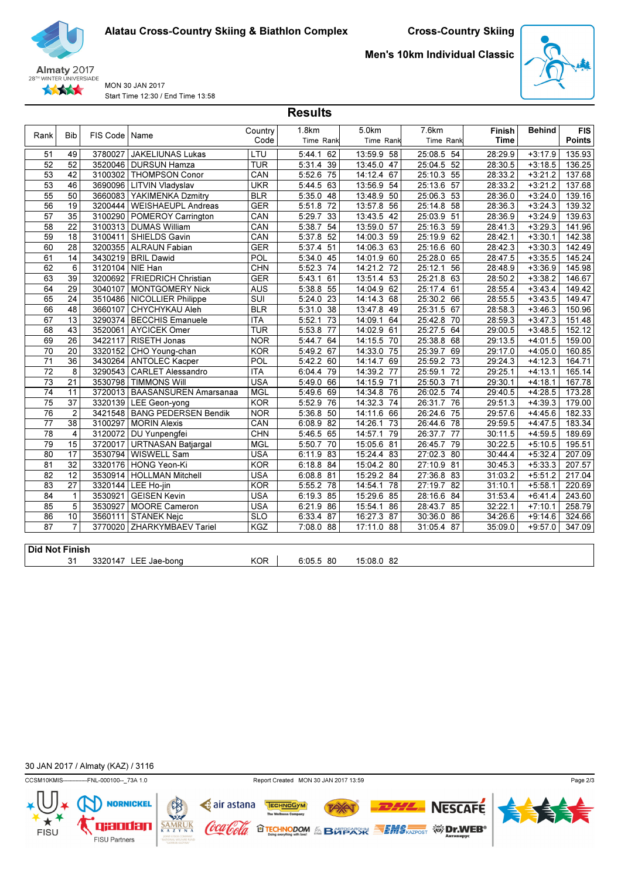

MON 30 JAN 2017 Start Time 12:30 / End Time 13:58 Men's 10km Individual Classic



| Rank                  | <b>Bib</b>      | FIS Code | Name                         | Country    | 1.8km        | 5.0km         | 7.6km         | Finish  | <b>Behind</b> | <b>FIS</b>    |
|-----------------------|-----------------|----------|------------------------------|------------|--------------|---------------|---------------|---------|---------------|---------------|
|                       |                 |          |                              | Code       | Time Rank    | Time Rank     | Time Rank     | Time    |               | <b>Points</b> |
| 51                    | 49              | 3780027  | <b>JAKELIUNAS Lukas</b>      | LTU        | 5:44.1 62    | 13:59.9 58    | 25:08.5 54    | 28:29.9 | $+3:17.9$     | 135.93        |
| 52                    | 52              | 3520046  | DURSUN Hamza                 | <b>TUR</b> | $5:31.4$ 39  | 13:45.0 47    | 25:04.5 52    | 28:30.5 | $+3:18.5$     | 136.25        |
| 53                    | 42              | 3100302  | THOMPSON Conor               | CAN        | 5:52.6 75    | 14:12.4 67    | 25:10.3 55    | 28:33.2 | $+3:21.2$     | 137.68        |
| 53                    | 46              | 3690096  | <b>LITVIN Vladyslav</b>      | <b>UKR</b> | 5:44.5 63    | 13:56.9 54    | 25:13.6 57    | 28:33.2 | $+3:21.2$     | 137.68        |
| 55                    | 50              | 3660083  | YAKIMENKA Dzmitry            | <b>BLR</b> | $5:35.0$ 48  | 13:48.9 50    | 25:06.3 53    | 28:36.0 | $+3:24.0$     | 139.16        |
| 56                    | 19              | 3200444  | <b>WEISHAEUPL Andreas</b>    | <b>GER</b> | 5:51.8<br>72 | 13:57.8 56    | 25:14.8 58    | 28:36.3 | $+3:24.3$     | 139.32        |
| 57                    | 35              | 3100290  | <b>POMEROY Carrington</b>    | CAN        | 5:29.7 33    | 13:43.5 42    | 25:03.9 51    | 28:36.9 | $+3:24.9$     | 139.63        |
| 58                    | $\overline{22}$ | 3100313  | DUMAS William                | CAN        | 5:38.7<br>54 | 13:59.0 57    | 25:16.3 59    | 28:41.3 | $+3:29.3$     | 141.96        |
| 59                    | 18              | 3100411  | SHIELDS Gavin                | CAN        | $5:37.8$ 52  | 14:00.3 59    | 25:19.9 62    | 28:42.1 | $+3:30.1$     | 142.38        |
| 60                    | 28              | 3200355  | ALRAUN Fabian                | <b>GER</b> | $5:37.4$ 51  | 14:06.3 63    | 25:16.6 60    | 28:42.3 | $+3:30.3$     | 142.49        |
| 61                    | 14              | 3430219  | <b>BRIL Dawid</b>            | <b>POL</b> | $5:34.0$ 45  | 14:01.9 60    | 25:28.0 65    | 28:47.5 | $+3:35.5$     | 145.24        |
| 62                    | 6               | 3120104  | NIE Han                      | <b>CHN</b> | $5:52.3$ 74  | 14:21.2 72    | 25:12.1<br>56 | 28:48.9 | $+3:36.9$     | 145.98        |
| 63                    | 39              | 3200692  | <b>FRIEDRICH Christian</b>   | <b>GER</b> | 5:43.1<br>61 | 13:51.4<br>53 | 25:21.8 63    | 28:50.2 | $+3:38.2$     | 146.67        |
| 64                    | 29              | 3040107  | <b>MONTGOMERY Nick</b>       | <b>AUS</b> | $5:38.8$ 55  | 14:04.9 62    | 25:17.4 61    | 28:55.4 | $+3:43.4$     | 149.42        |
| 65                    | $\overline{24}$ | 3510486  | NICOLLIER Philippe           | SUI        | $5:24.0$ 23  | 14:14.3 68    | 25:30.2 66    | 28:55.5 | $+3:43.5$     | 149.47        |
| 66                    | 48              | 3660107  | CHYCHYKAU Aleh               | <b>BLR</b> | 5:31.0<br>38 | 13:47.8 49    | 25:31.5 67    | 28:58.3 | $+3:46.3$     | 150.96        |
| 67                    | 13              | 3290374  | <b>BECCHIS Emanuele</b>      | <b>ITA</b> | 5:52.1<br>73 | 14:09.1<br>64 | 25:42.8 70    | 28:59.3 | $+3:47.3$     | 151.48        |
| 68                    | 43              | 3520061  | <b>AYCICEK Omer</b>          | <b>TUR</b> | 5:53.8<br>77 | 14:02.9 61    | 25:27.5 64    | 29:00.5 | $+3:48.5$     | 152.12        |
| 69                    | $\overline{26}$ | 3422117  | RISETH Jonas                 | <b>NOR</b> | 5:44.7 64    | 14:15.5 70    | 25:38.8 68    | 29:13.5 | $+4:01.5$     | 159.00        |
| 70                    | 20              | 3320152  | CHO Young-chan               | <b>KOR</b> | 5:49.2 67    | 14:33.0<br>75 | 25:39.7 69    | 29:17.0 | $+4:05.0$     | 160.85        |
| 71                    | 36              | 3430264  | <b>ANTOLEC Kacper</b>        | <b>POL</b> | 5:42.2 60    | 14:14.7 69    | 25:59.2 73    | 29:24.3 | $+4:12.3$     | 164.71        |
| 72                    | 8               | 3290543  | <b>CARLET Alessandro</b>     | <b>ITA</b> | 6:04.4<br>79 | 14:39.2 77    | 25:59.1 72    | 29:25.1 | $+4:13.1$     | 165.14        |
| 73                    | 21              | 3530798  | <b>TIMMONS Will</b>          | <b>USA</b> | 5:49.0 66    | 14:15.9 71    | 25:50.3 71    | 29:30.1 | $+4:18.1$     | 167.78        |
| 74                    | 11              | 3720013  | <b>BAASANSUREN Amarsanaa</b> | <b>MGL</b> | 5:49.6 69    | 14:34.8 76    | 26:02.5 74    | 29:40.5 | $+4:28.5$     | 173.28        |
| 75                    | 37              | 3320139  | LEE Geon-yong                | <b>KOR</b> | $5:52.9$ 76  | 14:32.3 74    | 26:31.7 76    | 29:51.3 | $+4:39.3$     | 179.00        |
| 76                    | $\overline{2}$  | 3421548  | <b>BANG PEDERSEN Bendik</b>  | <b>NOR</b> | 5:36.8 50    | 14:11.6 66    | 26:24.6 75    | 29:57.6 | $+4:45.6$     | 182.33        |
| 77                    | $\overline{38}$ | 3100297  | <b>MORIN Alexis</b>          | CAN        | $6:08.9$ 82  | 14:26.1<br>73 | 26:44.6 78    | 29:59.5 | $+4:47.5$     | 183.34        |
| 78                    | 4               | 3120072  | DU Yunpengfei                | <b>CHN</b> | $5:46.5$ 65  | 14:57.1<br>79 | 26:37.7 77    | 30:11.5 | $+4:59.5$     | 189.69        |
| 79                    | 15              | 3720017  | <b>URTNASAN Batjargal</b>    | <b>MGL</b> | 5:50.7<br>70 | 15:05.6 81    | 26:45.7<br>79 | 30:22.5 | $+5:10.5$     | 195.51        |
| 80                    | 17              | 3530794  | WISWELL Sam                  | <b>USA</b> | 6:11.9 83    | 15:24.4 83    | 27:02.3 80    | 30:44.4 | $+5:32.4$     | 207.09        |
| 81                    | 32              | 3320176  | HONG Yeon-Ki                 | <b>KOR</b> | 6:18.8 84    | 15:04.2 80    | 27:10.9 81    | 30:45.3 | $+5:33.3$     | 207.57        |
| 82                    | 12              | 3530914  | HOLLMAN Mitchell             | <b>USA</b> | $6:08.8$ 81  | 15:29.2 84    | 27:36.8 83    | 31:03.2 | $+5:51.2$     | 217.04        |
| 83                    | 27              | 3320144  | LEE Ho-jin                   | <b>KOR</b> | 5:55.2 78    | 14:54.1<br>78 | 27:19.7 82    | 31:10.1 | $+5:58.1$     | 220.69        |
| 84                    | $\mathbf{1}$    | 3530921  | <b>GEISEN Kevin</b>          | <b>USA</b> | $6:19.3$ 85  | 15:29.6 85    | 28:16.6 84    | 31:53.4 | $+6:41.4$     | 243.60        |
| 85                    | 5               | 3530927  | MOORE Cameron                | <b>USA</b> | 6:21.9 86    | 15:54.1<br>86 | 28:43.7 85    | 32:22.1 | $+7:10.1$     | 258.79        |
| 86                    | 10              | 3560111  | <b>STANEK Nejc</b>           | <b>SLO</b> | $6:33.4$ 87  | 16:27.3 87    | 30:36.0 86    | 34:26.6 | $+9:14.6$     | 324.66        |
| $\overline{87}$       | $\overline{7}$  |          | 3770020 ZHARKYMBAEV Tariel   | <b>KGZ</b> | 7:08.0 88    | 17:11.0 88    | 31:05.4 87    | 35:09.0 | $+9:57.0$     | 347.09        |
|                       |                 |          |                              |            |              |               |               |         |               |               |
| <b>Did Not Finish</b> |                 |          |                              |            |              |               |               |         |               |               |
|                       | 31              |          | 3320147 LEE Jae-bong         | <b>KOR</b> | 6:05.5 80    | 15:08.0 82    |               |         |               |               |

**Results** 

30 JAN 2017 / Almaty (KAZ) / 3116

FISU

**NORNICKEL** 

qjaodan

FISU Partners

 $SAMR$ 



**72X** 

TECHNOGYM

air astana

'loola

(oca

Page 2/3

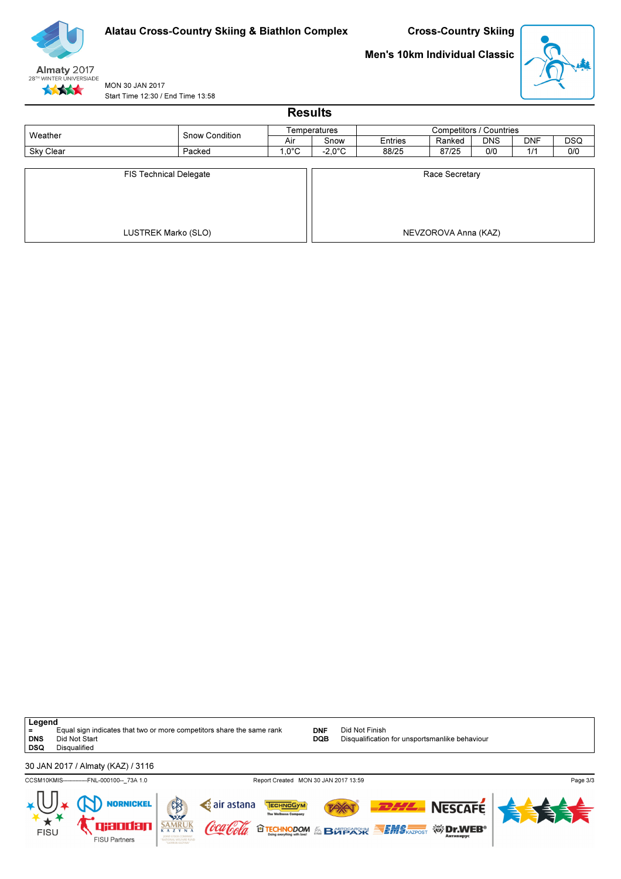

# Men's 10km Individual Classic



MON 30 JAN 2017 Start Time 12:30 / End Time 13:58

| <b>Results</b> |                                                      |                 |                  |                |                                        |            |            |            |  |  |  |  |
|----------------|------------------------------------------------------|-----------------|------------------|----------------|----------------------------------------|------------|------------|------------|--|--|--|--|
| Weather        | <b>Snow Condition</b>                                |                 | Temperatures     |                | Competitors / Countries                |            |            |            |  |  |  |  |
|                |                                                      | Air             | Snow             | <b>Entries</b> | Ranked                                 | <b>DNS</b> | <b>DNF</b> | <b>DSQ</b> |  |  |  |  |
| Sky Clear      | Packed                                               | $1,0^{\circ}$ C | $-2,0^{\circ}$ C | 88/25          | 87/25                                  | 0/0        | 1/1        | 0/0        |  |  |  |  |
|                | <b>FIS Technical Delegate</b><br>LUSTREK Marko (SLO) |                 |                  |                | Race Secretary<br>NEVZOROVA Anna (KAZ) |            |            |            |  |  |  |  |

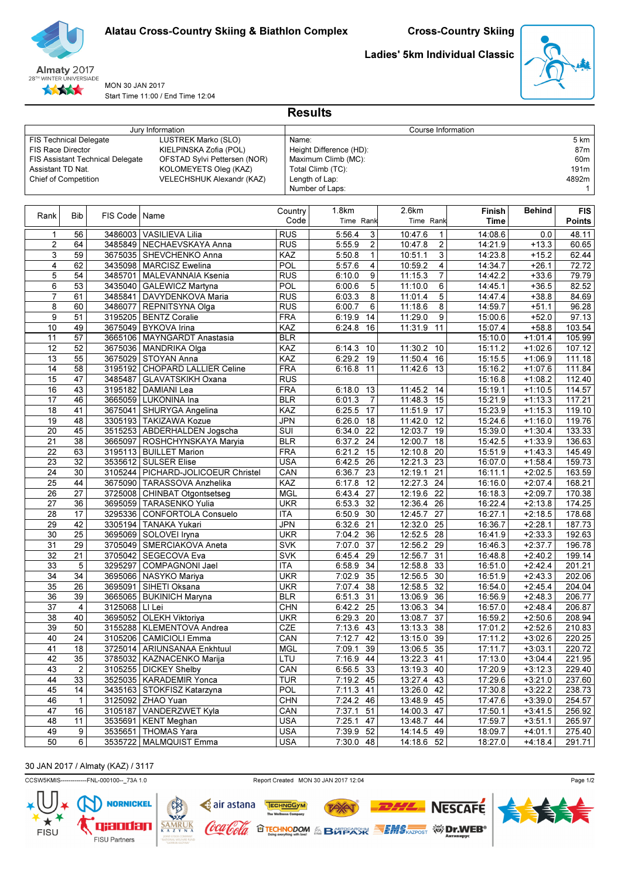



MON 30 JAN 2017 Start Time 11:00 / End Time 12:04 Ladies' 5km Individual Classic



|                               |                  |                                         | Jury Information<br>Course Information       |            |                                   |            |                 |                    |               |                  |  |
|-------------------------------|------------------|-----------------------------------------|----------------------------------------------|------------|-----------------------------------|------------|-----------------|--------------------|---------------|------------------|--|
| <b>FIS Technical Delegate</b> |                  |                                         | LUSTREK Marko (SLO)                          |            | Name:                             |            |                 |                    |               | 5 km             |  |
| <b>FIS Race Director</b>      |                  |                                         | KIELPINSKA Zofia (POL)                       |            | Height Difference (HD):           |            |                 |                    |               | 87m              |  |
|                               |                  | <b>FIS Assistant Technical Delegate</b> | OFSTAD Sylvi Pettersen (NOR)                 |            | Maximum Climb (MC):               |            |                 |                    |               | 60m              |  |
| Assistant TD Nat.             |                  |                                         | KOLOMEYETS Oleg (KAZ)                        |            | Total Climb (TC):                 |            |                 |                    |               | 191m             |  |
| Chief of Competition          |                  |                                         | VELECHSHUK Alexandr (KAZ)                    |            | Length of Lap:                    |            |                 |                    |               | 4892m            |  |
|                               |                  |                                         |                                              |            | Number of Laps:                   |            |                 |                    |               | 1                |  |
|                               |                  |                                         |                                              |            |                                   |            |                 |                    |               |                  |  |
|                               |                  |                                         |                                              | Country    | 1.8km                             | 2.6km      |                 | Finish             | <b>Behind</b> | <b>FIS</b>       |  |
| Rank                          | <b>Bib</b>       | FIS Code                                | Name                                         |            | Code<br>Time Rank                 | Time Rank  |                 | Time               |               | <b>Points</b>    |  |
|                               |                  |                                         |                                              |            |                                   |            |                 |                    |               |                  |  |
| 1                             | 56               | 3486003                                 | <b>VASILIEVA Lilia</b>                       | RUS        | 5:56.4<br>3                       | 10:47.6    | 1               | 14:08.6            | 0.0           | 48.11            |  |
| $\overline{2}$                | 64               |                                         | 3485849 NECHAEVSKAYA Anna                    | <b>RUS</b> | $\overline{\mathbf{c}}$<br>5:55.9 | 10:47.8    | $\overline{c}$  | 14:21.9            | $+13.3$       | 60.65            |  |
| 3                             | 59               |                                         | 3675035 SHEVCHENKO Anna                      | KAZ        | $\mathbf{1}$<br>5:50.8            | 10:51.1    | 3               | 14:23.8            | $+15.2$       | 62.44            |  |
| 4                             | 62               |                                         | 3435098   MARCISZ Ewelina                    | <b>POL</b> | 4<br>5:57.6                       | 10:59.2    | 4               | 14:34.7            | $+26.1$       | 72.72            |  |
| 5                             | 54               | 3485701                                 | MALEVANNAIA Ksenia                           | <b>RUS</b> | 9<br>6:10.0                       | 11:15.3    | 7               | 14:42.2            | $+33.6$       | 79.79            |  |
| 6                             | 53               | 3435040                                 | <b>GALEWICZ Martyna</b>                      | POL        | 5<br>6:00.6                       | 11:10.0    | 6               | 14:45.1            | $+36.5$       | 82.52            |  |
| 7                             | 61               | 3485841                                 | DAVYDENKOVA Maria                            | <b>RUS</b> | 8<br>6:03.3                       | 11:01.4    | 5               | 14:47.4            | $+38.8$       | 84.69            |  |
| 8                             | 60               | 3486077                                 | REPNITSYNA Olga                              | <b>RUS</b> | 6<br>6:00.7                       | 11:18.6    | 8               | 14:59.7            | $+51.1$       | 96.28            |  |
| 9                             | 51               |                                         | 3195205   BENTZ Coralie                      | <b>FRA</b> | 6:19.9<br>14                      | 11:29.0    | 9               | 15:00.6            | $+52.0$       | 97.13            |  |
| 10                            | 49               | 3675049                                 | <b>BYKOVA Irina</b>                          | KAZ        | 6:24.8<br>16                      | 11:31.9    | 11              | 15:07.4            | $+58.8$       | 103.54           |  |
| 11                            | 57               | 3665106                                 | <b>MAYNGARDT Anastasia</b>                   | <b>BLR</b> |                                   |            |                 | 15:10.0            | $+1:01.4$     | 105.99           |  |
| 12                            | 52               |                                         | 3675036 MANDRIKA Olga                        | KAZ        | 6:14.3<br>10                      | 11:30.2    | 10              | 15:11.2            | $+1:02.6$     | 107.12           |  |
| 13                            | 55               | 3675029                                 | <b>STOYAN Anna</b>                           | KAZ        | 6:29.2<br>19                      | 11:50.4    | 16              | 15:15.5            | $+1:06.9$     | 111.18           |  |
| 14                            | 58               | 3195192                                 | <b>CHOPARD LALLIER Celine</b>                | <b>FRA</b> | 6:16.8<br>11                      | 11:42.6    | 13              | 15:16.2            | $+1:07.6$     | 111.84           |  |
| 15                            | 47               | 3485487                                 | <b>GLAVATSKIKH Oxana</b>                     | <b>RUS</b> |                                   |            |                 | 15:16.8            | $+1:08.2$     | 112.40           |  |
| 16                            | 43               | 3195182                                 | <b>DAMIANI Lea</b>                           | <b>FRA</b> | 6:18.0<br>13                      | 11:45.2    | 14              | 15:19.1            | $+1:10.5$     | 114.57           |  |
| 17                            | 46               |                                         | 3665059 LUKONINA Ina                         | <b>BLR</b> | $\overline{7}$<br>6:01.3          | 11:48.3    | 15              | 15:21.9            | $+1:13.3$     | 117.21           |  |
| 18                            | 41               | 3675041                                 | SHURYGA Angelina                             | KAZ        | 6:25.5<br>17                      | 11:51.9    | 17              | 15:23.9            | $+1:15.3$     | 119.10           |  |
| 19                            | 48               |                                         | 3305193 TAKIZAWA Kozue                       | <b>JPN</b> | 18<br>6:26.0                      | 11:42.0    | 12              | 15:24.6            | $+1:16.0$     | 119.76           |  |
| 20                            | 45               |                                         |                                              | SUI        | $\overline{22}$                   | 12:03.7    | $\overline{19}$ | 15:39.0            |               | 133.33           |  |
|                               |                  |                                         | 3515253 ABDERHALDEN Jogscha                  |            | 6:34.0                            |            |                 |                    | $+1:30.4$     |                  |  |
| 21                            | 38               | 3665097                                 | ROSHCHYNSKAYA Maryia                         | <b>BLR</b> | 6:37.2<br>$\overline{24}$         | 12:00.7    | 18              | 15:42.5            | $+1:33.9$     | 136.63           |  |
| 22                            | 63               |                                         | 3195113   BUILLET Marion                     | <b>FRA</b> | 6:21.2<br>15                      | 12:10.8    | 20              | 15:51.9            | $+1:43.3$     | 145.49           |  |
| 23                            | 32               |                                         | 3535612 SULSER Elise                         | <b>USA</b> | 26<br>6:42.5                      | 12:21.3    | 23              | 16:07.0            | $+1:58.4$     | 159.73           |  |
| 24                            | 30               |                                         | 3105244   PICHARD-JOLICOEUR Christel         | CAN        | 6:36.7<br>23                      | 12:19.1    | 21              | 16:11.1            | $+2:02.5$     | 163.59           |  |
| 25                            | 44               |                                         | 3675090 TARASSOVA Anzhelika                  | KAZ        | $\overline{12}$<br>6:17.8         | 12:27.3    | $\overline{24}$ | 16:16.0            | $+2:07.4$     | 168.21           |  |
| 26                            | 27               | 3725008                                 | CHINBAT Otgontsetseg                         | <b>MGL</b> | 27<br>6:43.4                      | 12:19.6    | 22              | 16:18.3            | $+2:09.7$     | 170.38           |  |
| 27                            | 36               | 3695059                                 | TARASENKO Yulia                              | <b>UKR</b> | 6:53.3<br>32                      | 12:36.4    | 26              | 16:22.4            | $+2:13.8$     | 174.25           |  |
| 28                            | 17               | 3295336                                 | CONFORTOLA Consuelo                          | <b>ITA</b> | 6:50.9<br>30                      | 12:45.7    | 27              | 16:27.1            | $+2:18.5$     | 178.68           |  |
| 29                            | 42               | 3305194                                 | TANAKA Yukari                                | <b>JPN</b> | 6:32.6<br>21                      | 12:32.0    | $\overline{25}$ | 16:36.7            | $+2:28.1$     | 187.73           |  |
| 30                            | $\overline{25}$  | 3695069                                 | SOLOVEI Iryna                                | <b>UKR</b> | 36<br>7:04.2                      | 12:52.5    | $\overline{28}$ | 16:41.9            | $+2:33.3$     | 192.63           |  |
| 31                            | 29               | 3705049                                 | SMERCIAKOVA Aneta                            | <b>SVK</b> | $\overline{37}$<br>7:07.0         | 12:56.2    | 29              | 16:46.3            | $+2:37.7$     | 196.78           |  |
| 32                            | $\overline{21}$  | 3705042                                 | SEGECOVA Eva                                 | <b>SVK</b> | 6:45.4<br>29                      | 12:56.7    | 31              | 16:48.8            | $+2:40.2$     | 199.14           |  |
| $\overline{33}$               | 5                | 3295297                                 | COMPAGNONI Jael                              | <b>ITA</b> | 6:58.9<br>34                      | 12:58.8    | 33              | 16:51.0            | $+2:42.4$     | 201.21           |  |
| 34                            | 34               | 3695066                                 | NASYKO Mariya                                | <b>UKR</b> | 35<br>7:02.9                      | 12:56.5    | 30              | 16:51.9            | $+2:43.3$     | 202.06           |  |
| 35                            | 26               | 3695091                                 | SIHETI Oksana                                | <b>UKR</b> | 38<br>7:07.4                      | 12:58.5    | 32              | 16:54.0            | $+2:45.4$     | 204.04           |  |
| 36                            | 39               |                                         | 3665065   BUKINICH Maryna                    | <b>BLR</b> | 6:51.3 31                         | 13:06.9 36 |                 | 16:56.9            | $+2:48.3$     | 206.77           |  |
| 37                            | 4                | 3125068   LI Lei                        |                                              | <b>CHN</b> | 6:42.2 25                         | 13:06.3 34 |                 | 16:57.0            | $+2:48.4$     | 206.87           |  |
| 38                            | 40               |                                         | 3695052 OLEKH Viktoriya                      | <b>UKR</b> | $6:29.3$ 20                       | 13:08.7 37 |                 | 16:59.2            | $+2:50.6$     | 208.94           |  |
| 39                            | 50               |                                         | 3155288   KLEMENTOVA Andrea                  | CZE        | 7:13.6 43                         | 13:13.3 38 |                 | 17:01.2            | $+2:52.6$     | 210.83           |  |
| 40                            | 24               |                                         | 3105206 CAMICIOLI Emma                       | CAN        | 7:12.7 42                         | 13:15.0 39 |                 | 17:11.2            | $+3:02.6$     | 220.25           |  |
| 41                            | 18               |                                         | 3725014   ARIUNSANAA Enkhtuul                | <b>MGL</b> | 7:09.1<br>39                      | 13:06.5 35 |                 | 17:11.7            | $+3:03.1$     | 220.72           |  |
| 42                            | 35               |                                         | 3785032   KAZNACENKO Marija                  | LTU        | 7:16.9 44                         | 13:22.3 41 |                 | 17:13.0            | $+3:04.4$     | 221.95           |  |
| 43                            | $\boldsymbol{2}$ |                                         | 3105255   DICKEY Shelby                      | CAN        | 6:56.5 33                         | 13:19.3 40 |                 | 17:20.9            | $+3:12.3$     | 229.40           |  |
| 44                            | 33               |                                         | 3525035   KARADEMIR Yonca                    | <b>TUR</b> | $7:19.2$ 45                       | 13:27.4 43 |                 | 17:29.6            | $+3:21.0$     | 237.60           |  |
| 45                            | 14               |                                         | 3435163   STOKFISZ Katarzyna                 | POL        |                                   | 13:26.0 42 |                 | 17:30.8            | $+3:22.2$     |                  |  |
| 46                            | $\mathbf{1}$     |                                         |                                              |            | 7:11.3 41                         | 13:48.9 45 |                 |                    |               | 238.73           |  |
|                               | 16               |                                         | 3125092 ZHAO Yuan<br>3105187 VANDERZWET Kyla | <b>CHN</b> | 7:24.2 46<br>$7:37.1$ 51          | 14:00.3 47 |                 | 17:47.6<br>17:50.1 | $+3:39.0$     | 254.57<br>256.92 |  |
| 47<br>48                      |                  |                                         |                                              | CAN        |                                   |            |                 |                    | $+3:41.5$     |                  |  |
|                               | 11               |                                         | 3535691   KENT Meghan                        | <b>USA</b> | 7:25.1<br>47                      | 13:48.7 44 |                 | 17:59.7            | $+3:51.1$     | 265.97           |  |
| 49                            | 9                |                                         | 3535651   THOMAS Yara                        | <b>USA</b> | 7:39.9<br>52                      | 14:14.5 49 |                 | 18:09.7            | $+4:01.1$     | 275.40           |  |
| $\overline{50}$               | 6                |                                         | 3535722   MALMQUIST Emma                     | <b>USA</b> | 7:30.0 48                         | 14:18.6 52 |                 | 18:27.0            | $+4:18.4$     | 291.71           |  |

Results

# 30 JAN 2017 / Almaty (KAZ) / 3117



TAY

**OTECHNODOM & BOTPACK SEMS AZPOST WIDERS** 

TECHNOGYM

air astana

'loola

<u>(oca</u>

 $SAMRU$ </u>



**NESCAFE**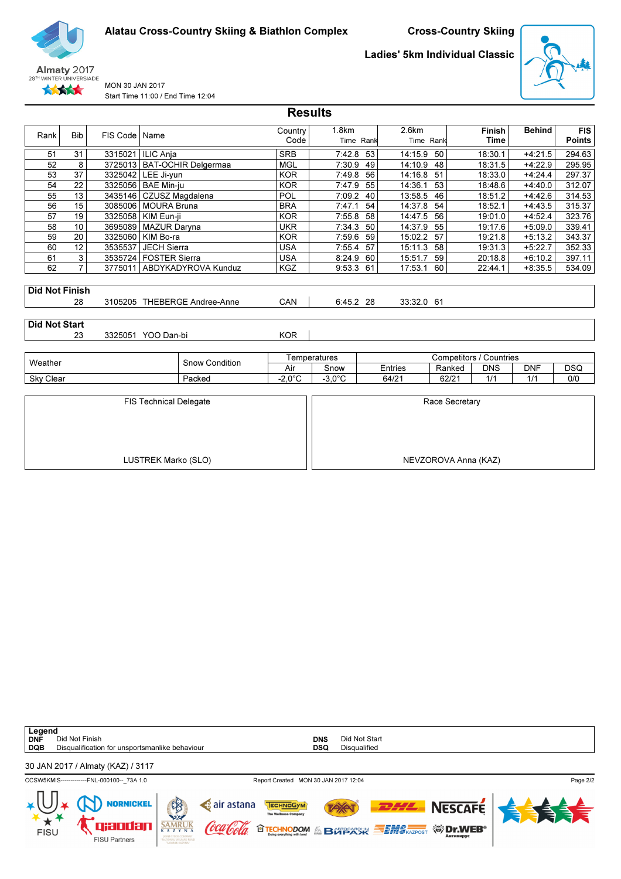



MON 30 JAN 2017 Start Time 11:00 / End Time 12:04 Ladies' 5km Individual Classic



|                       |                 |          |                               |                               | <b>Results</b>   |                    |    |                    |                      |                              |               |                             |
|-----------------------|-----------------|----------|-------------------------------|-------------------------------|------------------|--------------------|----|--------------------|----------------------|------------------------------|---------------|-----------------------------|
| Rank                  | <b>Bib</b>      | FIS Code | Name                          |                               | Country<br>Code  | 1.8km<br>Time Rank |    | 2.6km<br>Time Rank |                      | <b>Finish</b><br><b>Time</b> | <b>Behind</b> | <b>FIS</b><br><b>Points</b> |
| 51                    | 31              |          | 3315021   ILIC Anja           |                               | <b>SRB</b>       | 7:42.8             | 53 | 14:15.9            | 50                   | 18:30.1                      | $+4:21.5$     | 294.63                      |
| 52                    | 8               |          |                               | 3725013   BAT-OCHIR Delgermaa | <b>MGL</b>       | 7:30.9             | 49 | 14:10.9            | 48                   | 18:31.5                      | $+4:22.9$     | 295.95                      |
| 53                    | 37              |          | 3325042 LEE Ji-yun            |                               | <b>KOR</b>       | 7:49.8             | 56 | 14:16.8            | 51                   | 18:33.0                      | $+4:24.4$     | 297.37                      |
| 54                    | 22              |          | 3325056 BAE Min-ju            |                               | <b>KOR</b>       | 7:47.9             | 55 | 14:36.1            | 53                   | 18:48.6                      | $+4:40.0$     | 312.07                      |
| 55                    | 13              |          | 3435146   CZUSZ Magdalena     |                               | <b>POL</b>       | 7:09.2             | 40 | 13:58.5            | 46                   | 18:51.2                      | $+4:42.6$     | 314.53                      |
| 56                    | 15              | 3085006  | <b>MOURA Bruna</b>            |                               | <b>BRA</b>       | 7:47.1             | 54 | 14:37.8            | 54                   | 18:52.1                      | $+4:43.5$     | 315.37                      |
| 57                    | $\overline{19}$ | 3325058  | KIM Eun-ji                    |                               | <b>KOR</b>       | 7:55.8             | 58 | 14:47.5            | 56                   | 19:01.0                      | $+4:52.4$     | 323.76                      |
| 58                    | 10              |          | 3695089   MAZUR Daryna        |                               | <b>UKR</b>       | 7:34.3             | 50 | 14:37.9            | 55                   | 19:17.6                      | $+5:09.0$     | 339.41                      |
| 59                    | 20              |          | 3325060 KIM Bo-ra             |                               | <b>KOR</b>       | 7:59.6             | 59 | 15:02.2            | 57                   | 19:21.8                      | $+5:13.2$     | 343.37                      |
| 60                    | 12              | 3535537  | JECH Sierra                   |                               | <b>USA</b>       | 7:55.4             | 57 | 15:11.3            | 58                   | 19:31.3                      | $+5:22.7$     | 352.33                      |
| 61                    | 3               |          | 3535724   FOSTER Sierra       |                               | <b>USA</b>       | 8:24.9             | 60 | 15:51.7            | 59                   | 20:18.8                      | $+6:10.2$     | 397.11                      |
| 62                    | $\overline{7}$  |          |                               | 3775011   ABDYKADYROVA Kunduz | KGZ              | 9:53.3             | 61 | 17:53.1            | 60                   | 22:44.1                      | $+8:35.5$     | 534.09                      |
| <b>Did Not Finish</b> | 28              |          |                               | 3105205 THEBERGE Andree-Anne  | CAN              | 6:45.2 28          |    | 33:32.0 61         |                      |                              |               |                             |
| <b>Did Not Start</b>  | 23              |          | 3325051 YOO Dan-bi            |                               | <b>KOR</b>       |                    |    |                    |                      |                              |               |                             |
|                       |                 |          |                               |                               |                  | Temperatures       |    |                    |                      | Competitors / Countries      |               |                             |
| Weather               |                 |          |                               | <b>Snow Condition</b>         | Air              | Snow               |    | Entries            | Ranked               | <b>DNS</b>                   | <b>DNF</b>    | <b>DSQ</b>                  |
| Sky Clear             |                 |          |                               | Packed                        | $-2.0^{\circ}$ C | $-3.0^{\circ}$ C   |    | 64/21              | 62/21                | 1/1                          | 1/1           | 0/0                         |
|                       |                 |          | <b>FIS Technical Delegate</b> |                               |                  |                    |    |                    | Race Secretary       |                              |               |                             |
|                       |                 |          | LUSTREK Marko (SLO)           |                               |                  |                    |    |                    | NEVZOROVA Anna (KAZ) |                              |               |                             |

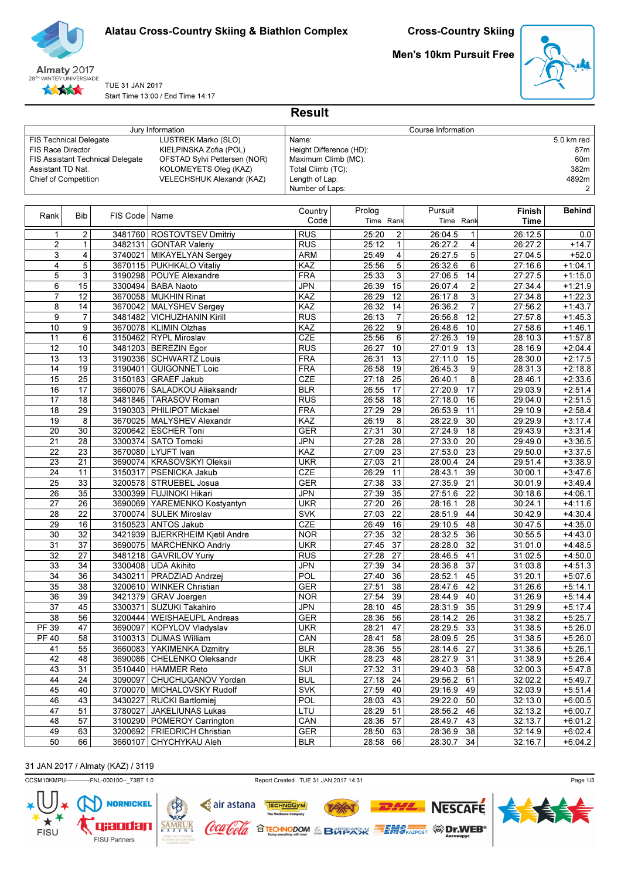

林妹

Alatau Cross-Country Skiing & Biathlon Complex

Men's 10km Pursuit Free



TUE 31 JAN 2017 Start Time 13:00 / End Time 14:17

|                                                                                                        |                       |                                         |                                                                                                                                            | <b>Result</b>                                                                                                     |                     |          |                      |                         |                    |                                                |
|--------------------------------------------------------------------------------------------------------|-----------------------|-----------------------------------------|--------------------------------------------------------------------------------------------------------------------------------------------|-------------------------------------------------------------------------------------------------------------------|---------------------|----------|----------------------|-------------------------|--------------------|------------------------------------------------|
|                                                                                                        |                       |                                         | Jury Information                                                                                                                           |                                                                                                                   |                     |          | Course Information   |                         |                    |                                                |
| <b>FIS Technical Delegate</b><br><b>FIS Race Director</b><br>Assistant TD Nat.<br>Chief of Competition |                       | <b>FIS Assistant Technical Delegate</b> | <b>LUSTREK Marko (SLO)</b><br>KIELPINSKA Zofia (POL)<br>OFSTAD Svlvi Pettersen (NOR)<br>KOLOMEYETS Oleg (KAZ)<br>VELECHSHUK Alexandr (KAZ) | Name:<br>Height Difference (HD):<br>Maximum Climb (MC):<br>Total Climb (TC):<br>Length of Lap:<br>Number of Laps: |                     |          |                      |                         |                    | 5.0 km red<br>87m<br>60m<br>382m<br>4892m<br>2 |
| Rank                                                                                                   | <b>Bib</b>            | FIS Code                                | Name                                                                                                                                       | Country<br>Code                                                                                                   | Prolog<br>Time Rank |          | Pursuit<br>Time Rank |                         | Finish<br>Time     | <b>Behind</b>                                  |
| 1                                                                                                      | 2                     |                                         | 3481760 ROSTOVTSEV Dmitriy                                                                                                                 | <b>RUS</b>                                                                                                        | 25:20               | 2        | 26:04.5              | $\mathbf{1}$            | 26:12.5            | 0.0                                            |
| $\overline{2}$                                                                                         | 1                     |                                         | 3482131 GONTAR Valeriy                                                                                                                     | <b>RUS</b>                                                                                                        | 25:12               | 1        | 26:27.2              | 4                       | 26:27.2            | $+14.7$                                        |
| 3                                                                                                      | 4                     |                                         | 3740021 MIKAYELYAN Sergey                                                                                                                  | <b>ARM</b>                                                                                                        | 25:49               | 4        | 26:27.5              | 5                       | 27:04.5            | $+52.0$                                        |
| 4                                                                                                      | 5                     |                                         | 3670115   PUKHKALO Vitaliy                                                                                                                 | KAZ                                                                                                               | 25:56               | 5        | 26:32.6              | 6                       | 27:16.6            | $+1:04.1$                                      |
| 5                                                                                                      | 3                     |                                         | 3190298 POUYE Alexandre                                                                                                                    | <b>FRA</b>                                                                                                        | 25:33               | 3        | 27:06.5              | 14                      | 27:27.5            | $+1:15.0$                                      |
| 6                                                                                                      | 15                    |                                         | 3300494   BABA Naoto                                                                                                                       | <b>JPN</b>                                                                                                        | 26:39               | 15       | 26:07.4              | $\overline{\mathbf{c}}$ | 27:34.4            | $+1:21.9$                                      |
| $\overline{7}$<br>8                                                                                    | 12<br>14              |                                         | 3670058 MUKHIN Rinat                                                                                                                       | KAZ<br>KAZ                                                                                                        | 26:29<br>26:32      | 12<br>14 | 26:17.8<br>26:36.2   | 3<br>$\overline{7}$     | 27:34.8<br>27:56.2 | $+1:22.3$<br>$+1:43.7$                         |
| 9                                                                                                      | 7                     | 3481482                                 | 3670042   MALYSHEV Sergey<br><b>VICHUZHANIN Kirill</b>                                                                                     | <b>RUS</b>                                                                                                        | 26:13               | 7        | 26:56.8              | 12                      | 27:57.8            | $+1:45.3$                                      |
| 10                                                                                                     | 9                     |                                         | 3670078   KLIMIN Olzhas                                                                                                                    | KAZ                                                                                                               | 26:22               | 9        | 26:48.6              | 10                      | 27:58.6            | $+1:46.1$                                      |
| 11                                                                                                     | 6                     |                                         | 3150462 RYPL Miroslav                                                                                                                      | CZE                                                                                                               | 25:56               | 6        | 27:26.3              | 19                      | 28:10.3            | $+1:57.8$                                      |
| 12                                                                                                     | 10                    |                                         | 3481203 BEREZIN Egor                                                                                                                       | RUS                                                                                                               | 26:27               | 10       | 27:01.9              | $\overline{13}$         | 28:16.9            | $+2:04.4$                                      |
| 13                                                                                                     | 13                    |                                         | 3190336   SCHWARTZ Louis                                                                                                                   | <b>FRA</b>                                                                                                        | 26:31               | 13       | 27:11.0              | 15                      | 28:30.0            | $+2:17.5$                                      |
| 14                                                                                                     | 19                    |                                         | 3190401 GUIGONNET Loic                                                                                                                     | <b>FRA</b>                                                                                                        | 26:58               | 19       | 26:45.3              | 9                       | 28:31.3            | $+2:18.8$                                      |
| 15                                                                                                     | $\overline{25}$       | 3150183                                 | <b>GRAEF Jakub</b>                                                                                                                         | CZE                                                                                                               | 27:18               | 25       | 26:40.1              | $\bf 8$                 | 28:46.1            | $+2:33.6$                                      |
| 16                                                                                                     | 17                    | 3660076                                 | SALADKOU Aliaksandr                                                                                                                        | <b>BLR</b>                                                                                                        | 26:55               | 17       | 27:20.9              | 17                      | 29:03.9            | $+2:51.4$                                      |
| 17                                                                                                     | 18                    | 3481846                                 | <b>TARASOV Roman</b>                                                                                                                       | RUS                                                                                                               | 26:58               | 18       | 27:18.0              | 16                      | 29:04.0            | $+2:51.5$                                      |
| 18                                                                                                     | 29                    |                                         | 3190303 PHILIPOT Mickael                                                                                                                   | <b>FRA</b>                                                                                                        | 27:29               | 29       | 26:53.9              | 11                      | 29:10.9            | $+2:58.4$                                      |
| 19                                                                                                     | 8                     |                                         | 3670025   MALYSHEV Alexandr                                                                                                                | KAZ                                                                                                               | 26:19               | 8        | 28:22.9              | 30                      | 29:29.9            | $+3:17.4$                                      |
| 20                                                                                                     | 30                    |                                         | 3200642   ESCHER Toni                                                                                                                      | <b>GER</b>                                                                                                        | 27:31               | 30       | 27:24.9              | 18                      | 29:43.9            | $+3:31.4$                                      |
| 21                                                                                                     | 28                    | 3300374                                 | <b>SATO Tomoki</b>                                                                                                                         | <b>JPN</b>                                                                                                        | 27:28               | 28       | 27:33.0              | 20                      | 29:49.0            | $+3:36.5$                                      |
| 22                                                                                                     | 23                    |                                         | 3670080 LYUFT Ivan                                                                                                                         | KAZ                                                                                                               | 27:09               | 23       | 27:53.0              | $\overline{23}$         | 29:50.0            | $+3:37.5$                                      |
| 23                                                                                                     | 21                    |                                         | 3690074   KRASOVSKYI Oleksii                                                                                                               | <b>UKR</b>                                                                                                        | 27:03               | 21       | 28:00.4              | 24                      | 29:51.4            | $+3:38.9$                                      |
| 24                                                                                                     | 11                    | 3150317                                 | <b>PSENICKA Jakub</b>                                                                                                                      | <b>CZE</b>                                                                                                        | 26:29               | 11       | 28:43.1              | 39                      | 30:00.1            | $+3:47.6$                                      |
| 25                                                                                                     | 33                    |                                         | 3200578 STRUEBEL Josua                                                                                                                     | <b>GER</b>                                                                                                        | 27:38               | 33       | 27:35.9              | 21                      | 30:01.9            | $+3:49.4$                                      |
| 26                                                                                                     | 35                    |                                         | 3300399   FUJINOKI Hikari                                                                                                                  | <b>JPN</b>                                                                                                        | 27:39               | 35       | 27:51.6              | 22                      | 30:18.6            | $+4:06.1$                                      |
| 27                                                                                                     | 26                    | 3690069                                 | YAREMENKO Kostyantyn<br><b>SULEK Miroslav</b>                                                                                              | <b>UKR</b>                                                                                                        | 27:20               | 26       | 28:16.1              | 28                      | 30:24.1            | $+4:11.6$                                      |
| 28<br>29                                                                                               | $\overline{22}$<br>16 | 3700074                                 | 3150523 ANTOS Jakub                                                                                                                        | <b>SVK</b><br>CZE                                                                                                 | 27:03<br>26:49      | 22<br>16 | 28:51.9<br>29:10.5   | 44<br>48                | 30:42.9<br>30:47.5 | $+4:30.4$<br>$+4:35.0$                         |
| 30                                                                                                     | 32                    |                                         | 3421939 BJERKRHEIM Kjetil Andre                                                                                                            | <b>NOR</b>                                                                                                        | 27:35               | 32       | 28:32.5              | 36                      | 30:55.5            | $+4:43.0$                                      |
| 31                                                                                                     | 37                    | 3690075                                 | MARCHENKO Andriy                                                                                                                           | <b>UKR</b>                                                                                                        | 27:45               | 37       | 28:28.0              | 32                      | 31:01.0            | $+4:48.5$                                      |
| 32                                                                                                     | 27                    | 3481218                                 | <b>GAVRILOV Yuriy</b>                                                                                                                      | RUS                                                                                                               | 27:28               | 27       | 28:46.5              | 41                      | 31:02.5            | $+4:50.0$                                      |
| 33                                                                                                     | 34                    |                                         | 3300408 UDA Akihito                                                                                                                        | <b>JPN</b>                                                                                                        | 27:39               | 34       | 28:36.8              | 37                      | 31:03.8            | $+4:51.3$                                      |
| 34                                                                                                     | 36                    |                                         | 3430211   PRADZIAD Andrzej                                                                                                                 | <b>POL</b>                                                                                                        | 27:40 36            |          | 28:52.1 45           |                         | 31:20.1            | $+5:07.6$                                      |
| 35                                                                                                     | 38                    |                                         | 3200610 WINKER Christian                                                                                                                   | <b>GER</b>                                                                                                        | 27:51               | 38       | 28:47.6 42           |                         | 31:26.6            | $+5:14.1$                                      |
| 36                                                                                                     | 39                    |                                         | 3421379 GRAV Joergen                                                                                                                       | <b>NOR</b>                                                                                                        | 27:54               | 39       | 28:44.9 40           |                         | 31:26.9            | $+5:14.4$                                      |
| 37                                                                                                     | 45                    |                                         | 3300371 SUZUKI Takahiro                                                                                                                    | <b>JPN</b>                                                                                                        | 28:10 45            |          | 28:31.9 35           |                         | 31:29.9            | $+5:17.4$                                      |
| 38                                                                                                     | 56                    |                                         | 3200444   WEISHAEUPL Andreas                                                                                                               | <b>GER</b>                                                                                                        | 28:36 56            |          | 28:14.2              | 26                      | 31:38.2            | $+5:25.7$                                      |
| PF 39                                                                                                  | 47                    |                                         | 3690097   KOPYLOV Vladyslav                                                                                                                | <b>UKR</b>                                                                                                        | 28:21               | 47       | 28:29.5 33           |                         | 31:38.5            | $+5:26.0$                                      |
| <b>PF 40</b>                                                                                           | 58                    |                                         | 3100313   DUMAS William                                                                                                                    | CAN                                                                                                               | 28:41 58            |          | 28:09.5              | 25                      | 31:38.5            | $+5:26.0$                                      |
| 41                                                                                                     | 55                    |                                         | 3660083   YAKIMENKA Dzmitry                                                                                                                | <b>BLR</b>                                                                                                        | 28:36 55            |          | 28:14.6              | 27                      | 31:38.6            | $+5:26.1$                                      |
| 42                                                                                                     | 48                    |                                         | 3690086 CHELENKO Oleksandr                                                                                                                 | <b>UKR</b>                                                                                                        | 28:23 48            |          | 28:27.9 31           |                         | 31:38.9            | $+5:26.4$                                      |
| 43                                                                                                     | 31                    |                                         | 3510440 HAMMER Reto                                                                                                                        | SUI                                                                                                               | 27:32 31            |          | 29:40.3 58           |                         | 32:00.3            | $+5:47.8$                                      |
| 44                                                                                                     | 24                    |                                         | 3090097 CHUCHUGANOV Yordan                                                                                                                 | <b>BUL</b>                                                                                                        | 27:18               | 24       | 29:56.2              | 61                      | 32:02.2            | $+5:49.7$                                      |
| 45                                                                                                     | 40                    |                                         | 3700070   MICHALOVSKY Rudolf                                                                                                               | <b>SVK</b>                                                                                                        | $27:59$ 40          |          | 29:16.9 49           |                         | 32:03.9            | $+5:51.4$                                      |
| 46                                                                                                     | 43                    |                                         | 3430227   RUCKI Bartlomiej                                                                                                                 | POL                                                                                                               | 28:03 43            |          | 29:22.0              | 50                      | 32:13.0            | $+6:00.5$                                      |
| 47                                                                                                     | 51                    |                                         | 3780027 JAKELIUNAS Lukas                                                                                                                   | LTU                                                                                                               | 28:29 51            |          | 28:56.2              | 46                      | 32:13.2            | $+6:00.7$                                      |
| 48                                                                                                     | 57                    |                                         | 3100290   POMEROY Carrington                                                                                                               | CAN                                                                                                               | 28:36 57            |          | 28:49.7              | 43                      | 32:13.7            | $+6:01.2$                                      |
| 49                                                                                                     | 63                    |                                         | 3200692   FRIEDRICH Christian                                                                                                              | GER                                                                                                               | 28:50 63            |          | 28:36.9              | 38                      | 32:14.9            | $+6:02.4$                                      |
| 50                                                                                                     | 66                    |                                         | 3660107 CHYCHYKAU Aleh                                                                                                                     | <b>BLR</b>                                                                                                        | 28:58 66            |          | 28:30.7 34           |                         | 32:16.7            | $+6:04.2$                                      |

# 31 JAN 2017 / Almaty (KAZ) / 3119

CCSM10KMPU-------------FNL-000100--\_73BT 1.0 Report Created TUE 31 JAN 2017 14:31



**TAY** 

**OTECHNODOM & BOTPACK SEMS AZPOST WIDERS** 

TECHNOGYM

**e** air astana

Coca Cola

 $SAMRUK  $\overline{K_A}$ </u>$ 



**NESCAFE**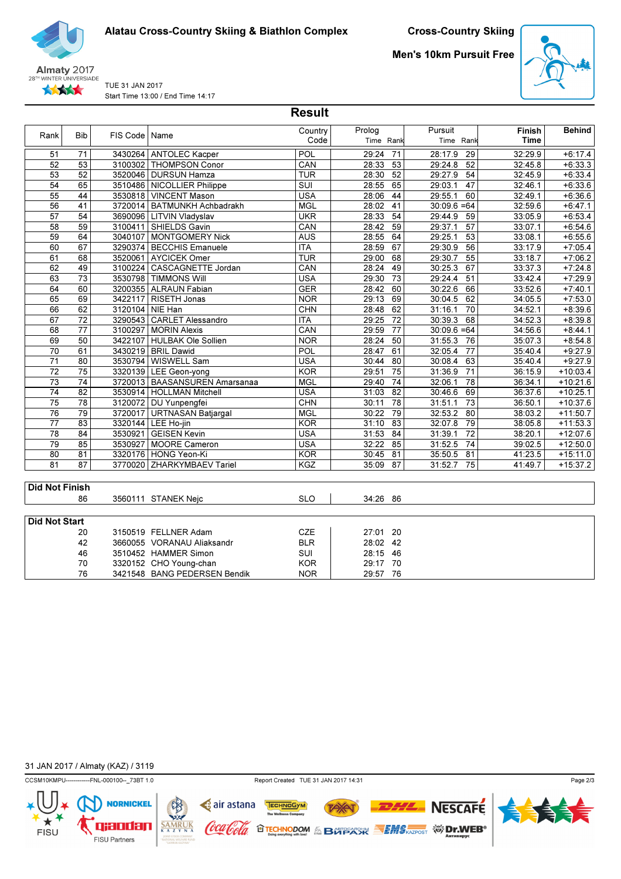Almaty 2017 28TH WINTER UNIVERSIADE ★★★★★

TUE 31 JAN 2017 Start Time 13:00 / End Time 14:17

| <b>Cross-Country Skiing</b> |
|-----------------------------|
|-----------------------------|

Men's 10km Pursuit Free



Behind

Finish Time

Rank Bib FIS Code Name Country Country Code Prolog Time Rank Pursuit Time Rank 51 71 3430264 ANTOLEC Kacper POL 29:24 71 28:17.9 29 32:29.9 +6:17.4<br>52 53 3100302 THOMPSON Conor CAN 28:33 53 29:24.8 52 32:45.8 +6:33.3 3100302 THOMPSON Conor 53 52 3520046 DURSUN Hamza TUR 38:30 52 29:27.9 54 32:45.9 +6:33.4 54 65 3510486 NICOLLIER Philippe SUI 38:55 65 29:03.1 47 32:46.1 +6:33.6 55 44 VINCENT Mason USA 3530818 28:06 44 29:55.1 60 32:49.1 +6:36.6 56 41 BATMUNKH Achbadrakh MGL 3720014 28:02 41 30:09.6 =64 32:59.6 +6:47.1 57 54 LITVIN Vladyslav UKR 3690096 28:33 54 29:44.9 59 33:05.9 +6:53.4 58 59 3100411 SHIELDS Gavin CAN 28:42 59 29:37.1 57 33:07.1 +6:54.6 59 64 MONTGOMERY Nick AUS 3040107 28:55 64 29:25.1 53 33:08.1 +6:55.6 60 67 BECCHIS Emanuele ITA 3290374 28:59 67 29:30.9 56 33:17.9 +7:05.4 1910 68 3520061 AYCICEK Omer TUR 708:00 68 62 49 3100224 CASCAGNETTE Jordan CAN 28:24 49 30:25.3 67 33:37.3 +7:24.8 63 73 TIMMONS Will USA 3530798 29:30 73 29:24.4 51 33:42.4 +7:29.9 64 60 3200355 ALRAUN Fabian GER GER 30:22.6 66 33:52.6 +7:40.1 65 69 RISETH Jonas NOR 3422117 29:13 69 30:04.5 62 34:05.5 +7:53.0 66 62 3120104 NIE Han CHN CHN 38:48 62 31:16.1 70 34:52.1 +8:39.6 67 72 3290543 CARLET Alessandro | ITA | 29:25 72 30:39.3 68 34:52.3 +8:39.8 68 77 3100297 MORIN Alexis CAN 29:59 77 30:09.6 =64 34:56.6 +8:44.1<br>69 50 34:22107 HULBAK Ole Sollien NOR 28:24 50 31:55.3 76 35:07.3 +8:54.8

| 70                    | 61 |         | 3430219   BRIL Dawid            | <b>POL</b> | 28:47<br>61 | 32:05.4 77 |    | 35:40.4 | $+9:27.9$  |
|-----------------------|----|---------|---------------------------------|------------|-------------|------------|----|---------|------------|
| 71                    | 80 |         | 3530794   WISWELL Sam           | USA        | 30:44<br>80 | 30:08.4    | 63 | 35:40.4 | $+9:27.9$  |
| 72                    | 75 |         | 3320139   LEE Geon-yong         | <b>KOR</b> | 29:51<br>75 | 31:36.9    | 71 | 36:15.9 | $+10:03.4$ |
| 73                    | 74 |         | 3720013   BAASANSUREN Amarsanaa | <b>MGL</b> | 74<br>29:40 | 32:06.1    | 78 | 36:34.1 | $+10:21.6$ |
| 74                    | 82 |         | 3530914   HOLLMAN Mitchell      | <b>USA</b> | 31:03<br>82 | 30:46.6    | 69 | 36:37.6 | $+10:25.1$ |
| 75                    | 78 |         | 3120072   DU Yunpengfei         | <b>CHN</b> | 30:11<br>78 | 31:51.1    | 73 | 36:50.1 | $+10:37.6$ |
| 76                    | 79 |         | 3720017   URTNASAN Batjargal    | <b>MGL</b> | 30:22<br>79 | 32:53.2    | 80 | 38:03.2 | $+11:50.7$ |
| 77                    | 83 |         | 3320144   LEE Ho-jin            | <b>KOR</b> | 31:10<br>83 | 32:07.8    | 79 | 38:05.8 | $+11:53.3$ |
| 78                    | 84 | 3530921 | <b>GEISEN Kevin</b>             | <b>USA</b> | 31:53<br>84 | 31:39.1    | 72 | 38:20.1 | $+12:07.6$ |
| 79                    | 85 |         | 3530927   MOORE Cameron         | <b>USA</b> | 32:22<br>85 | 31:52.5    | 74 | 39:02.5 | $+12:50.0$ |
| 80                    | 81 |         | 3320176   HONG Yeon-Ki          | <b>KOR</b> | 30:45<br>81 | 35:50.5    | 81 | 41:23.5 | $+15:11.0$ |
| 81                    | 87 |         | 3770020 ZHARKYMBAEV Tariel      | <b>KGZ</b> | 87<br>35:09 | 31:52.7    | 75 | 41:49.7 | $+15:37.2$ |
|                       |    |         |                                 |            |             |            |    |         |            |
| <b>Did Not Finish</b> |    |         |                                 |            |             |            |    |         |            |
|                       | 86 |         | 3560111 STANEK Neic             | <b>SLO</b> | 34:26 86    |            |    |         |            |
|                       |    |         |                                 |            |             |            |    |         |            |
| <b>Did Not Start</b>  |    |         |                                 |            |             |            |    |         |            |
|                       | 20 |         | 3150519 FELLNER Adam            | CZE        | 27:01 20    |            |    |         |            |
|                       | 42 |         | 3660055 VORANAU Aliaksandr      | <b>BLR</b> | 28:02 42    |            |    |         |            |
|                       | 46 |         | 3510452 HAMMER Simon            | SUI        | 28:15 46    |            |    |         |            |
|                       | 70 |         | 3320152 CHO Young-chan          | <b>KOR</b> | 29:17 70    |            |    |         |            |
|                       | 76 |         | 3421548 BANG PEDERSEN Bendik    | <b>NOR</b> | 29:57 76    |            |    |         |            |
|                       |    |         |                                 |            |             |            |    |         |            |

69 50 HULBAK Ole Sollien NOR 3422107 28:24 50 31:55.3 76 35:07.3 +8:54.8

Result

31 JAN 2017 / Almaty (KAZ) / 3119

┪

**FISU** 

CCSM10KMPU------------FNL-000100--\_73BT 1.0 Report Created TUE 31 JAN 2017 14:31

**NORNICKEL** 

qxodan

FISU Partners

 $**SAMRUK**  
**K A Z Y N A**$ </u>

**72XAT** 

TECHNOGYM

air astana

Coca Cola



Page 2/3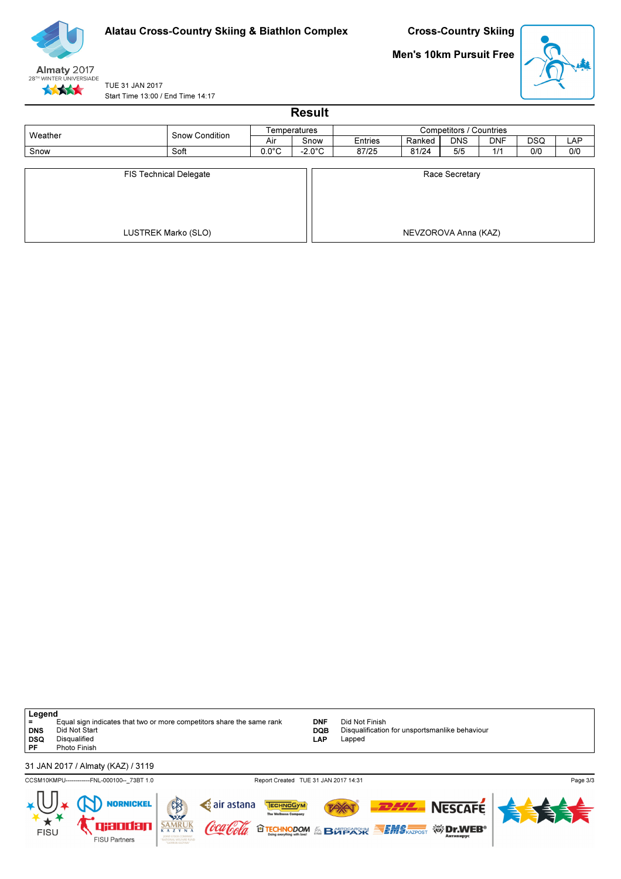

Men's 10km Pursuit Free



TUE 31 JAN 2017 Start Time 13:00 / End Time 14:17

| <b>Result</b>                 |                     |                 |                  |         |                      |                         |            |            |     |  |  |
|-------------------------------|---------------------|-----------------|------------------|---------|----------------------|-------------------------|------------|------------|-----|--|--|
| Weather                       | Snow Condition      |                 | Temperatures     |         |                      | Competitors / Countries |            |            |     |  |  |
|                               |                     | Air             |                  | Entries | Ranked               | <b>DNS</b>              | <b>DNF</b> | <b>DSQ</b> | LAP |  |  |
| Snow                          | Soft                | $0.0^{\circ}$ C | $-2.0^{\circ}$ C | 87/25   | 81/24                | 5/5                     | 1/1        | 0/0        | 0/0 |  |  |
| <b>FIS Technical Delegate</b> |                     |                 |                  |         |                      | Race Secretary          |            |            |     |  |  |
|                               | LUSTREK Marko (SLO) |                 |                  |         | NEVZOROVA Anna (KAZ) |                         |            |            |     |  |  |

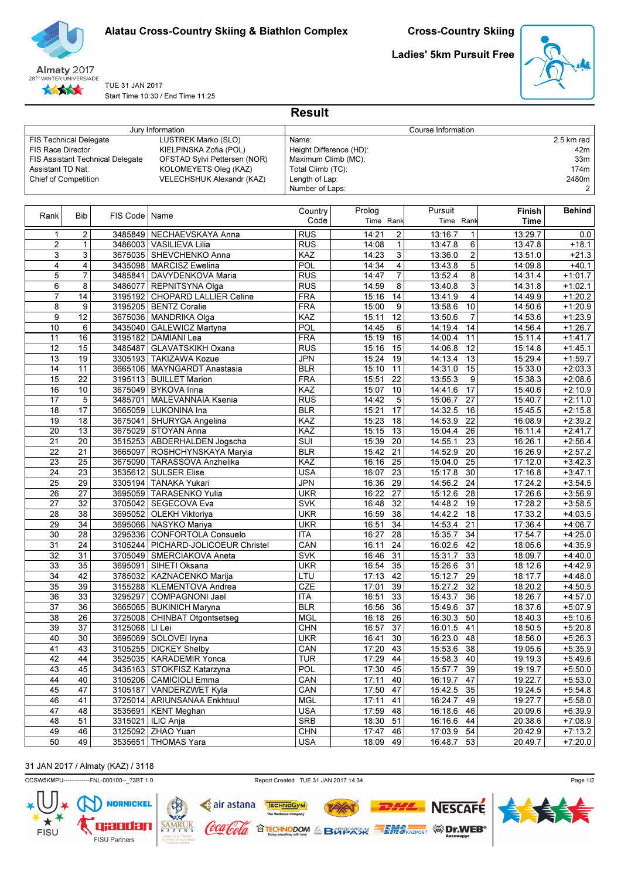



TUE 31 JAN 2017 Start Time 10:30 / End Time 11:25 Ladies' 5km Pursuit Free



|                               |                 |                                         | Jury Information                   |                         |            |                 | Course Information |                           |                        |
|-------------------------------|-----------------|-----------------------------------------|------------------------------------|-------------------------|------------|-----------------|--------------------|---------------------------|------------------------|
| <b>FIS Technical Delegate</b> |                 |                                         | LUSTREK Marko (SLO)                | Name:                   |            |                 |                    |                           | 2.5 km red             |
| <b>FIS Race Director</b>      |                 |                                         | KIELPINSKA Zofia (POL)             | Height Difference (HD): |            |                 |                    |                           | 42m                    |
|                               |                 | <b>FIS Assistant Technical Delegate</b> | OFSTAD Sylvi Pettersen (NOR)       | Maximum Climb (MC):     |            |                 |                    |                           | 33 <sub>m</sub>        |
| Assistant TD Nat.             |                 |                                         | KOLOMEYETS Oleg (KAZ)              | Total Climb (TC):       |            |                 |                    |                           | 174m                   |
| Chief of Competition          |                 |                                         | VELECHSHUK Alexandr (KAZ)          | Length of Lap:          |            |                 |                    |                           | 2480m                  |
|                               |                 |                                         |                                    | Number of Laps:         |            |                 |                    |                           | 2                      |
|                               |                 |                                         |                                    | Country                 | Prolog     |                 | Pursuit            | Finish                    | <b>Behind</b>          |
| Rank                          | <b>Bib</b>      | FIS Code                                | Name                               | Code                    | Time Rank  |                 | Time Rank          | Time                      |                        |
|                               |                 |                                         |                                    |                         |            |                 |                    |                           |                        |
| 1                             | 2               |                                         | 3485849   NECHAEVSKAYA Anna        | <b>RUS</b>              | 14:21      | 2               | 13:16.7            | 13:29.7<br>1              | 0.0                    |
| $\overline{c}$                | $\mathbf{1}$    |                                         | 3486003 VASILIEVA Lilia            | <b>RUS</b>              | 14:08      | $\mathbf{1}$    | 13:47.8            | 6<br>13:47.8              | $+18.1$                |
| 3                             | 3               |                                         | 3675035   SHEVCHENKO Anna          | KAZ                     | 14:23      | 3               | 13:36.0            | $\overline{2}$<br>13:51.0 | $+21.3$                |
| 4                             | 4               | 3435098                                 | MARCISZ Ewelina                    | <b>POL</b>              | 14:34      | 4               | 13:43.8            | 5<br>14:09.8              | $+40.1$                |
| 5                             | $\overline{7}$  | 3485841                                 | DAVYDENKOVA Maria                  | <b>RUS</b>              | 14:47      | $\overline{7}$  | 13:52.4            | 8<br>14:31.4              | $+1:01.7$              |
| 6                             | 8               |                                         | 3486077   REPNITSYNA Olga          | <b>RUS</b>              | 14:59      | 8               | 13:40.8            | 3<br>14:31.8              | $+1:02.1$              |
| 7                             | 14              | 3195192                                 | CHOPARD LALLIER Celine             | <b>FRA</b>              | 15:16      | 14              | 13:41.9            | 4<br>14:49.9              | $+1:20.2$              |
| 8                             | 9               |                                         | 3195205   BENTZ Coralie            | <b>FRA</b>              | 15:00      | 9               | 13:58.6            | 10<br>14:50.6             | $+1:20.9$              |
| 9                             | $\overline{12}$ |                                         | 3675036   MANDRIKA Olga            | KAZ                     | 15:11      | 12              | 13:50.6            | $\overline{7}$<br>14:53.6 | $+1:23.9$              |
| 10                            | 6               | 3435040                                 | GALEWICZ Martyna                   | <b>POL</b>              | 14:45      | 6               | 14:19.4            | 14<br>14:56.4             | $+1:26.7$              |
| 11                            | 16              |                                         | 3195182   DAMIANI Lea              | <b>FRA</b>              | 15:19      | 16              | 11<br>14:00.4      | 15:11.4                   | $+1:41.7$              |
| 12                            | 15              | 3485487                                 | GLAVATSKIKH Oxana                  | <b>RUS</b>              | 15:16      | 15              | 12<br>14:06.8      | 15:14.8                   | $+1:45.1$              |
| 13                            | 19              |                                         | 3305193 TAKIZAWA Kozue             | <b>JPN</b>              | 15:24      | 19              | 14:13.4            | 13<br>15:29.4             | $+1:59.7$              |
| 14                            | 11              |                                         | 3665106   MAYNGARDT Anastasia      | <b>BLR</b>              | 15:10      | 11              | 14:31.0            | 15<br>15:33.0             | $+2:03.3$              |
| 15                            | $\overline{22}$ |                                         | 3195113 BUILLET Marion             | <b>FRA</b>              | 15:51      | 22              | 13:55.3            | 9<br>15:38.3              | $+2:08.6$              |
| 16                            | 10              |                                         | 3675049   BYKOVA Irina             | KAZ                     | 15:07      | 10              | 14:41.6            | 17<br>15:40.6             | $+2:10.9$              |
| 17                            | 5               | 3485701                                 | MALEVANNAIA Ksenia                 | RUS                     | 14:42      | 5               | 27<br>15:06.7      | 15:40.7                   | $+2:11.0$              |
| 18                            | 17              |                                         | 3665059 LUKONINA Ina               | <b>BLR</b>              | 15:21      | 17              | 14:32.5<br>16      | 15:45.5                   | $+2:15.8$              |
| 19                            | 18              |                                         | 3675041   SHURYGA Angelina         | KAZ                     | 15:23      | 18              | 22<br>14:53.9      | 16:08.9                   | $+2:39.2$              |
| 20                            | 13              |                                         | 3675029 STOYAN Anna                | KAZ                     | 15:15      | 13              | 15:04.4            | 26<br>16:11.4             | $+2:41.7$              |
| 21                            | $\overline{20}$ | 3515253                                 | ABDERHALDEN Jogscha                | $\overline{\text{SUI}}$ | 15:39      | 20              | 14:55.1            | 23<br>16:26.1             | $+2:56.4$              |
| 22                            | 21              |                                         | 3665097   ROSHCHYNSKAYA Maryia     | <b>BLR</b>              | 15:42      | 21              | 14:52.9<br>20      | 16:26.9                   | $+2:57.2$              |
| 23                            | 25              |                                         | 3675090 TARASSOVA Anzhelika        | KAZ                     | 16:16      | 25              | 15:04.0<br>25      | 17:12.0                   | $+3:42.3$              |
| 24                            | 23              |                                         | 3535612 SULSER Elise               | <b>USA</b>              | 16:07      | 23              | 15:17.8            | 30<br>17:16.8             | $+3:47.1$              |
| 25                            | 29              | 3305194                                 | TANAKA Yukari                      | JPN                     | 16:36      | 29              | 24<br>14:56.2      | 17:24.2                   | $+3:54.5$              |
| 26                            | 27              | 3695059                                 | TARASENKO Yulia                    | <b>UKR</b>              | 16:22      | 27              | 15:12.6<br>28      | 17:26.6                   | $+3:56.9$              |
| 27                            | 32              |                                         | 3705042 SEGECOVA Eva               | <b>SVK</b>              | 16:48      | 32              | 19<br>14:48.2      | 17:28.2                   | $+3:58.5$              |
| 28                            | 38              |                                         | 3695052 OLEKH Viktoriya            | <b>UKR</b>              | 16:59      | 38              | 14:42.2<br>18      | 17:33.2                   | $+4:03.5$              |
| 29                            | 34              |                                         | 3695066 NASYKO Mariya              | <b>UKR</b>              | 16:51      | 34              | 21<br>14:53.4      | 17:36.4                   | $+4:06.7$              |
| 30                            | 28              | 3295336                                 | CONFORTOLA Consuelo                | <b>ITA</b>              | 16:27      | 28              | 15:35.7            | 34<br>17:54.7             | $+4:25.0$              |
| 31                            | $\overline{24}$ |                                         | 3105244 PICHARD-JOLICOEUR Christel | CAN                     | 16:11      | 24              | 42<br>16:02.6      | 18:05.6                   | $+4:35.9$              |
| 32                            | 31              |                                         | 3705049 SMERCIAKOVA Aneta          | <b>SVK</b>              | 16:46      | 31              | 15:31.7<br>33      | 18:09.7                   | $+4:40.0$              |
| 33                            | 35              | 3695091                                 | SIHETI Oksana                      | <b>UKR</b>              | 16:54      | 35              | 31<br>15:26.6      | 18:12.6                   | $+4:42.9$              |
| 34                            | 42              |                                         | 3785032 KAZNACENKO Marija          | LTU                     | 17:13      | 42              | 29<br>15:12.7      | 18:17.7                   | $+4:48.0$              |
| 35                            | 39              |                                         | 3155288   KLEMENTOVA Andrea        | CZE                     | 17:01      | 39              | 15:27.2            | 32<br>18:20.2             | $+4:50.5$              |
| 36                            | 33              |                                         | 3295297   COMPAGNONI Jael          | ITA                     | 16:51 33   |                 | 15:43.7            | 36<br>18:26.7             | $+4:57.0$              |
| 37                            | 36              |                                         | 3665065   BUKINICH Maryna          | <b>BLR</b>              | 16:56 36   |                 | 15:49.6 37         | 18:37.6                   | $+5:07.9$              |
| 38                            | 26              |                                         | 3725008 CHINBAT Otgontsetseg       | <b>MGL</b>              | 16:18 26   |                 | 16:30.3 50         | 18:40.3                   | $+5:10.6$              |
| 39                            | 37              | 3125068   LI Lei                        |                                    | <b>CHN</b>              | 16:57 37   |                 | 16:01.5<br>41      | 18:50.5                   | $+5:20.8$              |
| 40                            | $\overline{30}$ |                                         | 3695069 SOLOVEI Iryna              | <b>UKR</b>              | 16:41      | $\overline{30}$ | 16:23.0<br>48      | 18:56.0                   | $+5:26.3$              |
| 41                            | 43              |                                         | 3105255 DICKEY Shelby              | CAN                     | $17:20$ 43 |                 | 15:53.6<br>38      | 19:05.6                   | $+5:35.9$              |
| 42                            | 44              |                                         | 3525035   KARADEMIR Yonca          | <b>TUR</b>              | 17:29 44   |                 | 15:58.3<br>40      | 19:19.3                   | $+5:49.6$              |
| 43                            | 45              |                                         | 3435163 STOKFISZ Katarzyna         | POL                     | 17:30 45   |                 | 39<br>15:57.7      | 19:19.7                   | $+5:50.0$              |
| 44                            | 40              |                                         | 3105206 CAMICIOLI Emma             | CAN                     | 17:11      | 40              | 16:19.7<br>47      | 19:22.7                   | $+5:53.0$              |
| 45                            | 47              |                                         | 3105187 VANDERZWET Kyla            | CAN                     | 17:50 47   |                 | 15:42.5<br>35      | 19:24.5                   | $+5:54.8$              |
| 46                            | 41              |                                         | 3725014   ARIUNSANAA Enkhtuul      | <b>MGL</b>              | 17:11      | 41              | 49<br>16:24.7      | 19:27.7                   | $+5:58.0$<br>$+6:39.9$ |
| 47<br>48                      | 48              |                                         | 3535691   KENT Meghan              | <b>USA</b>              | 17:59 48   |                 | 16:18.6<br>46      | 20:09.6                   |                        |
|                               | 51              |                                         | 3315021   ILIC Anja                | <b>SRB</b>              | 18:30      | 51              | 16:16.6<br>44      | 20:38.6                   | $+7:08.9$              |
| 49                            | 46              |                                         | 3125092 ZHAO Yuan                  | CHN                     | 17:47 46   |                 | 17:03.9            | 54<br>20:42.9             | $+7:13.2$              |
| 50                            | 49              |                                         | 3535651 THOMAS Yara                | <b>USA</b>              | 18:09 49   |                 | 16:48.7            | 53<br>20:49.7             | $+7:20.0$              |

Result

# 31 JAN 2017 / Almaty (KAZ) / 3118

CCSW5KMPU--------------FNL-000100--\_73BT 1.0 Report Created TUE 31 JAN 2017 14:34



TECHNOGYM

**e** air astana

Coca Cola



**TAY** 

**OTECHNODOM & BOTPACK SEMS AZPOST WIDERS** 



**NESCAFE**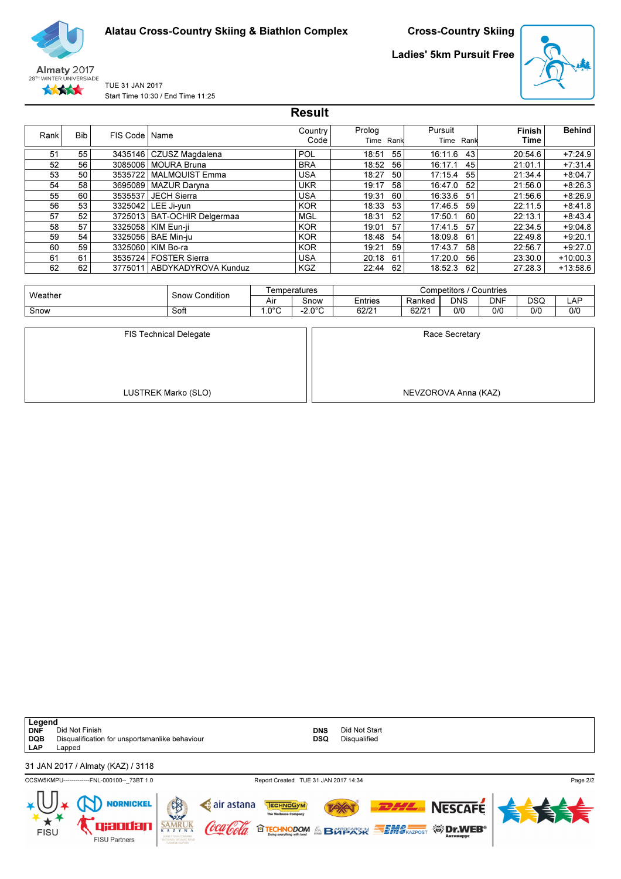

Cross-Country Skiing

Ladies' 5km Pursuit Free



TUE 31 JAN 2017 Start Time 10:30 / End Time 11:25

|      |            |                 |                       | <b>Result</b>   |                     |    |                 |      |                       |               |
|------|------------|-----------------|-----------------------|-----------------|---------------------|----|-----------------|------|-----------------------|---------------|
| Rank | <b>Bib</b> | FIS Code   Name |                       | Country<br>Code | Prolog<br>Time Rank |    | Pursuit<br>Time | Rank | <b>Finish</b><br>Time | <b>Behind</b> |
| 51   | 55         | 3435146         | CZUSZ Magdalena       | POL             | 18:51               | 55 | 16:11.6         | 43   | 20:54.6               | $+7:24.9$     |
| 52   | 56         | 3085006         | <b>MOURA Bruna</b>    | <b>BRA</b>      | 18:52               | 56 | 16:17.1         | 45   | 21:01.1               | $+7:31.4$     |
| 53   | 50         | 3535722         | <b>MALMQUIST Emma</b> | USA             | 18:27               | 50 | 17:15.4         | 55   | 21:34.4               | $+8:04.7$     |
| 54   | 58         | 3695089         | <b>MAZUR Darvna</b>   | <b>UKR</b>      | 19:17               | 58 | 16:47.0         | 52   | 21:56.0               | $+8:26.3$     |
| 55   | 60         | 3535537         | <b>JECH Sierra</b>    | USA             | 19:31               | 60 | 16:33.6         | 51   | 21:56.6               | $+8:26.9$     |
| 56   | 53         | 3325042         | LEE Ji-yun            | <b>KOR</b>      | 18:33               | 53 | 17:46.5         | 59   | 22:11.5               | $+8:41.8$     |
| 57   | 52         | 3725013         | BAT-OCHIR Delgermaa   | <b>MGL</b>      | 18:31               | 52 | 17:50.1         | 60   | 22:13.1               | $+8:43.4$     |
| 58   | 57         |                 | 3325058   KIM Eun-ii  | <b>KOR</b>      | 19:01               | 57 | 17:41.5         | 57   | 22:34.5               | $+9:04.8$     |
| 59   | 54         | 3325056         | <b>BAE Min-ju</b>     | <b>KOR</b>      | 18:48               | 54 | 18:09.8         | 61   | 22:49.8               | $+9:20.1$     |
| 60   | 59         |                 | 3325060   KIM Bo-ra   | <b>KOR</b>      | 19:21               | 59 | 17:43.7         | 58   | 22:56.7               | $+9:27.0$     |
| 61   | 61         | 3535724         | l FOSTER Sierra       | USA             | 20:18               | 61 | 17:20.0         | 56   | 23:30.0               | $+10:00.3$    |
| 62   | 62         | 3775011         | ABDYKADYROVA Kunduz   | <b>KGZ</b>      | 22:44               | 62 | 18:52.3         | 62   | 27:28.3               | $+13:58.6$    |

| Weather | Condition<br>Snow 1 | ⊺emperatures                |               | Countries<br>Competitors |        |            |            |            |     |  |  |
|---------|---------------------|-----------------------------|---------------|--------------------------|--------|------------|------------|------------|-----|--|--|
|         |                     | $\ddot{\phantom{1}}$<br>Air | Snow          | <b>Entries</b>           | Ranked | <b>DNS</b> | <b>DNF</b> | <b>DSQ</b> | LAF |  |  |
| Snow    | Soft                | ∩°0∩،                       | n nºn<br>-2.U | 62/21                    | 62/21  | 0/0        | 0/0        | 0/0        | 0/0 |  |  |

| <b>FIS Technical Delegate</b> | Race Secretary       |
|-------------------------------|----------------------|
|                               |                      |
|                               |                      |
|                               |                      |
|                               |                      |
| LUSTREK Marko (SLO)           | NEVZOROVA Anna (KAZ) |

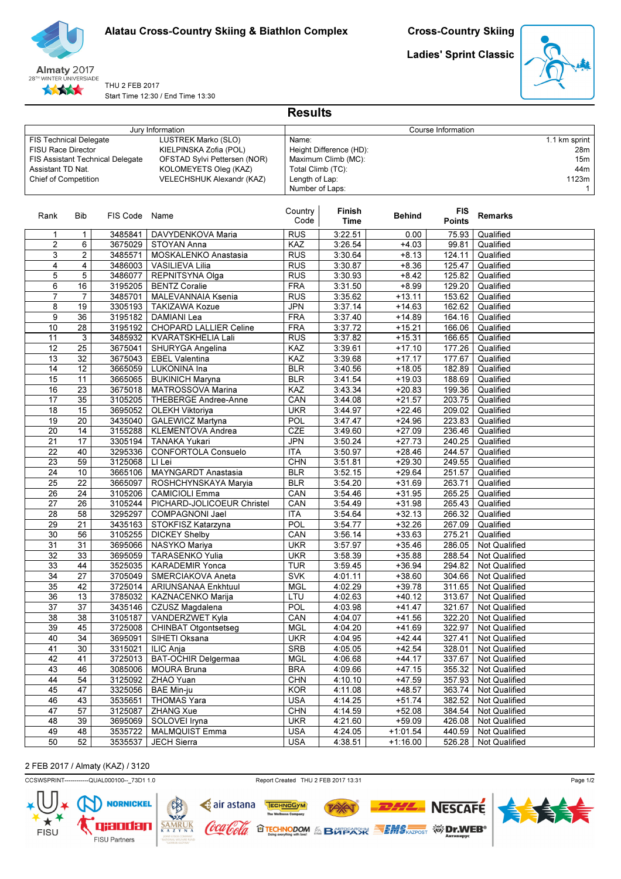

Ladies' Sprint Classic



THU 2 FEB 2017 Start Time 12:30 / End Time 13:30

|                                                                                                                                                                                                                                                                                    |                 |                                                                                                                                    |                                           | <b>Results</b>  |                    |                      |                             |                        |
|------------------------------------------------------------------------------------------------------------------------------------------------------------------------------------------------------------------------------------------------------------------------------------|-----------------|------------------------------------------------------------------------------------------------------------------------------------|-------------------------------------------|-----------------|--------------------|----------------------|-----------------------------|------------------------|
|                                                                                                                                                                                                                                                                                    |                 |                                                                                                                                    | Jury Information                          |                 |                    |                      | Course Information          |                        |
| LUSTREK Marko (SLO)<br><b>FIS Technical Delegate</b><br>KIELPINSKA Zofia (POL)<br><b>FISU Race Director</b><br>OFSTAD Sylvi Pettersen (NOR)<br>FIS Assistant Technical Delegate<br>Assistant TD Nat.<br>KOLOMEYETS Oleg (KAZ)<br>VELECHSHUK Alexandr (KAZ)<br>Chief of Competition |                 | 1.1 km sprint<br>Name:<br>Height Difference (HD):<br>Maximum Climb (MC):<br>Total Climb (TC):<br>Length of Lap:<br>Number of Laps: |                                           |                 |                    |                      |                             |                        |
| Rank                                                                                                                                                                                                                                                                               | Bib             | FIS Code Name                                                                                                                      |                                           | Country<br>Code | Finish<br>Time     | <b>Behind</b>        | <b>FIS</b><br><b>Points</b> | <b>Remarks</b>         |
| 1                                                                                                                                                                                                                                                                                  | 1               | 3485841                                                                                                                            | DAVYDENKOVA Maria                         | <b>RUS</b>      | 3:22.51            | 0.00                 | 75.93                       | Qualified              |
| $\overline{2}$                                                                                                                                                                                                                                                                     | 6               | 3675029                                                                                                                            | STOYAN Anna                               | KAZ             | 3:26.54            | $+4.03$              | 99.81                       | Qualified              |
| 3                                                                                                                                                                                                                                                                                  | $\overline{c}$  | 3485571                                                                                                                            | <b>MOSKALENKO Anastasia</b>               | <b>RUS</b>      | 3:30.64            | $+8.13$              | 124.11                      | Qualified              |
| 4                                                                                                                                                                                                                                                                                  | 4               | 3486003                                                                                                                            | <b>VASILIEVA Lilia</b>                    | <b>RUS</b>      | 3:30.87            | $+8.36$              | 125.47                      | Qualified              |
| 5                                                                                                                                                                                                                                                                                  | 5               | 3486077                                                                                                                            | REPNITSYNA Olga                           | <b>RUS</b>      | 3:30.93            | $+8.42$              | 125.82                      | Qualified              |
| 6                                                                                                                                                                                                                                                                                  | 16              | 3195205                                                                                                                            | <b>BENTZ Coralie</b>                      | <b>FRA</b>      | 3:31.50            | $+8.99$              | 129.20                      | Qualified              |
| $\overline{7}$                                                                                                                                                                                                                                                                     | 7               | 3485701                                                                                                                            | <b>MALEVANNAIA Ksenia</b>                 | <b>RUS</b>      | 3:35.62            | $+13.11$             | 153.62                      | Qualified              |
| 8                                                                                                                                                                                                                                                                                  | 19              | 3305193                                                                                                                            | <b>TAKIZAWA Kozue</b>                     | <b>JPN</b>      | 3:37.14            | $+14.63$             | 162.62                      | Qualified              |
| 9                                                                                                                                                                                                                                                                                  | 36              | 3195182                                                                                                                            | DAMIANI Lea                               | <b>FRA</b>      | 3:37.40            | $+14.89$             | 164.16                      | Qualified              |
| 10                                                                                                                                                                                                                                                                                 | 28              | 3195192                                                                                                                            | CHOPARD LALLIER Celine                    | <b>FRA</b>      | 3:37.72            | $+15.21$             | 166.06                      | Qualified              |
| 11                                                                                                                                                                                                                                                                                 | 3               | 3485932                                                                                                                            | KVARATSKHELIA Lali                        | <b>RUS</b>      | 3:37.82            | $+15.31$             | 166.65                      | Qualified<br>Qualified |
| 12<br>13                                                                                                                                                                                                                                                                           | 25<br>32        | 3675041<br>3675043                                                                                                                 | SHURYGA Angelina<br><b>EBEL Valentina</b> | KAZ<br>KAZ      | 3:39.61<br>3:39.68 | $+17.10$<br>$+17.17$ | 177.26<br>177.67            | Qualified              |
| 14                                                                                                                                                                                                                                                                                 | 12              | 3665059                                                                                                                            | LUKONINA Ina                              | <b>BLR</b>      | 3:40.56            | $+18.05$             | 182.89                      | Qualified              |
| 15                                                                                                                                                                                                                                                                                 | 11              | 3665065                                                                                                                            | <b>BUKINICH Maryna</b>                    | <b>BLR</b>      | 3:41.54            | $+19.03$             | 188.69                      | Qualified              |
| 16                                                                                                                                                                                                                                                                                 | 23              | 3675018                                                                                                                            | <b>MATROSSOVA Marina</b>                  | KAZ             | 3:43.34            | $+20.83$             | 199.36                      | Qualified              |
| $\overline{17}$                                                                                                                                                                                                                                                                    | 35              | 3105205                                                                                                                            | THEBERGE Andree-Anne                      | CAN             | 3:44.08            | $+21.57$             | 203.75                      | Qualified              |
| 18                                                                                                                                                                                                                                                                                 | 15              | 3695052                                                                                                                            | OLEKH Viktoriya                           | <b>UKR</b>      | 3:44.97            | $+22.46$             | 209.02                      | Qualified              |
| 19                                                                                                                                                                                                                                                                                 | 20              | 3435040                                                                                                                            | <b>GALEWICZ Martyna</b>                   | POL             | 3:47.47            | $+24.96$             | 223.83                      | Qualified              |
| $\overline{20}$                                                                                                                                                                                                                                                                    | 14              | 3155288                                                                                                                            | KLEMENTOVA Andrea                         | CZE             | 3:49.60            | $+27.09$             | 236.46                      | Qualified              |
| 21                                                                                                                                                                                                                                                                                 | 17              | 3305194                                                                                                                            | <b>TANAKA Yukari</b>                      | <b>JPN</b>      | 3:50.24            | $+27.73$             | 240.25                      | Qualified              |
| 22                                                                                                                                                                                                                                                                                 | 40              | 3295336                                                                                                                            | CONFORTOLA Consuelo                       | <b>ITA</b>      | 3:50.97            | $+28.46$             | 244.57                      | Qualified              |
| 23                                                                                                                                                                                                                                                                                 | 59              | 3125068                                                                                                                            | LI Lei                                    | <b>CHN</b>      | 3:51.81            | $+29.30$             | 249.55                      | Qualified              |
| 24                                                                                                                                                                                                                                                                                 | 10              | 3665106                                                                                                                            | <b>MAYNGARDT Anastasia</b>                | <b>BLR</b>      | 3:52.15            | $+29.64$             | 251.57                      | Qualified              |
| 25                                                                                                                                                                                                                                                                                 | 22              | 3665097                                                                                                                            | ROSHCHYNSKAYA Maryia                      | <b>BLR</b>      | 3:54.20            | $+31.69$             | 263.71                      | Qualified              |
| 26                                                                                                                                                                                                                                                                                 | 24              | 3105206                                                                                                                            | <b>CAMICIOLI Emma</b>                     | CAN             | 3:54.46            | $+31.95$             | 265.25                      | Qualified              |
| 27                                                                                                                                                                                                                                                                                 | 26              | 3105244                                                                                                                            | PICHARD-JOLICOEUR Christel                | CAN             | 3:54.49            | $+31.98$             | 265.43                      | Qualified              |
| 28                                                                                                                                                                                                                                                                                 | 58              | 3295297                                                                                                                            | COMPAGNONI Jael                           | <b>ITA</b>      | 3:54.64            | $+32.13$             | 266.32                      | Qualified              |
| 29                                                                                                                                                                                                                                                                                 | 21              | 3435163                                                                                                                            | STOKFISZ Katarzyna                        | POL             | 3:54.77            | $+32.26$             | 267.09                      | Qualified              |
| 30                                                                                                                                                                                                                                                                                 | 56              | 3105255                                                                                                                            | <b>DICKEY Shelby</b>                      | CAN             | 3:56.14            | $+33.63$             | 275.21                      | Qualified              |
| 31                                                                                                                                                                                                                                                                                 | 31              | 3695066                                                                                                                            | NASYKO Mariya                             | <b>UKR</b>      | 3:57.97            | $+35.46$             | 286.05                      | Not Qualified          |
| 32                                                                                                                                                                                                                                                                                 | 33              | 3695059                                                                                                                            | <b>TARASENKO Yulia</b>                    | <b>UKR</b>      | 3:58.39            | $+35.88$             | 288.54                      | Not Qualified          |
| 33                                                                                                                                                                                                                                                                                 | 44              | 3525035                                                                                                                            | KARADEMIR Yonca                           | <b>TUR</b>      | 3:59.45            | $+36.94$             | 294.82                      | Not Qualified          |
| $\overline{34}$                                                                                                                                                                                                                                                                    | $\overline{27}$ | 3705049                                                                                                                            | SMERCIAKOVA Aneta                         | <b>SVK</b>      | 4:01.11            | $+38.60$             | 304.66                      | Not Qualified          |
| 35                                                                                                                                                                                                                                                                                 | 42              | 3725014                                                                                                                            | ARIUNSANAA Enkhtuul                       | <b>MGL</b>      | 4:02.29            | $+39.78$             | 311.65                      | Not Qualified          |
| 36                                                                                                                                                                                                                                                                                 | 13              | 3785032                                                                                                                            | KAZNACENKO Marija                         | LTU             | 4:02.63            | $+40.12$             | 313.67                      | Not Qualified          |
| $\overline{37}$                                                                                                                                                                                                                                                                    | $\overline{37}$ | 3435146                                                                                                                            | CZUSZ Magdalena                           | <b>POL</b>      | 4:03.98            | $+41.47$             | 321.67                      | Not Qualified          |
| $\overline{38}$                                                                                                                                                                                                                                                                    | 38              | 3105187                                                                                                                            | VANDERZWET Kyla                           | CAN             | 4:04.07            | $+41.56$             | 322.20                      | Not Qualified          |
| 39                                                                                                                                                                                                                                                                                 | 45              | 3725008                                                                                                                            | CHINBAT Otgontsetseg                      | <b>MGL</b>      | 4:04.20            | $+41.69$             | 322.97                      | Not Qualified          |
| 40                                                                                                                                                                                                                                                                                 | 34              | 3695091                                                                                                                            | SIHETI Oksana                             | <b>UKR</b>      | 4:04.95            | $+42.44$             | 327.41                      | Not Qualified          |
| 41                                                                                                                                                                                                                                                                                 | 30              | 3315021                                                                                                                            | ILIC Anja                                 | <b>SRB</b>      | 4:05.05            | $+42.54$             | 328.01                      | <b>Not Qualified</b>   |
| 42                                                                                                                                                                                                                                                                                 | 41              | 3725013                                                                                                                            | <b>BAT-OCHIR Delgermaa</b>                | <b>MGL</b>      | 4:06.68            | $+44.17$             | 337.67                      | Not Qualified          |
| 43                                                                                                                                                                                                                                                                                 | 46              | 3085006                                                                                                                            | <b>MOURA Bruna</b>                        | <b>BRA</b>      | 4:09.66            | $+47.15$             | 355.32                      | Not Qualified          |
| 44                                                                                                                                                                                                                                                                                 | 54              | 3125092                                                                                                                            | ZHAO Yuan                                 | <b>CHN</b>      | 4:10.10            | $+47.59$             | 357.93                      | Not Qualified          |
| 45                                                                                                                                                                                                                                                                                 | 47              | 3325056                                                                                                                            | <b>BAE Min-ju</b>                         | <b>KOR</b>      | 4:11.08            | $+48.57$             | 363.74                      | Not Qualified          |
| 46                                                                                                                                                                                                                                                                                 | 43              | 3535651                                                                                                                            | THOMAS Yara                               | <b>USA</b>      | 4:14.25            | $+51.74$<br>$+52.08$ | 382.52                      | Not Qualified          |
| $\overline{47}$                                                                                                                                                                                                                                                                    | 57              | 3125087                                                                                                                            | ZHANG Xue                                 | <b>CHN</b>      | 4:14.59            |                      | 384.54                      | Not Qualified          |
| 48<br>49                                                                                                                                                                                                                                                                           | 39<br>48        | 3695069                                                                                                                            | SOLOVEI Iryna                             | <b>UKR</b>      | 4:21.60            | $+59.09$             | 426.08                      | Not Qualified          |
| 50                                                                                                                                                                                                                                                                                 | 52              | 3535722                                                                                                                            | <b>MALMQUIST Emma</b>                     | <b>USA</b>      | 4:24.05            | $+1:01.54$           | 440.59                      | Not Qualified          |
|                                                                                                                                                                                                                                                                                    |                 | 3535537                                                                                                                            | <b>JECH Sierra</b>                        | <b>USA</b>      | 4:38.51            | $+1:16.00$           | 526.28                      | Not Qualified          |

# 2 FEB 2017 / Almaty (KAZ) / 3120

CCSWSPRINT------------QUAL000100--\_73D1 1.0 Report Created THU 2 FEB 2017 13:31

TAY

**OTECHNODOM & BOTPACK SEMS AZPOST WIDERS** 

TECHNOGYM

c air astana

'lool*a* 

(oca

 $\frac{\overline{SAMR}}{K\ A\ Z}$ 



**NESCAFE**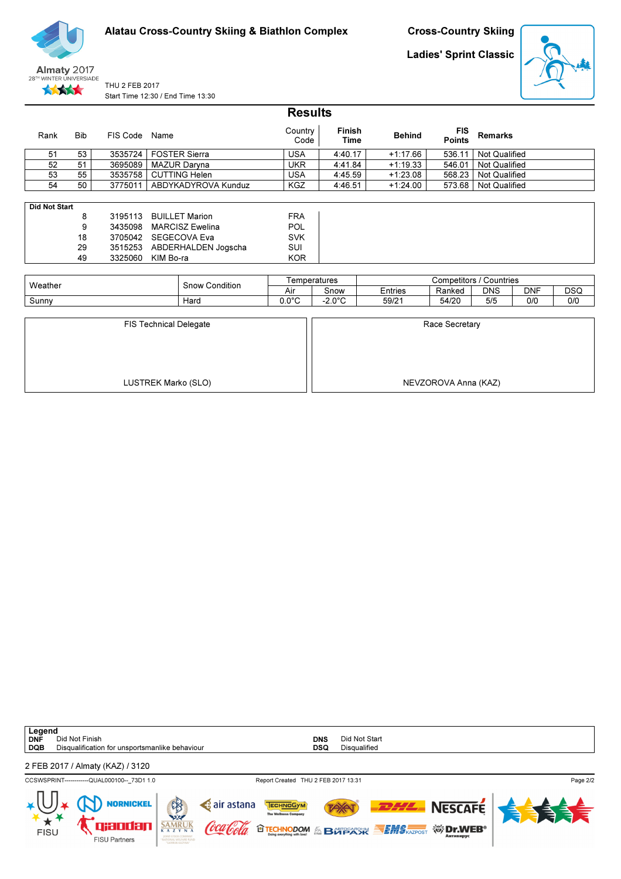Cross-Country Skiing

Ladies' Sprint Classic





THU 2 FEB 2017 Start Time 12:30 / End Time 13:30

|                      |            |          |                        | <b>Results</b>  |                       |               |                                |                      |            |            |
|----------------------|------------|----------|------------------------|-----------------|-----------------------|---------------|--------------------------------|----------------------|------------|------------|
| Rank                 | <b>Bib</b> | FIS Code | Name                   | Country<br>Code | <b>Finish</b><br>Time | <b>Behind</b> | <b>FIS</b><br><b>Points</b>    | <b>Remarks</b>       |            |            |
| 51                   | 53         | 3535724  | <b>FOSTER Sierra</b>   | <b>USA</b>      | 4:40.17               | $+1:17.66$    | 536.11                         | Not Qualified        |            |            |
| 52                   | 51         | 3695089  | MAZUR Daryna           | <b>UKR</b>      | 4:41.84               | $+1:19.33$    | 546.01                         | Not Qualified        |            |            |
| 53                   | 55         | 3535758  | <b>CUTTING Helen</b>   | USA             | 4:45.59               | $+1:23.08$    | 568.23                         | <b>Not Qualified</b> |            |            |
| 54                   | 50         | 3775011  | ABDYKADYROVA Kunduz    | <b>KGZ</b>      | 4:46.51               | $+1:24.00$    | 573.68                         | Not Qualified        |            |            |
|                      |            |          |                        |                 |                       |               |                                |                      |            |            |
| <b>Did Not Start</b> |            |          |                        |                 |                       |               |                                |                      |            |            |
|                      | 8          | 3195113  | <b>BUILLET Marion</b>  | <b>FRA</b>      |                       |               |                                |                      |            |            |
|                      | 9          | 3435098  | <b>MARCISZ Ewelina</b> | POL             |                       |               |                                |                      |            |            |
|                      | 18         | 3705042  | SEGECOVA Eva           | <b>SVK</b>      |                       |               |                                |                      |            |            |
|                      | 29         | 3515253  | ABDERHALDEN Jogscha    | <b>SUI</b>      |                       |               |                                |                      |            |            |
|                      | 49         | 3325060  | KIM Bo-ra              | <b>KOR</b>      |                       |               |                                |                      |            |            |
|                      |            |          |                        |                 |                       |               |                                |                      |            |            |
|                      |            |          |                        |                 | Temperatures          |               | <b>Competitors / Countries</b> |                      |            |            |
| Weather              |            |          | <b>Snow Condition</b>  | Air             | Snow                  | Entries       | Ranked                         | <b>DNS</b>           | <b>DNF</b> | <b>DSQ</b> |

| <b>FIS Technical Delegate</b> | Race Secretary       |
|-------------------------------|----------------------|
|                               |                      |
|                               |                      |
|                               |                      |
|                               |                      |
|                               |                      |
| LUSTREK Marko (SLO)           | NEVZOROVA Anna (KAZ) |
|                               |                      |

Sunny | Hard | 0.0°C | -2.0°C | 59/21 | 54/20 | 5/5 | 0/0 | 0/0

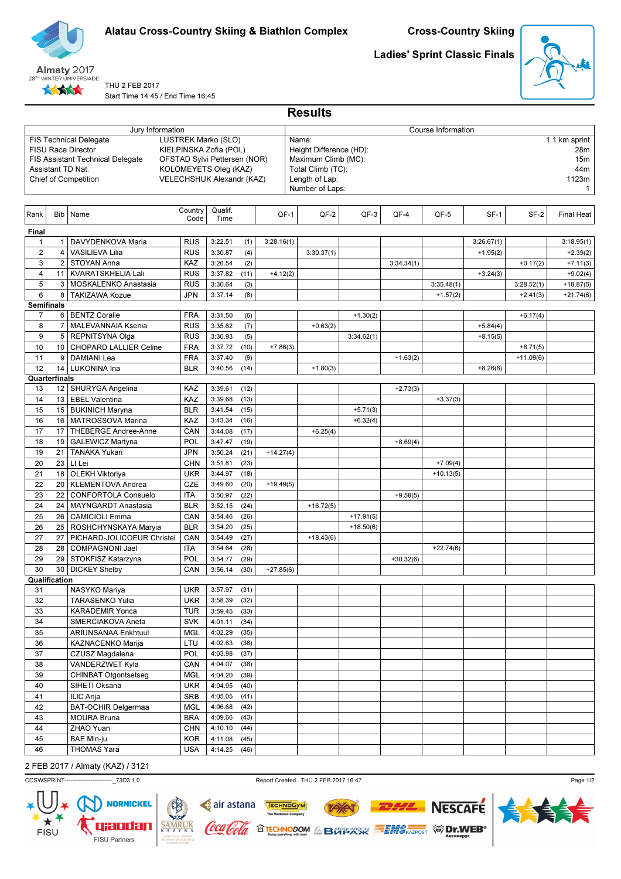



#### THU 2 FEB 2017 Start Time 14:45 / End Time 16:45

Ladies' Sprint Classic Finals



|                |                                                                                                                                                                                                                                                                                    |                                                   |                          |                    |              |             | <b>Results</b>                                                                                                                                                        |             |             |             |                    |            |             |             |
|----------------|------------------------------------------------------------------------------------------------------------------------------------------------------------------------------------------------------------------------------------------------------------------------------------|---------------------------------------------------|--------------------------|--------------------|--------------|-------------|-----------------------------------------------------------------------------------------------------------------------------------------------------------------------|-------------|-------------|-------------|--------------------|------------|-------------|-------------|
|                |                                                                                                                                                                                                                                                                                    | Jury Information                                  |                          |                    |              |             |                                                                                                                                                                       |             |             |             | Course Information |            |             |             |
|                | LUSTREK Marko (SLO)<br><b>FIS Technical Delegate</b><br><b>FISU Race Director</b><br>KIELPINSKA Zofia (POL)<br>OFSTAD Sylvi Pettersen (NOR)<br>FIS Assistant Technical Delegate<br>Assistant TD Nat.<br>KOLOMEYETS Oleg (KAZ)<br>Chief of Competition<br>VELECHSHUK Alexandr (KAZ) |                                                   |                          |                    |              |             | Name:<br>1.1 km sprint<br>Height Difference (HD):<br>28m<br>Maximum Climb (MC):<br>15m<br>44m<br>Total Climb (TC):<br>Length of Lap:<br>1123m<br>Number of Laps:<br>1 |             |             |             |                    |            |             |             |
| Rank           | <b>Bib</b>                                                                                                                                                                                                                                                                         | Name                                              | Country<br>Code          | Qualif.<br>Time    |              | $QF-1$      |                                                                                                                                                                       | QF-2        | QF-3        | QF-4        | QF-5               | $SF-1$     | SF-2        | Final Heat  |
| Final          |                                                                                                                                                                                                                                                                                    |                                                   |                          |                    |              |             |                                                                                                                                                                       |             |             |             |                    |            |             |             |
| $\mathbf{1}$   | $\mathbf{1}$                                                                                                                                                                                                                                                                       | DAVYDENKOVA Maria                                 | <b>RUS</b>               | 3:22.51            | (1)          | 3:28.16(1)  |                                                                                                                                                                       |             |             |             |                    | 3:26.67(1) |             | 3:18.95(1)  |
| $\overline{2}$ | $\overline{4}$                                                                                                                                                                                                                                                                     | <b>VASILIEVA Lilia</b>                            | <b>RUS</b>               | 3:30.87            | (4)          |             |                                                                                                                                                                       | 3:30.37(1)  |             |             |                    | $+1.95(2)$ |             | $+2.39(2)$  |
| 3              | $\overline{2}$                                                                                                                                                                                                                                                                     | STOYAN Anna                                       | KAZ                      | 3:26.54            | (2)          |             |                                                                                                                                                                       |             |             | 3:34.34(1)  |                    |            | $+0.17(2)$  | $+7.11(3)$  |
| $\overline{4}$ | 11                                                                                                                                                                                                                                                                                 | <b>KVARATSKHELIA Lali</b>                         | <b>RUS</b>               | 3:37.82            | (11)         | $+4.12(2)$  |                                                                                                                                                                       |             |             |             |                    | $+3.24(3)$ |             | $+9.02(4)$  |
| 5              | 3                                                                                                                                                                                                                                                                                  | MOSKALENKO Anastasia                              | <b>RUS</b>               | 3:30.64            | (3)          |             |                                                                                                                                                                       |             |             |             | 3:35.48(1)         |            | 3:28.52(1)  | $+18.87(5)$ |
| 6              | 8                                                                                                                                                                                                                                                                                  | <b>TAKIZAWA Kozue</b>                             | JPN                      | 3:37.14            | (8)          |             |                                                                                                                                                                       |             |             |             | $+1.57(2)$         |            | $+2.41(3)$  | $+21.74(6)$ |
|                | <b>Semifinals</b>                                                                                                                                                                                                                                                                  |                                                   |                          |                    |              |             |                                                                                                                                                                       |             |             |             |                    |            |             |             |
| 7<br>8         | 6<br>$\overline{7}$                                                                                                                                                                                                                                                                | <b>BENTZ Coralie</b><br><b>MALEVANNAIA Ksenia</b> | <b>FRA</b><br><b>RUS</b> | 3:31.50<br>3:35.62 | (6)<br>(7)   |             |                                                                                                                                                                       | $+0.63(2)$  | $+1.30(2)$  |             |                    | $+5.84(4)$ | $+6.17(4)$  |             |
| 9              | 5                                                                                                                                                                                                                                                                                  | REPNITSYNA Olga                                   | <b>RUS</b>               | 3:30.93            | (5)          |             |                                                                                                                                                                       |             | 3:34.62(1)  |             |                    | $+8.15(5)$ |             |             |
| 10             | 10                                                                                                                                                                                                                                                                                 | CHOPARD LALLIER Celine                            | <b>FRA</b>               | 3:37.72            | (10)         | $+7.86(3)$  |                                                                                                                                                                       |             |             |             |                    |            | $+8.71(5)$  |             |
| 11             | 9                                                                                                                                                                                                                                                                                  | <b>DAMIANI</b> Lea                                | <b>FRA</b>               | 3:37.40            | (9)          |             |                                                                                                                                                                       |             |             | $+1.63(2)$  |                    |            | $+11.09(6)$ |             |
| 12             | 14                                                                                                                                                                                                                                                                                 | LUKONINA Ina                                      | <b>BLR</b>               | 3:40.56            | (14)         |             |                                                                                                                                                                       | $+1.80(3)$  |             |             |                    | $+8.26(6)$ |             |             |
|                | Quarterfinals                                                                                                                                                                                                                                                                      |                                                   |                          |                    |              |             |                                                                                                                                                                       |             |             |             |                    |            |             |             |
| 13             | 12                                                                                                                                                                                                                                                                                 | SHURYGA Angelina                                  | KAZ                      | 3:39.61            | (12)         |             |                                                                                                                                                                       |             |             | $+2.73(3)$  |                    |            |             |             |
| 14             |                                                                                                                                                                                                                                                                                    | 13   EBEL Valentina                               | KAZ                      | 3:39.68            | (13)         |             |                                                                                                                                                                       |             |             |             | $+3.37(3)$         |            |             |             |
| 15             | 15                                                                                                                                                                                                                                                                                 | <b>BUKINICH Maryna</b>                            | <b>BLR</b>               | 3:41.54            | (15)         |             |                                                                                                                                                                       |             | $+5.71(3)$  |             |                    |            |             |             |
| 16             | 16                                                                                                                                                                                                                                                                                 | <b>MATROSSOVA Marina</b>                          | KAZ                      | 3:43.34            | (16)         |             |                                                                                                                                                                       |             | $+6.32(4)$  |             |                    |            |             |             |
| 17             | 17                                                                                                                                                                                                                                                                                 | THEBERGE Andree-Anne                              | CAN                      | 3:44.08            | (17)         |             |                                                                                                                                                                       | $+6.25(4)$  |             |             |                    |            |             |             |
| 18             | 19<br>21                                                                                                                                                                                                                                                                           | <b>GALEWICZ Martyna</b><br><b>TANAKA Yukari</b>   | POL                      | 3:47.47            | (19)         |             |                                                                                                                                                                       |             |             | $+8.69(4)$  |                    |            |             |             |
| 19<br>20       | 23                                                                                                                                                                                                                                                                                 | LI Lei                                            | JPN<br><b>CHN</b>        | 3:50.24<br>3:51.81 | (21)<br>(23) | $+14.27(4)$ |                                                                                                                                                                       |             |             |             | $+7.09(4)$         |            |             |             |
| 21             | 18                                                                                                                                                                                                                                                                                 | <b>OLEKH Viktoriya</b>                            | <b>UKR</b>               | 3:44.97            | (18)         |             |                                                                                                                                                                       |             |             |             | $+10.13(5)$        |            |             |             |
| 22             | 20                                                                                                                                                                                                                                                                                 | <b>KLEMENTOVA Andrea</b>                          | CZE                      | 3:49.60            | (20)         | $+19.49(5)$ |                                                                                                                                                                       |             |             |             |                    |            |             |             |
| 23             | 22                                                                                                                                                                                                                                                                                 | <b>CONFORTOLA Consuelo</b>                        | <b>ITA</b>               | 3:50.97            | (22)         |             |                                                                                                                                                                       |             |             | $+9.58(5)$  |                    |            |             |             |
| 24             | 24                                                                                                                                                                                                                                                                                 | <b>MAYNGARDT Anastasia</b>                        | <b>BLR</b>               | 3:52.15            | (24)         |             |                                                                                                                                                                       | $+16.72(5)$ |             |             |                    |            |             |             |
| 25             | 26                                                                                                                                                                                                                                                                                 | <b>CAMICIOLI Emma</b>                             | CAN                      | 3:54.46            | (26)         |             |                                                                                                                                                                       |             | $+17.91(5)$ |             |                    |            |             |             |
| 26             | 25                                                                                                                                                                                                                                                                                 | ROSHCHYNSKAYA Maryia                              | <b>BLR</b>               | 3:54.20            | (25)         |             |                                                                                                                                                                       |             | $+18.50(6)$ |             |                    |            |             |             |
| 27             | 27                                                                                                                                                                                                                                                                                 | PICHARD-JOLICOEUR Christel                        | CAN                      | 3:54.49            | (27)         |             |                                                                                                                                                                       | $+18.43(6)$ |             |             |                    |            |             |             |
| 28             | 28                                                                                                                                                                                                                                                                                 | <b>COMPAGNONI Jael</b>                            | <b>ITA</b>               | 3:54.64            | (28)         |             |                                                                                                                                                                       |             |             |             | $+22.74(6)$        |            |             |             |
| 29             | 29                                                                                                                                                                                                                                                                                 | STOKFISZ Katarzyna                                | POL                      | 3:54.77            | (29)         |             |                                                                                                                                                                       |             |             | $+30.32(6)$ |                    |            |             |             |
| 30             | 30                                                                                                                                                                                                                                                                                 | <b>DICKEY Shelby</b>                              | CAN                      | 3:56.14            | (30)         | $+27.85(6)$ |                                                                                                                                                                       |             |             |             |                    |            |             |             |
|                | Qualification                                                                                                                                                                                                                                                                      |                                                   |                          |                    |              |             |                                                                                                                                                                       |             |             |             |                    |            |             |             |
| 31<br>32       |                                                                                                                                                                                                                                                                                    | NASYKO Mariya<br><b>TARASENKO Yulia</b>           | <b>UKR</b><br><b>UKR</b> | 3:57.97            | (31)         |             |                                                                                                                                                                       |             |             |             |                    |            |             |             |
| 33             |                                                                                                                                                                                                                                                                                    | <b>KARADEMIR Yonca</b>                            | <b>TUR</b>               | 3:58.39<br>3:59.45 | (32)<br>(33) |             |                                                                                                                                                                       |             |             |             |                    |            |             |             |
| 34             |                                                                                                                                                                                                                                                                                    | SMERCIAKOVA Aneta                                 | <b>SVK</b>               | 4:01.11            | (34)         |             |                                                                                                                                                                       |             |             |             |                    |            |             |             |
| 35             |                                                                                                                                                                                                                                                                                    | ARIUNSANAA Enkhtuul                               | <b>MGL</b>               | 4:02.29            | (35)         |             |                                                                                                                                                                       |             |             |             |                    |            |             |             |
| 36             |                                                                                                                                                                                                                                                                                    | KAZNACENKO Marija                                 | LTU                      | 4:02.63            | (36)         |             |                                                                                                                                                                       |             |             |             |                    |            |             |             |
| 37             |                                                                                                                                                                                                                                                                                    | CZUSZ Magdalena                                   | POL                      | 4:03.98            | (37)         |             |                                                                                                                                                                       |             |             |             |                    |            |             |             |
| 38             |                                                                                                                                                                                                                                                                                    | VANDERZWET Kyla                                   | CAN                      | 4:04.07            | (38)         |             |                                                                                                                                                                       |             |             |             |                    |            |             |             |
| 39             |                                                                                                                                                                                                                                                                                    | <b>CHINBAT Otgontsetseg</b>                       | <b>MGL</b>               | 4:04.20            | (39)         |             |                                                                                                                                                                       |             |             |             |                    |            |             |             |
| 40             |                                                                                                                                                                                                                                                                                    | SIHETI Oksana                                     | <b>UKR</b>               | 4:04.95            | (40)         |             |                                                                                                                                                                       |             |             |             |                    |            |             |             |
| 41             |                                                                                                                                                                                                                                                                                    | ILIC Anja                                         | <b>SRB</b>               | 4:05.05            | (41)         |             |                                                                                                                                                                       |             |             |             |                    |            |             |             |
| 42             |                                                                                                                                                                                                                                                                                    | <b>BAT-OCHIR Delgermaa</b>                        | <b>MGL</b>               | 4:06.68            | (42)         |             |                                                                                                                                                                       |             |             |             |                    |            |             |             |
| 43             |                                                                                                                                                                                                                                                                                    | <b>MOURA Bruna</b>                                | <b>BRA</b>               | 4:09.66            | (43)         |             |                                                                                                                                                                       |             |             |             |                    |            |             |             |
| 44             |                                                                                                                                                                                                                                                                                    | ZHAO Yuan                                         | <b>CHN</b>               | 4:10.10            | (44)         |             |                                                                                                                                                                       |             |             |             |                    |            |             |             |
| 45             |                                                                                                                                                                                                                                                                                    | <b>BAE Min-ju</b>                                 | <b>KOR</b>               | 4:11.08            | (45)         |             |                                                                                                                                                                       |             |             |             |                    |            |             |             |
| 46             |                                                                                                                                                                                                                                                                                    | THOMAS Yara                                       | <b>USA</b>               | 4:14.25            | (46)         |             |                                                                                                                                                                       |             |             |             |                    |            |             |             |

2 FEB 2017 / Almaty (KAZ) / 3121



**TAY** 

**O TECHNODOM & BOTSCARRY SEMS REPORT WATERS** 

TECHNOGYM

air astana

Coca Cola

 $SAMRUK  
 $KAXYNA$$ </u>







**NESCAFE**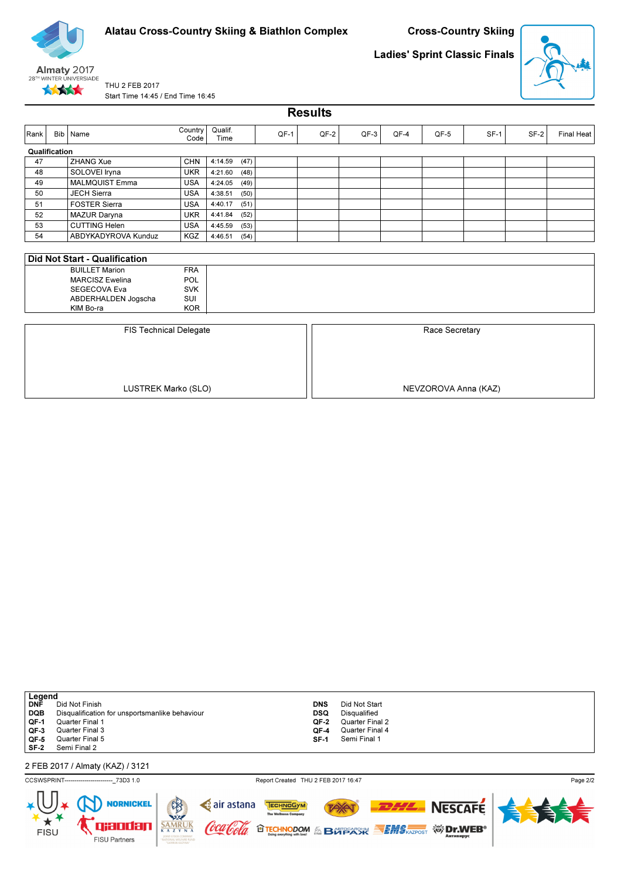



Ladies' Sprint Classic Finals



THU 2 FEB 2017 Start Time 14:45 / End Time 16:45

Results

| Rank          | Bib | Name                          | <b>Country</b><br>Code | Qualif.<br>Time |      | QF-1 | $QF-2$ | $QF-3$         | QF-4 | QF-5 | $SF-1$ | $SF-2$ | Final Heat |  |  |
|---------------|-----|-------------------------------|------------------------|-----------------|------|------|--------|----------------|------|------|--------|--------|------------|--|--|
| Qualification |     |                               |                        |                 |      |      |        |                |      |      |        |        |            |  |  |
| 47            |     | <b>ZHANG Xue</b>              | CHN                    | 4:14.59         | (47) |      |        |                |      |      |        |        |            |  |  |
| 48            |     | SOLOVEI Iryna                 | <b>UKR</b>             | 4:21.60         | (48) |      |        |                |      |      |        |        |            |  |  |
| 49            |     | <b>MALMQUIST Emma</b>         | <b>USA</b>             | 4:24.05         | (49) |      |        |                |      |      |        |        |            |  |  |
| 50            |     | <b>JECH Sierra</b>            | <b>USA</b>             | 4:38.51         | (50) |      |        |                |      |      |        |        |            |  |  |
| 51            |     | <b>FOSTER Sierra</b>          | <b>USA</b>             | 4:40.17         | (51) |      |        |                |      |      |        |        |            |  |  |
| 52            |     | <b>MAZUR Daryna</b>           | <b>UKR</b>             | 4:41.84         | (52) |      |        |                |      |      |        |        |            |  |  |
| 53            |     | <b>CUTTING Helen</b>          | <b>USA</b>             | 4:45.59         | (53) |      |        |                |      |      |        |        |            |  |  |
| 54            |     | ABDYKADYROVA Kunduz           | KGZ                    | 4:46.51         | (54) |      |        |                |      |      |        |        |            |  |  |
|               |     |                               |                        |                 |      |      |        |                |      |      |        |        |            |  |  |
|               |     | Did Not Start - Qualification |                        |                 |      |      |        |                |      |      |        |        |            |  |  |
|               |     | <b>BUILLET Marion</b>         | <b>FRA</b>             |                 |      |      |        |                |      |      |        |        |            |  |  |
|               |     | <b>MARCISZ Ewelina</b>        | POL                    |                 |      |      |        |                |      |      |        |        |            |  |  |
|               |     | SEGECOVA Eva                  | <b>SVK</b>             |                 |      |      |        |                |      |      |        |        |            |  |  |
|               |     | ABDERHALDEN Jogscha           | SUI                    |                 |      |      |        |                |      |      |        |        |            |  |  |
|               |     | KIM Bo-ra                     | <b>KOR</b>             |                 |      |      |        |                |      |      |        |        |            |  |  |
|               |     |                               |                        |                 |      |      |        |                |      |      |        |        |            |  |  |
|               |     | <b>FIS Technical Delegate</b> |                        |                 |      |      |        | Race Secretary |      |      |        |        |            |  |  |
|               |     |                               |                        |                 |      |      |        |                |      |      |        |        |            |  |  |
|               |     |                               |                        |                 |      |      |        |                |      |      |        |        |            |  |  |
|               |     |                               |                        |                 |      |      |        |                |      |      |        |        |            |  |  |

LUSTREK Marko (SLO) NEVZOROVA Anna (KAZ)

| Legend     |                                                |            |                 |
|------------|------------------------------------------------|------------|-----------------|
| DNĒ        | Did Not Finish                                 | <b>DNS</b> | Did Not Start   |
| <b>DQB</b> | Disqualification for unsportsmanlike behaviour | <b>DSQ</b> | Disqualified    |
| QF-1       | Quarter Final 1                                | QF-2       | Quarter Final 2 |
| QF-3       | Quarter Final 3                                | OF-4       | Quarter Final 4 |
| QF-5       | Quarter Final 5                                | SF-1       | Semi Final 1    |
|            | SF-2 Semi Final 2                              |            |                 |
|            |                                                |            |                 |
|            | 2 FEB 2017 / Almaty (KAZ) / 3121               |            |                 |

CCSWSPRINT------------------------\_73D3 1.0 Report Created THU 2 FEB 2017 16:47

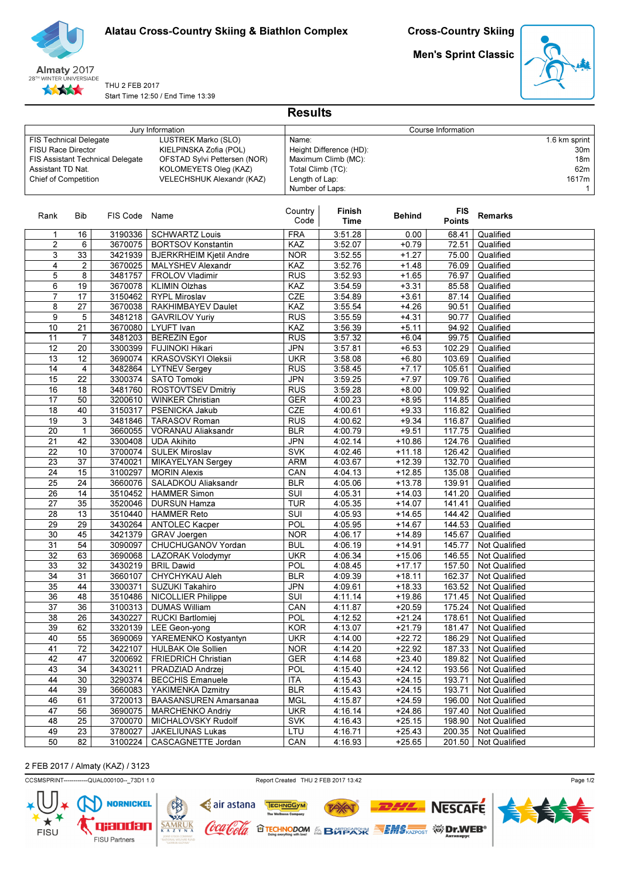

Men's Sprint Classic



THU 2 FEB 2017 Start Time 12:50 / End Time 13:39

| Jury Information                                                                                 |              |                                  |                                                                                                                                     | Course Information                                                                                                |                |                                                             |                             |                        |  |  |  |
|--------------------------------------------------------------------------------------------------|--------------|----------------------------------|-------------------------------------------------------------------------------------------------------------------------------------|-------------------------------------------------------------------------------------------------------------------|----------------|-------------------------------------------------------------|-----------------------------|------------------------|--|--|--|
| <b>FIS Technical Delegate</b><br>FISU Race Director<br>Assistant TD Nat.<br>Chief of Competition |              | FIS Assistant Technical Delegate | LUSTREK Marko (SLO)<br>KIELPINSKA Zofia (POL)<br>OFSTAD Sylvi Pettersen (NOR)<br>KOLOMEYETS Oleg (KAZ)<br>VELECHSHUK Alexandr (KAZ) | Name:<br>Height Difference (HD):<br>Maximum Climb (MC):<br>Total Climb (TC):<br>Length of Lap:<br>Number of Laps: |                | 1.6 km sprint<br>30m<br>18m<br>62m<br>1617m<br>$\mathbf{1}$ |                             |                        |  |  |  |
| Rank                                                                                             | Bib          | FIS Code Name                    |                                                                                                                                     | Country<br>Code                                                                                                   | Finish<br>Time | <b>Behind</b>                                               | <b>FIS</b><br><b>Points</b> | <b>Remarks</b>         |  |  |  |
| 1                                                                                                | 16           | 3190336                          | <b>SCHWARTZ Louis</b>                                                                                                               | <b>FRA</b>                                                                                                        | 3:51.28        | 0.00                                                        | 68.41                       | Qualified              |  |  |  |
| $\overline{2}$                                                                                   | 6            | 3670075                          | <b>BORTSOV Konstantin</b>                                                                                                           | KAZ                                                                                                               | 3:52.07        | $+0.79$                                                     | 72.51                       | Qualified              |  |  |  |
| 3                                                                                                | 33           | 3421939                          | <b>BJERKRHEIM Kjetil Andre</b>                                                                                                      | <b>NOR</b>                                                                                                        | 3:52.55        | $+1.27$                                                     | 75.00                       | Qualified              |  |  |  |
| 4                                                                                                | 2            | 3670025                          | MALYSHEV Alexandr                                                                                                                   | KAZ                                                                                                               | 3:52.76        | $+1.48$                                                     | 76.09                       | Qualified              |  |  |  |
| 5                                                                                                | 8            | 3481757                          | FROLOV Vladimir                                                                                                                     | <b>RUS</b>                                                                                                        | 3:52.93        | $+1.65$                                                     | 76.97                       | Qualified              |  |  |  |
| 6                                                                                                | 19           | 3670078                          | <b>KLIMIN Olzhas</b>                                                                                                                | KAZ                                                                                                               | 3:54.59        | $+3.31$                                                     | 85.58                       | Qualified              |  |  |  |
| $\overline{7}$                                                                                   | 17           | 3150462                          | <b>RYPL Miroslav</b>                                                                                                                | CZE                                                                                                               | 3:54.89        | $+3.61$                                                     | 87.14                       | Qualified              |  |  |  |
| 8                                                                                                | 27           | 3670038                          | RAKHIMBAYEV Daulet                                                                                                                  | KAZ                                                                                                               | 3:55.54        | $+4.26$                                                     | 90.51                       | Qualified              |  |  |  |
| 9                                                                                                | 5            | 3481218                          | <b>GAVRILOV Yuriy</b>                                                                                                               | <b>RUS</b>                                                                                                        | 3:55.59        | $+4.31$                                                     | 90.77                       | Qualified              |  |  |  |
| 10                                                                                               | 21           | 3670080                          | <b>LYUFT</b> Ivan                                                                                                                   | KAZ                                                                                                               | 3:56.39        | $+5.11$                                                     | 94.92                       | Qualified              |  |  |  |
| 11                                                                                               | 7            | 3481203                          | <b>BEREZIN Egor</b>                                                                                                                 | <b>RUS</b>                                                                                                        | 3:57.32        | $+6.04$                                                     | 99.75                       | Qualified              |  |  |  |
| 12                                                                                               | 20           | 3300399                          | <b>FUJINOKI Hikari</b>                                                                                                              | <b>JPN</b>                                                                                                        | 3:57.81        | $+6.53$                                                     | 102.29                      | Qualified              |  |  |  |
| 13                                                                                               | 12           | 3690074                          | <b>KRASOVSKYI Oleksii</b>                                                                                                           | <b>UKR</b>                                                                                                        | 3:58.08        | $+6.80$                                                     | 103.69                      | Qualified              |  |  |  |
| 14                                                                                               | 4            | 3482864                          | <b>LYTNEV Sergey</b>                                                                                                                | <b>RUS</b>                                                                                                        | 3:58.45        | $+7.17$                                                     | 105.61                      | Qualified              |  |  |  |
| 15                                                                                               | 22           | 3300374                          | <b>SATO Tomoki</b>                                                                                                                  | <b>JPN</b>                                                                                                        | 3:59.25        | $+7.97$                                                     | 109.76                      | Qualified              |  |  |  |
| 16                                                                                               | 18           | 3481760                          | ROSTOVTSEV Dmitriy                                                                                                                  | <b>RUS</b>                                                                                                        | 3:59.28        | $+8.00$                                                     | 109.92                      | Qualified              |  |  |  |
| 17                                                                                               | 50           | 3200610                          | <b>WINKER Christian</b>                                                                                                             | <b>GER</b>                                                                                                        | 4:00.23        | $+8.95$                                                     | 114.85                      | Qualified              |  |  |  |
| 18                                                                                               | 40           | 3150317                          | PSENICKA Jakub                                                                                                                      | CZE                                                                                                               | 4:00.61        | $+9.33$                                                     | 116.82                      | Qualified              |  |  |  |
| 19                                                                                               | 3            | 3481846                          | <b>TARASOV Roman</b>                                                                                                                | <b>RUS</b>                                                                                                        | 4:00.62        | $+9.34$                                                     | 116.87                      | Qualified              |  |  |  |
| $\overline{20}$                                                                                  | $\mathbf{1}$ | 3660055                          | VORANAU Aliaksandr                                                                                                                  | <b>BLR</b>                                                                                                        | 4:00.79        | $+9.51$                                                     | 117.75                      | Qualified              |  |  |  |
| 21                                                                                               | 42           | 3300408                          | <b>UDA Akihito</b>                                                                                                                  | <b>JPN</b>                                                                                                        | 4:02.14        | $+10.86$                                                    | 124.76                      | Qualified              |  |  |  |
| 22                                                                                               | 10           | 3700074                          | <b>SULEK Miroslav</b>                                                                                                               | <b>SVK</b>                                                                                                        | 4:02.46        | $+11.18$                                                    | 126.42                      | Qualified              |  |  |  |
| 23                                                                                               | 37           | 3740021                          | MIKAYELYAN Sergey                                                                                                                   | <b>ARM</b>                                                                                                        | 4:03.67        | $+12.39$                                                    | 132.70                      | Qualified              |  |  |  |
| 24                                                                                               | 15           | 3100297                          | <b>MORIN Alexis</b>                                                                                                                 | CAN                                                                                                               | 4:04.13        | $+12.85$                                                    | 135.08                      | Qualified              |  |  |  |
| 25                                                                                               | 24           | 3660076                          | SALADKOU Aliaksandr                                                                                                                 | <b>BLR</b>                                                                                                        | 4:05.06        | $+13.78$                                                    | 139.91                      | Qualified              |  |  |  |
| 26                                                                                               | 14           | 3510452                          | <b>HAMMER Simon</b>                                                                                                                 | SUI                                                                                                               | 4:05.31        | $+14.03$                                                    | 141.20                      | Qualified              |  |  |  |
| 27                                                                                               | 35           | 3520046                          | DURSUN Hamza                                                                                                                        | <b>TUR</b>                                                                                                        | 4:05.35        | $+14.07$                                                    | 141.41                      | Qualified              |  |  |  |
| 28                                                                                               | 13           | 3510440                          | <b>HAMMER Reto</b>                                                                                                                  | SUI                                                                                                               | 4:05.93        | $+14.65$                                                    | 144.42                      | Qualified              |  |  |  |
| 29                                                                                               | 29           | 3430264                          | <b>ANTOLEC Kacper</b>                                                                                                               | POL                                                                                                               | 4:05.95        | $+14.67$                                                    | 144.53                      | Qualified              |  |  |  |
| 30                                                                                               | 45           | 3421379                          | <b>GRAV Joergen</b>                                                                                                                 | <b>NOR</b>                                                                                                        | 4:06.17        | $+14.89$                                                    | 145.67                      | Qualified              |  |  |  |
| 31                                                                                               | 54           | 3090097                          | CHUCHUGANOV Yordan                                                                                                                  | <b>BUL</b>                                                                                                        | 4:06.19        | $+14.91$                                                    | 145.77                      | Not Qualified          |  |  |  |
| 32                                                                                               | 63           | 3690068                          | LAZORAK Volodymyr                                                                                                                   | <b>UKR</b>                                                                                                        | 4:06.34        | $+15.06$                                                    | 146.55                      | Not Qualified          |  |  |  |
| 33                                                                                               | 32           | 3430219                          | <b>BRIL Dawid</b>                                                                                                                   | <b>POL</b>                                                                                                        | 4:08.45        | $+17.17$                                                    | 157.50                      | <b>Not Qualified</b>   |  |  |  |
| 34                                                                                               | 31           | 3660107                          | CHYCHYKAU Aleh                                                                                                                      | <b>BLR</b>                                                                                                        | 4:09.39        | $+18.11$                                                    | 162.37                      | Not Qualified          |  |  |  |
| $\overline{35}$                                                                                  | 44           |                                  | 3300371   SUZUKI Takahiro                                                                                                           | <b>JPN</b>                                                                                                        | 4:09.61        | $+18.33$                                                    |                             | 163.52 Not Qualified   |  |  |  |
| 36                                                                                               | 48           |                                  | 3510486   NICOLLIER Philippe                                                                                                        | SUI                                                                                                               | 4:11.14        | $+19.86$                                                    |                             | 171.45   Not Qualified |  |  |  |
| 37                                                                                               | 36           |                                  | 3100313   DUMAS William                                                                                                             | CAN                                                                                                               | 4:11.87        | $+20.59$                                                    | 175.24                      | Not Qualified          |  |  |  |
| 38                                                                                               | 26           | 3430227                          | RUCKI Bartlomiej                                                                                                                    | <b>POL</b>                                                                                                        | 4:12.52        | $+21.24$                                                    | 178.61                      | Not Qualified          |  |  |  |
| 39                                                                                               | 62           |                                  | 3320139   LEE Geon-yong                                                                                                             | <b>KOR</b>                                                                                                        | 4:13.07        | $+21.79$                                                    | 181.47                      | Not Qualified          |  |  |  |
| 40                                                                                               | 55           | 3690069                          | YAREMENKO Kostyantyn                                                                                                                | <b>UKR</b>                                                                                                        | 4:14.00        | $+22.72$                                                    | 186.29                      | Not Qualified          |  |  |  |
| 41                                                                                               | 72           | 3422107                          | <b>HULBAK Ole Sollien</b>                                                                                                           | <b>NOR</b>                                                                                                        | 4:14.20        | $+22.92$                                                    | 187.33                      | Not Qualified          |  |  |  |
| 42                                                                                               | 47           | 3200692                          | <b>FRIEDRICH Christian</b>                                                                                                          | <b>GER</b>                                                                                                        | 4:14.68        | $+23.40$                                                    | 189.82                      | <b>Not Qualified</b>   |  |  |  |
| 43                                                                                               | 34           | 3430211                          | PRADZIAD Andrzej                                                                                                                    | <b>POL</b>                                                                                                        | 4:15.40        | $+24.12$                                                    | 193.56                      | Not Qualified          |  |  |  |
| 44                                                                                               | 30           | 3290374                          | <b>BECCHIS Emanuele</b>                                                                                                             | <b>ITA</b>                                                                                                        | 4:15.43        | $+24.15$                                                    | 193.71                      | Not Qualified          |  |  |  |
| 44                                                                                               | 39           | 3660083                          | YAKIMENKA Dzmitry                                                                                                                   | <b>BLR</b>                                                                                                        | 4:15.43        | $+24.15$                                                    | 193.71                      | Not Qualified          |  |  |  |
| 46                                                                                               | 61           | 3720013                          | BAASANSUREN Amarsanaa                                                                                                               | <b>MGL</b>                                                                                                        | 4:15.87        | $+24.59$                                                    | 196.00                      | Not Qualified          |  |  |  |
| 47                                                                                               | 56           | 3690075                          | <b>MARCHENKO Andriy</b>                                                                                                             | <b>UKR</b>                                                                                                        | 4:16.14        | $+24.86$                                                    | 197.40                      | Not Qualified          |  |  |  |
| 48                                                                                               | 25           | 3700070                          | MICHALOVSKY Rudolf                                                                                                                  | <b>SVK</b>                                                                                                        | 4:16.43        | $+25.15$                                                    | 198.90                      | Not Qualified          |  |  |  |
| 49                                                                                               | 23           | 3780027                          | JAKELIUNAS Lukas                                                                                                                    | LTU                                                                                                               | 4:16.71        | $+25.43$                                                    | 200.35                      | Not Qualified          |  |  |  |
| 50                                                                                               | 82           | 3100224                          | CASCAGNETTE Jordan                                                                                                                  | CAN                                                                                                               | 4:16.93        | $+25.65$                                                    | 201.50                      | Not Qualified          |  |  |  |
|                                                                                                  |              |                                  |                                                                                                                                     |                                                                                                                   |                |                                                             |                             |                        |  |  |  |

Results

# 2 FEB 2017 / Almaty (KAZ) / 3123

CCSMSPRINT------------QUAL000100--\_73D1 1.0 Report Created THU 2 FEB 2017 13:42

**TAY** 

**OTECHNODOM & BOTPACK SEMS AZPOST WIDERS** 

TECHNOGYM

c air astana

'lool*a* 

(oca

 $\frac{\overline{SAMR}}{K\ A\ Z}$ 



**NESCAFE**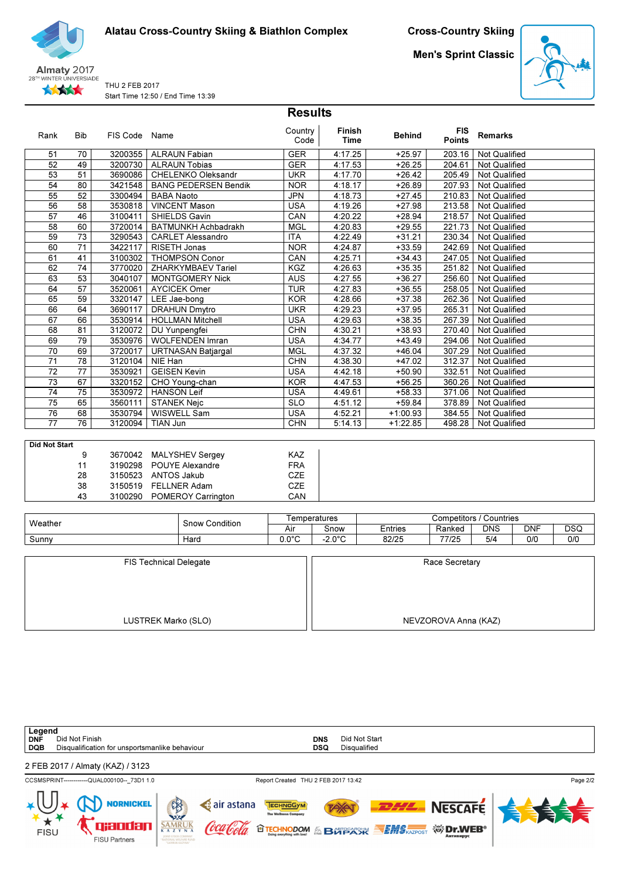Cross-Country Skiing

**Almaty 2017**<br>28<sup>TH</sup> WINTER UNIVERSIADE ★★★★★

THU 2 FEB 2017 Start Time 12:50 / End Time 13:39 Men's Sprint Classic



|                      |                 |               |                             | <b>Results</b>  |                       |               |                             |                      |
|----------------------|-----------------|---------------|-----------------------------|-----------------|-----------------------|---------------|-----------------------------|----------------------|
| Rank                 | <b>Bib</b>      | FIS Code Name |                             | Country<br>Code | Finish<br><b>Time</b> | <b>Behind</b> | <b>FIS</b><br><b>Points</b> | <b>Remarks</b>       |
| 51                   | 70              | 3200355       | <b>ALRAUN Fabian</b>        | <b>GER</b>      | 4:17.25               | $+25.97$      | 203.16                      | <b>Not Qualified</b> |
| 52                   | 49              | 3200730       | <b>ALRAUN Tobias</b>        | <b>GER</b>      | 4:17.53               | $+26.25$      | 204.61                      | <b>Not Qualified</b> |
| 53                   | 51              | 3690086       | <b>CHELENKO Oleksandr</b>   | <b>UKR</b>      | 4:17.70               | $+26.42$      | 205.49                      | <b>Not Qualified</b> |
| 54                   | 80              | 3421548       | <b>BANG PEDERSEN Bendik</b> | <b>NOR</b>      | 4:18.17               | $+26.89$      | 207.93                      | <b>Not Qualified</b> |
| $\overline{55}$      | $\overline{52}$ | 3300494       | <b>BABA Naoto</b>           | <b>JPN</b>      | 4:18.73               | $+27.45$      | 210.83                      | Not Qualified        |
| 56                   | 58              | 3530818       | <b>VINCENT Mason</b>        | <b>USA</b>      | 4:19.26               | $+27.98$      | 213.58                      | <b>Not Qualified</b> |
| 57                   | 46              | 3100411       | SHIELDS Gavin               | CAN             | 4:20.22               | $+28.94$      | 218.57                      | <b>Not Qualified</b> |
| 58                   | 60              | 3720014       | <b>BATMUNKH Achbadrakh</b>  | <b>MGL</b>      | 4:20.83               | $+29.55$      | 221.73                      | Not Qualified        |
| $\overline{59}$      | $\overline{73}$ | 3290543       | <b>CARLET Alessandro</b>    | <b>ITA</b>      | 4:22.49               | $+31.21$      | 230.34                      | <b>Not Qualified</b> |
| 60                   | $\overline{71}$ | 3422117       | RISETH Jonas                | <b>NOR</b>      | 4:24.87               | $+33.59$      | 242.69                      | <b>Not Qualified</b> |
| 61                   | 41              | 3100302       | <b>THOMPSON Conor</b>       | CAN             | 4:25.71               | $+34.43$      | 247.05                      | <b>Not Qualified</b> |
| 62                   | 74              | 3770020       | <b>ZHARKYMBAEV Tariel</b>   | KGZ             | 4:26.63               | $+35.35$      | 251.82                      | Not Qualified        |
| 63                   | 53              | 3040107       | <b>MONTGOMERY Nick</b>      | <b>AUS</b>      | 4:27.55               | $+36.27$      | 256.60                      | Not Qualified        |
| 64                   | $\overline{57}$ | 3520061       | <b>AYCICEK Omer</b>         | <b>TUR</b>      | 4:27.83               | $+36.55$      | 258.05                      | <b>Not Qualified</b> |
| 65                   | 59              | 3320147       | LEE Jae-bong                | <b>KOR</b>      | 4:28.66               | $+37.38$      | 262.36                      | <b>Not Qualified</b> |
| 66                   | 64              | 3690117       | <b>DRAHUN Dmytro</b>        | <b>UKR</b>      | 4:29.23               | $+37.95$      | 265.31                      | <b>Not Qualified</b> |
| 67                   | 66              | 3530914       | <b>HOLLMAN Mitchell</b>     | <b>USA</b>      | 4:29.63               | $+38.35$      | 267.39                      | <b>Not Qualified</b> |
| 68                   | 81              | 3120072       | DU Yunpengfei               | <b>CHN</b>      | 4:30.21               | $+38.93$      | 270.40                      | Not Qualified        |
| 69                   | 79              | 3530976       | <b>WOLFENDEN Imran</b>      | <b>USA</b>      | 4:34.77               | $+43.49$      | 294.06                      | <b>Not Qualified</b> |
| 70                   | 69              | 3720017       | <b>URTNASAN Batjargal</b>   | <b>MGL</b>      | 4:37.32               | $+46.04$      | 307.29                      | <b>Not Qualified</b> |
| 71                   | $\overline{78}$ | 3120104       | NIE Han                     | <b>CHN</b>      | 4:38.30               | $+47.02$      | 312.37                      | Not Qualified        |
| 72                   | $\overline{77}$ | 3530921       | <b>GEISEN Kevin</b>         | <b>USA</b>      | 4:42.18               | $+50.90$      | 332.51                      | <b>Not Qualified</b> |
| 73                   | 67              | 3320152       | CHO Young-chan              | <b>KOR</b>      | 4:47.53               | $+56.25$      | 360.26                      | Not Qualified        |
| 74                   | 75              | 3530972       | <b>HANSON Leif</b>          | <b>USA</b>      | 4:49.61               | $+58.33$      | 371.06                      | <b>Not Qualified</b> |
| $\overline{75}$      | 65              | 3560111       | <b>STANEK Nejc</b>          | <b>SLO</b>      | 4:51.12               | $+59.84$      | 378.89                      | <b>Not Qualified</b> |
| 76                   | 68              | 3530794       | WISWELL Sam                 | <b>USA</b>      | 4:52.21               | $+1:00.93$    | 384.55                      | <b>Not Qualified</b> |
| 77                   | 76              | 3120094       | <b>TIAN Jun</b>             | <b>CHN</b>      | 5:14.13               | $+1:22.85$    | 498.28                      | <b>Not Qualified</b> |
| <b>Did Not Start</b> |                 |               |                             |                 |                       |               |                             |                      |

| υια ινοι διαπ |                            |                  |
|---------------|----------------------------|------------------|
| 9             | 3670042 MALYSHEV Sergey    | <b>KAZ</b>       |
| 11            | 3190298 POUYE Alexandre    | <b>FRA</b>       |
| 28            | 3150523 ANTOS Jakub        | C <sub>7</sub> F |
| 38            | 3150519 FELLNER Adam       | CZE              |
| 43            | 3100290 POMEROY Carrington | CAN              |

| Weather | Condition<br>Snow |             | l emperatures             | Competitors<br>Countries |        |            |            |            |  |
|---------|-------------------|-------------|---------------------------|--------------------------|--------|------------|------------|------------|--|
|         |                   | Air         | Snow                      | <b>Entries</b>           | Ranked | <b>DNS</b> | <b>DNF</b> | <b>DSQ</b> |  |
| Sunnv   | Hard              | റംറ<br>.J.U | $\Omega$<br>$\sim$ $\sim$ | 82/25                    | 77/25  | 5/4        | 0/0        | 0/0        |  |

| <b>FIS Technical Delegate</b> | Race Secretary       |  |  |  |  |
|-------------------------------|----------------------|--|--|--|--|
|                               |                      |  |  |  |  |
|                               |                      |  |  |  |  |
|                               |                      |  |  |  |  |
| LUSTREK Marko (SLO)           | NEVZOROVA Anna (KAZ) |  |  |  |  |

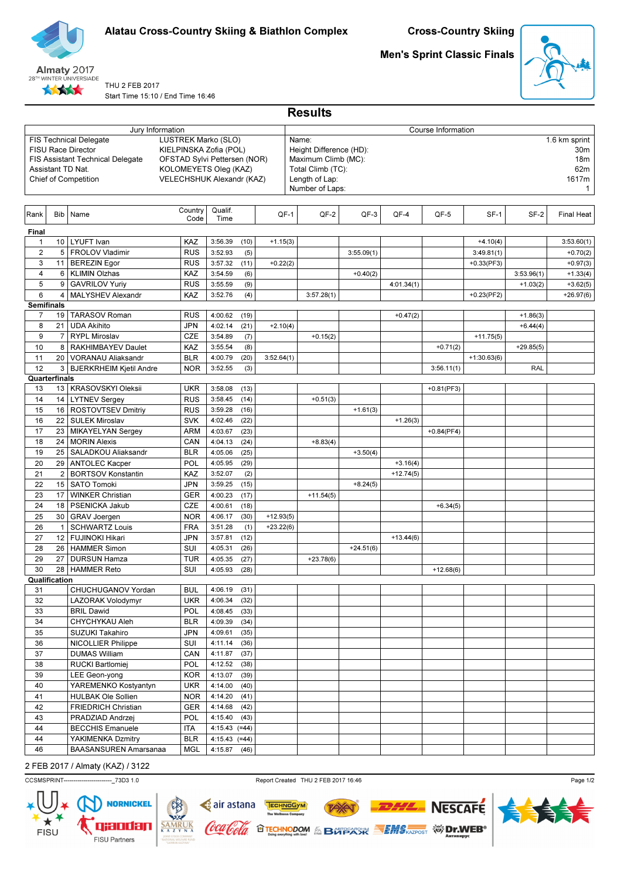



# Men's Sprint Classic Finals



THU 2 FEB 2017 Start Time 15:10 / End Time 16:46

| Jury Information<br>Course Information<br><b>LUSTREK Marko (SLO)</b><br><b>FIS Technical Delegate</b><br>1.6 km sprint<br>Name:<br>KIELPINSKA Zofia (POL)<br><b>FISU Race Director</b><br>Height Difference (HD):<br>30m<br>Maximum Climb (MC):<br><b>FIS Assistant Technical Delegate</b><br>OFSTAD Sylvi Pettersen (NOR)<br>18m<br>Total Climb (TC):<br>62m<br>Assistant TD Nat.<br>KOLOMEYETS Oleg (KAZ)<br>VELECHSHUK Alexandr (KAZ)<br>Chief of Competition<br>Length of Lap:<br>1617m<br>Number of Laps:<br>$\mathbf{1}$<br>Country<br>Qualif.<br>Name<br>Bib<br>QF-1<br>QF-2<br>QF-3<br>QF-4<br>QF-5<br>SF-1<br>SF-2<br>Final Heat<br>Code<br>Time<br>Final<br>10 LYUFT Ivan<br>KAZ<br>3:56.39<br>(10)<br>$+4.10(4)$<br>$\mathbf{1}$<br>$+1.15(3)$<br>3:53.60(1)<br>$\overline{2}$<br>5   FROLOV Vladimir<br><b>RUS</b><br>3:52.93<br>(5)<br>3:55.09(1)<br>3:49.81(1)<br>$+0.70(2)$<br>3<br>11   BEREZIN Egor<br><b>RUS</b><br>3:57.32<br>(11)<br>$+0.33(PF3)$<br>$+0.22(2)$<br>$+0.97(3)$<br>4<br>6   KLIMIN Olzhas<br>KAZ<br>3:54.59<br>(6)<br>3:53.96(1)<br>$+0.40(2)$<br>$+1.33(4)$<br>5<br><b>GAVRILOV Yuriy</b><br>(9)<br><b>RUS</b><br>3:55.59<br>4:01.34(1)<br>$+3.62(5)$<br>9<br>$+1.03(2)$<br>6<br>MALYSHEV Alexandr<br>KAZ<br>(4)<br>4<br>3:52.76<br>3:57.28(1)<br>$+0.23(PF2)$<br>$+26.97(6)$<br><b>Semifinals</b><br><b>TARASOV Roman</b><br><b>RUS</b><br>7<br>19 <sup>1</sup><br>4:00.62<br>(19)<br>$+0.47(2)$<br>$+1.86(3)$<br><b>UDA Akihito</b><br><b>JPN</b><br>(21)<br>8<br>21<br>4:02.14<br>$+2.10(4)$<br>$+6.44(4)$<br>9<br>7   RYPL Miroslav<br><b>CZE</b><br>3:54.89<br>(7)<br>$+0.15(2)$<br>$+11.75(5)$<br>KAZ<br>(8)<br>10<br>8   RAKHIMBAYEV Daulet<br>3:55.54<br>$+0.71(2)$<br>$+29.85(5)$<br>11<br>20<br>VORANAU Aliaksandr<br><b>BLR</b><br>4:00.79<br>(20)<br>$+1:30.63(6)$<br>3:52.64(1)<br>12<br>3 <br><b>BJERKRHEIM Kjetil Andre</b><br><b>NOR</b><br>3:52.55<br>(3)<br><b>RAL</b><br>3:56.11(1)<br>Quarterfinals<br>13   KRASOVSKYI Oleksii<br>13<br><b>UKR</b><br>3:58.08<br>(13)<br>$+0.81(PF3)$<br>(14)<br>14<br>14   LYTNEV Sergey<br><b>RUS</b><br>3:58.45<br>$+0.51(3)$<br>16   ROSTOVTSEV Dmitriy<br>15<br><b>RUS</b><br>3:59.28<br>(16)<br>$+1.61(3)$<br>16<br>22   SULEK Miroslav<br><b>SVK</b><br>4:02.46<br>(22)<br>$+1.26(3)$<br>(23)<br>17<br>23   MIKAYELYAN Sergey<br><b>ARM</b><br>4:03.67<br>$+0.84(PF4)$<br>24   MORIN Alexis<br>18<br>CAN<br>4:04.13<br>(24)<br>$+8.83(4)$<br>19<br>25   SALADKOU Aliaksandr<br><b>BLR</b><br>4:05.06<br>(25)<br>$+3.50(4)$<br>20<br>29   ANTOLEC Kacper<br>POL<br>4:05.95<br>(29)<br>$+3.16(4)$<br>(2)<br>$+12.74(5)$<br>21<br>2   BORTSOV Konstantin<br>KAZ<br>3:52.07<br>22<br>15 SATO Tomoki<br><b>JPN</b><br>3:59.25<br>(15)<br>$+8.24(5)$<br>23<br>WINKER Christian<br><b>GER</b><br>4:00.23<br>(17)<br>$+11.54(5)$<br>17<br>24<br>18   PSENICKA Jakub<br><b>CZE</b><br>4:00.61<br>(18)<br>$+6.34(5)$<br>25<br>30   GRAV Joergen<br><b>NOR</b><br>4:06.17<br>(30)<br>$+12.93(5)$<br>26<br><b>SCHWARTZ Louis</b><br><b>FRA</b><br>3:51.28<br>(1)<br>$+23.22(6)$<br>$\mathbf{1}$<br>12   FUJINOKI Hikari<br>(12)<br>27<br>JPN<br>3:57.81<br>$+13.44(6)$<br>26   HAMMER Simon<br>SUI<br>28<br>4:05.31<br>(26)<br>$+24.51(6)$<br>29<br><b>DURSUN Hamza</b><br><b>TUR</b><br>4:05.35<br>(27)<br>27<br>$+23.78(6)$<br>SUI<br>30<br>28   HAMMER Reto<br>4:05.93<br>(28)<br>$+12.68(6)$<br>Qualification<br>31<br>CHUCHUGANOV Yordan<br><b>BUL</b><br>4:06.19<br>(31)<br>32<br><b>UKR</b><br>(32)<br>LAZORAK Volodymyr<br>4:06.34<br>33<br><b>BRIL Dawid</b><br>POL<br>4:08.45<br>(33)<br>34<br>CHYCHYKAU Aleh<br><b>BLR</b><br>4:09.39<br>(34)<br>(35)<br>35<br>SUZUKI Takahiro<br>JPN<br>4:09.61<br>36<br><b>NICOLLIER Philippe</b><br>SUI<br>4:11.14<br>(36)<br>37<br>(37)<br><b>DUMAS William</b><br>CAN<br>4:11.87<br>38<br><b>RUCKI Bartlomiej</b><br>POL<br>4:12.52<br>(38)<br>39<br>LEE Geon-yong<br><b>KOR</b><br>4:13.07<br>(39)<br>YAREMENKO Kostyantyn<br>40<br>UKR<br>4:14.00<br>(40)<br>41<br><b>HULBAK Ole Sollien</b><br>4:14.20<br>(41)<br><b>NOR</b><br>FRIEDRICH Christian<br>(42)<br>42<br><b>GER</b><br>4:14.68<br>43<br>4:15.40<br>(43)<br>PRADZIAD Andrzej<br>POL<br>44<br><b>BECCHIS Emanuele</b><br>$4:15.43$ (=44)<br><b>ITA</b><br>44<br>YAKIMENKA Dzmitry<br><b>BLR</b><br>$4:15.43$ (=44)<br>46<br>BAASANSUREN Amarsanaa<br><b>MGL</b><br>4:15.87<br>(46) |      |  |  |  |  |  | <b>Results</b> |  |  |  |  |  |  |  |  |  |
|-----------------------------------------------------------------------------------------------------------------------------------------------------------------------------------------------------------------------------------------------------------------------------------------------------------------------------------------------------------------------------------------------------------------------------------------------------------------------------------------------------------------------------------------------------------------------------------------------------------------------------------------------------------------------------------------------------------------------------------------------------------------------------------------------------------------------------------------------------------------------------------------------------------------------------------------------------------------------------------------------------------------------------------------------------------------------------------------------------------------------------------------------------------------------------------------------------------------------------------------------------------------------------------------------------------------------------------------------------------------------------------------------------------------------------------------------------------------------------------------------------------------------------------------------------------------------------------------------------------------------------------------------------------------------------------------------------------------------------------------------------------------------------------------------------------------------------------------------------------------------------------------------------------------------------------------------------------------------------------------------------------------------------------------------------------------------------------------------------------------------------------------------------------------------------------------------------------------------------------------------------------------------------------------------------------------------------------------------------------------------------------------------------------------------------------------------------------------------------------------------------------------------------------------------------------------------------------------------------------------------------------------------------------------------------------------------------------------------------------------------------------------------------------------------------------------------------------------------------------------------------------------------------------------------------------------------------------------------------------------------------------------------------------------------------------------------------------------------------------------------------------------------------------------------------------------------------------------------------------------------------------------------------------------------------------------------------------------------------------------------------------------------------------------------------------------------------------------------------------------------------------------------------------------------------------------------------------------------------------------------------------------------------------------------------------------------------------------------------------------------------------------------------------------------------------------------------------------------------------------------------------------------------------------------------------------------------------------------------------------------------------------------------------------------------------------------------------------------------------------------------------------------------------------------------------------------------------------------------------------------------------------------------------------------------------------------------------------------------------------------------------|------|--|--|--|--|--|----------------|--|--|--|--|--|--|--|--|--|
|                                                                                                                                                                                                                                                                                                                                                                                                                                                                                                                                                                                                                                                                                                                                                                                                                                                                                                                                                                                                                                                                                                                                                                                                                                                                                                                                                                                                                                                                                                                                                                                                                                                                                                                                                                                                                                                                                                                                                                                                                                                                                                                                                                                                                                                                                                                                                                                                                                                                                                                                                                                                                                                                                                                                                                                                                                                                                                                                                                                                                                                                                                                                                                                                                                                                                                                                                                                                                                                                                                                                                                                                                                                                                                                                                                                                                                                                                                                                                                                                                                                                                                                                                                                                                                                                                                                                                                                   |      |  |  |  |  |  |                |  |  |  |  |  |  |  |  |  |
|                                                                                                                                                                                                                                                                                                                                                                                                                                                                                                                                                                                                                                                                                                                                                                                                                                                                                                                                                                                                                                                                                                                                                                                                                                                                                                                                                                                                                                                                                                                                                                                                                                                                                                                                                                                                                                                                                                                                                                                                                                                                                                                                                                                                                                                                                                                                                                                                                                                                                                                                                                                                                                                                                                                                                                                                                                                                                                                                                                                                                                                                                                                                                                                                                                                                                                                                                                                                                                                                                                                                                                                                                                                                                                                                                                                                                                                                                                                                                                                                                                                                                                                                                                                                                                                                                                                                                                                   |      |  |  |  |  |  |                |  |  |  |  |  |  |  |  |  |
|                                                                                                                                                                                                                                                                                                                                                                                                                                                                                                                                                                                                                                                                                                                                                                                                                                                                                                                                                                                                                                                                                                                                                                                                                                                                                                                                                                                                                                                                                                                                                                                                                                                                                                                                                                                                                                                                                                                                                                                                                                                                                                                                                                                                                                                                                                                                                                                                                                                                                                                                                                                                                                                                                                                                                                                                                                                                                                                                                                                                                                                                                                                                                                                                                                                                                                                                                                                                                                                                                                                                                                                                                                                                                                                                                                                                                                                                                                                                                                                                                                                                                                                                                                                                                                                                                                                                                                                   | Rank |  |  |  |  |  |                |  |  |  |  |  |  |  |  |  |
|                                                                                                                                                                                                                                                                                                                                                                                                                                                                                                                                                                                                                                                                                                                                                                                                                                                                                                                                                                                                                                                                                                                                                                                                                                                                                                                                                                                                                                                                                                                                                                                                                                                                                                                                                                                                                                                                                                                                                                                                                                                                                                                                                                                                                                                                                                                                                                                                                                                                                                                                                                                                                                                                                                                                                                                                                                                                                                                                                                                                                                                                                                                                                                                                                                                                                                                                                                                                                                                                                                                                                                                                                                                                                                                                                                                                                                                                                                                                                                                                                                                                                                                                                                                                                                                                                                                                                                                   |      |  |  |  |  |  |                |  |  |  |  |  |  |  |  |  |
|                                                                                                                                                                                                                                                                                                                                                                                                                                                                                                                                                                                                                                                                                                                                                                                                                                                                                                                                                                                                                                                                                                                                                                                                                                                                                                                                                                                                                                                                                                                                                                                                                                                                                                                                                                                                                                                                                                                                                                                                                                                                                                                                                                                                                                                                                                                                                                                                                                                                                                                                                                                                                                                                                                                                                                                                                                                                                                                                                                                                                                                                                                                                                                                                                                                                                                                                                                                                                                                                                                                                                                                                                                                                                                                                                                                                                                                                                                                                                                                                                                                                                                                                                                                                                                                                                                                                                                                   |      |  |  |  |  |  |                |  |  |  |  |  |  |  |  |  |
|                                                                                                                                                                                                                                                                                                                                                                                                                                                                                                                                                                                                                                                                                                                                                                                                                                                                                                                                                                                                                                                                                                                                                                                                                                                                                                                                                                                                                                                                                                                                                                                                                                                                                                                                                                                                                                                                                                                                                                                                                                                                                                                                                                                                                                                                                                                                                                                                                                                                                                                                                                                                                                                                                                                                                                                                                                                                                                                                                                                                                                                                                                                                                                                                                                                                                                                                                                                                                                                                                                                                                                                                                                                                                                                                                                                                                                                                                                                                                                                                                                                                                                                                                                                                                                                                                                                                                                                   |      |  |  |  |  |  |                |  |  |  |  |  |  |  |  |  |
|                                                                                                                                                                                                                                                                                                                                                                                                                                                                                                                                                                                                                                                                                                                                                                                                                                                                                                                                                                                                                                                                                                                                                                                                                                                                                                                                                                                                                                                                                                                                                                                                                                                                                                                                                                                                                                                                                                                                                                                                                                                                                                                                                                                                                                                                                                                                                                                                                                                                                                                                                                                                                                                                                                                                                                                                                                                                                                                                                                                                                                                                                                                                                                                                                                                                                                                                                                                                                                                                                                                                                                                                                                                                                                                                                                                                                                                                                                                                                                                                                                                                                                                                                                                                                                                                                                                                                                                   |      |  |  |  |  |  |                |  |  |  |  |  |  |  |  |  |
|                                                                                                                                                                                                                                                                                                                                                                                                                                                                                                                                                                                                                                                                                                                                                                                                                                                                                                                                                                                                                                                                                                                                                                                                                                                                                                                                                                                                                                                                                                                                                                                                                                                                                                                                                                                                                                                                                                                                                                                                                                                                                                                                                                                                                                                                                                                                                                                                                                                                                                                                                                                                                                                                                                                                                                                                                                                                                                                                                                                                                                                                                                                                                                                                                                                                                                                                                                                                                                                                                                                                                                                                                                                                                                                                                                                                                                                                                                                                                                                                                                                                                                                                                                                                                                                                                                                                                                                   |      |  |  |  |  |  |                |  |  |  |  |  |  |  |  |  |
|                                                                                                                                                                                                                                                                                                                                                                                                                                                                                                                                                                                                                                                                                                                                                                                                                                                                                                                                                                                                                                                                                                                                                                                                                                                                                                                                                                                                                                                                                                                                                                                                                                                                                                                                                                                                                                                                                                                                                                                                                                                                                                                                                                                                                                                                                                                                                                                                                                                                                                                                                                                                                                                                                                                                                                                                                                                                                                                                                                                                                                                                                                                                                                                                                                                                                                                                                                                                                                                                                                                                                                                                                                                                                                                                                                                                                                                                                                                                                                                                                                                                                                                                                                                                                                                                                                                                                                                   |      |  |  |  |  |  |                |  |  |  |  |  |  |  |  |  |
|                                                                                                                                                                                                                                                                                                                                                                                                                                                                                                                                                                                                                                                                                                                                                                                                                                                                                                                                                                                                                                                                                                                                                                                                                                                                                                                                                                                                                                                                                                                                                                                                                                                                                                                                                                                                                                                                                                                                                                                                                                                                                                                                                                                                                                                                                                                                                                                                                                                                                                                                                                                                                                                                                                                                                                                                                                                                                                                                                                                                                                                                                                                                                                                                                                                                                                                                                                                                                                                                                                                                                                                                                                                                                                                                                                                                                                                                                                                                                                                                                                                                                                                                                                                                                                                                                                                                                                                   |      |  |  |  |  |  |                |  |  |  |  |  |  |  |  |  |
|                                                                                                                                                                                                                                                                                                                                                                                                                                                                                                                                                                                                                                                                                                                                                                                                                                                                                                                                                                                                                                                                                                                                                                                                                                                                                                                                                                                                                                                                                                                                                                                                                                                                                                                                                                                                                                                                                                                                                                                                                                                                                                                                                                                                                                                                                                                                                                                                                                                                                                                                                                                                                                                                                                                                                                                                                                                                                                                                                                                                                                                                                                                                                                                                                                                                                                                                                                                                                                                                                                                                                                                                                                                                                                                                                                                                                                                                                                                                                                                                                                                                                                                                                                                                                                                                                                                                                                                   |      |  |  |  |  |  |                |  |  |  |  |  |  |  |  |  |
|                                                                                                                                                                                                                                                                                                                                                                                                                                                                                                                                                                                                                                                                                                                                                                                                                                                                                                                                                                                                                                                                                                                                                                                                                                                                                                                                                                                                                                                                                                                                                                                                                                                                                                                                                                                                                                                                                                                                                                                                                                                                                                                                                                                                                                                                                                                                                                                                                                                                                                                                                                                                                                                                                                                                                                                                                                                                                                                                                                                                                                                                                                                                                                                                                                                                                                                                                                                                                                                                                                                                                                                                                                                                                                                                                                                                                                                                                                                                                                                                                                                                                                                                                                                                                                                                                                                                                                                   |      |  |  |  |  |  |                |  |  |  |  |  |  |  |  |  |
|                                                                                                                                                                                                                                                                                                                                                                                                                                                                                                                                                                                                                                                                                                                                                                                                                                                                                                                                                                                                                                                                                                                                                                                                                                                                                                                                                                                                                                                                                                                                                                                                                                                                                                                                                                                                                                                                                                                                                                                                                                                                                                                                                                                                                                                                                                                                                                                                                                                                                                                                                                                                                                                                                                                                                                                                                                                                                                                                                                                                                                                                                                                                                                                                                                                                                                                                                                                                                                                                                                                                                                                                                                                                                                                                                                                                                                                                                                                                                                                                                                                                                                                                                                                                                                                                                                                                                                                   |      |  |  |  |  |  |                |  |  |  |  |  |  |  |  |  |
|                                                                                                                                                                                                                                                                                                                                                                                                                                                                                                                                                                                                                                                                                                                                                                                                                                                                                                                                                                                                                                                                                                                                                                                                                                                                                                                                                                                                                                                                                                                                                                                                                                                                                                                                                                                                                                                                                                                                                                                                                                                                                                                                                                                                                                                                                                                                                                                                                                                                                                                                                                                                                                                                                                                                                                                                                                                                                                                                                                                                                                                                                                                                                                                                                                                                                                                                                                                                                                                                                                                                                                                                                                                                                                                                                                                                                                                                                                                                                                                                                                                                                                                                                                                                                                                                                                                                                                                   |      |  |  |  |  |  |                |  |  |  |  |  |  |  |  |  |
|                                                                                                                                                                                                                                                                                                                                                                                                                                                                                                                                                                                                                                                                                                                                                                                                                                                                                                                                                                                                                                                                                                                                                                                                                                                                                                                                                                                                                                                                                                                                                                                                                                                                                                                                                                                                                                                                                                                                                                                                                                                                                                                                                                                                                                                                                                                                                                                                                                                                                                                                                                                                                                                                                                                                                                                                                                                                                                                                                                                                                                                                                                                                                                                                                                                                                                                                                                                                                                                                                                                                                                                                                                                                                                                                                                                                                                                                                                                                                                                                                                                                                                                                                                                                                                                                                                                                                                                   |      |  |  |  |  |  |                |  |  |  |  |  |  |  |  |  |
|                                                                                                                                                                                                                                                                                                                                                                                                                                                                                                                                                                                                                                                                                                                                                                                                                                                                                                                                                                                                                                                                                                                                                                                                                                                                                                                                                                                                                                                                                                                                                                                                                                                                                                                                                                                                                                                                                                                                                                                                                                                                                                                                                                                                                                                                                                                                                                                                                                                                                                                                                                                                                                                                                                                                                                                                                                                                                                                                                                                                                                                                                                                                                                                                                                                                                                                                                                                                                                                                                                                                                                                                                                                                                                                                                                                                                                                                                                                                                                                                                                                                                                                                                                                                                                                                                                                                                                                   |      |  |  |  |  |  |                |  |  |  |  |  |  |  |  |  |
|                                                                                                                                                                                                                                                                                                                                                                                                                                                                                                                                                                                                                                                                                                                                                                                                                                                                                                                                                                                                                                                                                                                                                                                                                                                                                                                                                                                                                                                                                                                                                                                                                                                                                                                                                                                                                                                                                                                                                                                                                                                                                                                                                                                                                                                                                                                                                                                                                                                                                                                                                                                                                                                                                                                                                                                                                                                                                                                                                                                                                                                                                                                                                                                                                                                                                                                                                                                                                                                                                                                                                                                                                                                                                                                                                                                                                                                                                                                                                                                                                                                                                                                                                                                                                                                                                                                                                                                   |      |  |  |  |  |  |                |  |  |  |  |  |  |  |  |  |
|                                                                                                                                                                                                                                                                                                                                                                                                                                                                                                                                                                                                                                                                                                                                                                                                                                                                                                                                                                                                                                                                                                                                                                                                                                                                                                                                                                                                                                                                                                                                                                                                                                                                                                                                                                                                                                                                                                                                                                                                                                                                                                                                                                                                                                                                                                                                                                                                                                                                                                                                                                                                                                                                                                                                                                                                                                                                                                                                                                                                                                                                                                                                                                                                                                                                                                                                                                                                                                                                                                                                                                                                                                                                                                                                                                                                                                                                                                                                                                                                                                                                                                                                                                                                                                                                                                                                                                                   |      |  |  |  |  |  |                |  |  |  |  |  |  |  |  |  |
|                                                                                                                                                                                                                                                                                                                                                                                                                                                                                                                                                                                                                                                                                                                                                                                                                                                                                                                                                                                                                                                                                                                                                                                                                                                                                                                                                                                                                                                                                                                                                                                                                                                                                                                                                                                                                                                                                                                                                                                                                                                                                                                                                                                                                                                                                                                                                                                                                                                                                                                                                                                                                                                                                                                                                                                                                                                                                                                                                                                                                                                                                                                                                                                                                                                                                                                                                                                                                                                                                                                                                                                                                                                                                                                                                                                                                                                                                                                                                                                                                                                                                                                                                                                                                                                                                                                                                                                   |      |  |  |  |  |  |                |  |  |  |  |  |  |  |  |  |
|                                                                                                                                                                                                                                                                                                                                                                                                                                                                                                                                                                                                                                                                                                                                                                                                                                                                                                                                                                                                                                                                                                                                                                                                                                                                                                                                                                                                                                                                                                                                                                                                                                                                                                                                                                                                                                                                                                                                                                                                                                                                                                                                                                                                                                                                                                                                                                                                                                                                                                                                                                                                                                                                                                                                                                                                                                                                                                                                                                                                                                                                                                                                                                                                                                                                                                                                                                                                                                                                                                                                                                                                                                                                                                                                                                                                                                                                                                                                                                                                                                                                                                                                                                                                                                                                                                                                                                                   |      |  |  |  |  |  |                |  |  |  |  |  |  |  |  |  |
|                                                                                                                                                                                                                                                                                                                                                                                                                                                                                                                                                                                                                                                                                                                                                                                                                                                                                                                                                                                                                                                                                                                                                                                                                                                                                                                                                                                                                                                                                                                                                                                                                                                                                                                                                                                                                                                                                                                                                                                                                                                                                                                                                                                                                                                                                                                                                                                                                                                                                                                                                                                                                                                                                                                                                                                                                                                                                                                                                                                                                                                                                                                                                                                                                                                                                                                                                                                                                                                                                                                                                                                                                                                                                                                                                                                                                                                                                                                                                                                                                                                                                                                                                                                                                                                                                                                                                                                   |      |  |  |  |  |  |                |  |  |  |  |  |  |  |  |  |
|                                                                                                                                                                                                                                                                                                                                                                                                                                                                                                                                                                                                                                                                                                                                                                                                                                                                                                                                                                                                                                                                                                                                                                                                                                                                                                                                                                                                                                                                                                                                                                                                                                                                                                                                                                                                                                                                                                                                                                                                                                                                                                                                                                                                                                                                                                                                                                                                                                                                                                                                                                                                                                                                                                                                                                                                                                                                                                                                                                                                                                                                                                                                                                                                                                                                                                                                                                                                                                                                                                                                                                                                                                                                                                                                                                                                                                                                                                                                                                                                                                                                                                                                                                                                                                                                                                                                                                                   |      |  |  |  |  |  |                |  |  |  |  |  |  |  |  |  |
|                                                                                                                                                                                                                                                                                                                                                                                                                                                                                                                                                                                                                                                                                                                                                                                                                                                                                                                                                                                                                                                                                                                                                                                                                                                                                                                                                                                                                                                                                                                                                                                                                                                                                                                                                                                                                                                                                                                                                                                                                                                                                                                                                                                                                                                                                                                                                                                                                                                                                                                                                                                                                                                                                                                                                                                                                                                                                                                                                                                                                                                                                                                                                                                                                                                                                                                                                                                                                                                                                                                                                                                                                                                                                                                                                                                                                                                                                                                                                                                                                                                                                                                                                                                                                                                                                                                                                                                   |      |  |  |  |  |  |                |  |  |  |  |  |  |  |  |  |
|                                                                                                                                                                                                                                                                                                                                                                                                                                                                                                                                                                                                                                                                                                                                                                                                                                                                                                                                                                                                                                                                                                                                                                                                                                                                                                                                                                                                                                                                                                                                                                                                                                                                                                                                                                                                                                                                                                                                                                                                                                                                                                                                                                                                                                                                                                                                                                                                                                                                                                                                                                                                                                                                                                                                                                                                                                                                                                                                                                                                                                                                                                                                                                                                                                                                                                                                                                                                                                                                                                                                                                                                                                                                                                                                                                                                                                                                                                                                                                                                                                                                                                                                                                                                                                                                                                                                                                                   |      |  |  |  |  |  |                |  |  |  |  |  |  |  |  |  |
|                                                                                                                                                                                                                                                                                                                                                                                                                                                                                                                                                                                                                                                                                                                                                                                                                                                                                                                                                                                                                                                                                                                                                                                                                                                                                                                                                                                                                                                                                                                                                                                                                                                                                                                                                                                                                                                                                                                                                                                                                                                                                                                                                                                                                                                                                                                                                                                                                                                                                                                                                                                                                                                                                                                                                                                                                                                                                                                                                                                                                                                                                                                                                                                                                                                                                                                                                                                                                                                                                                                                                                                                                                                                                                                                                                                                                                                                                                                                                                                                                                                                                                                                                                                                                                                                                                                                                                                   |      |  |  |  |  |  |                |  |  |  |  |  |  |  |  |  |
|                                                                                                                                                                                                                                                                                                                                                                                                                                                                                                                                                                                                                                                                                                                                                                                                                                                                                                                                                                                                                                                                                                                                                                                                                                                                                                                                                                                                                                                                                                                                                                                                                                                                                                                                                                                                                                                                                                                                                                                                                                                                                                                                                                                                                                                                                                                                                                                                                                                                                                                                                                                                                                                                                                                                                                                                                                                                                                                                                                                                                                                                                                                                                                                                                                                                                                                                                                                                                                                                                                                                                                                                                                                                                                                                                                                                                                                                                                                                                                                                                                                                                                                                                                                                                                                                                                                                                                                   |      |  |  |  |  |  |                |  |  |  |  |  |  |  |  |  |
|                                                                                                                                                                                                                                                                                                                                                                                                                                                                                                                                                                                                                                                                                                                                                                                                                                                                                                                                                                                                                                                                                                                                                                                                                                                                                                                                                                                                                                                                                                                                                                                                                                                                                                                                                                                                                                                                                                                                                                                                                                                                                                                                                                                                                                                                                                                                                                                                                                                                                                                                                                                                                                                                                                                                                                                                                                                                                                                                                                                                                                                                                                                                                                                                                                                                                                                                                                                                                                                                                                                                                                                                                                                                                                                                                                                                                                                                                                                                                                                                                                                                                                                                                                                                                                                                                                                                                                                   |      |  |  |  |  |  |                |  |  |  |  |  |  |  |  |  |
|                                                                                                                                                                                                                                                                                                                                                                                                                                                                                                                                                                                                                                                                                                                                                                                                                                                                                                                                                                                                                                                                                                                                                                                                                                                                                                                                                                                                                                                                                                                                                                                                                                                                                                                                                                                                                                                                                                                                                                                                                                                                                                                                                                                                                                                                                                                                                                                                                                                                                                                                                                                                                                                                                                                                                                                                                                                                                                                                                                                                                                                                                                                                                                                                                                                                                                                                                                                                                                                                                                                                                                                                                                                                                                                                                                                                                                                                                                                                                                                                                                                                                                                                                                                                                                                                                                                                                                                   |      |  |  |  |  |  |                |  |  |  |  |  |  |  |  |  |
|                                                                                                                                                                                                                                                                                                                                                                                                                                                                                                                                                                                                                                                                                                                                                                                                                                                                                                                                                                                                                                                                                                                                                                                                                                                                                                                                                                                                                                                                                                                                                                                                                                                                                                                                                                                                                                                                                                                                                                                                                                                                                                                                                                                                                                                                                                                                                                                                                                                                                                                                                                                                                                                                                                                                                                                                                                                                                                                                                                                                                                                                                                                                                                                                                                                                                                                                                                                                                                                                                                                                                                                                                                                                                                                                                                                                                                                                                                                                                                                                                                                                                                                                                                                                                                                                                                                                                                                   |      |  |  |  |  |  |                |  |  |  |  |  |  |  |  |  |
|                                                                                                                                                                                                                                                                                                                                                                                                                                                                                                                                                                                                                                                                                                                                                                                                                                                                                                                                                                                                                                                                                                                                                                                                                                                                                                                                                                                                                                                                                                                                                                                                                                                                                                                                                                                                                                                                                                                                                                                                                                                                                                                                                                                                                                                                                                                                                                                                                                                                                                                                                                                                                                                                                                                                                                                                                                                                                                                                                                                                                                                                                                                                                                                                                                                                                                                                                                                                                                                                                                                                                                                                                                                                                                                                                                                                                                                                                                                                                                                                                                                                                                                                                                                                                                                                                                                                                                                   |      |  |  |  |  |  |                |  |  |  |  |  |  |  |  |  |
|                                                                                                                                                                                                                                                                                                                                                                                                                                                                                                                                                                                                                                                                                                                                                                                                                                                                                                                                                                                                                                                                                                                                                                                                                                                                                                                                                                                                                                                                                                                                                                                                                                                                                                                                                                                                                                                                                                                                                                                                                                                                                                                                                                                                                                                                                                                                                                                                                                                                                                                                                                                                                                                                                                                                                                                                                                                                                                                                                                                                                                                                                                                                                                                                                                                                                                                                                                                                                                                                                                                                                                                                                                                                                                                                                                                                                                                                                                                                                                                                                                                                                                                                                                                                                                                                                                                                                                                   |      |  |  |  |  |  |                |  |  |  |  |  |  |  |  |  |
|                                                                                                                                                                                                                                                                                                                                                                                                                                                                                                                                                                                                                                                                                                                                                                                                                                                                                                                                                                                                                                                                                                                                                                                                                                                                                                                                                                                                                                                                                                                                                                                                                                                                                                                                                                                                                                                                                                                                                                                                                                                                                                                                                                                                                                                                                                                                                                                                                                                                                                                                                                                                                                                                                                                                                                                                                                                                                                                                                                                                                                                                                                                                                                                                                                                                                                                                                                                                                                                                                                                                                                                                                                                                                                                                                                                                                                                                                                                                                                                                                                                                                                                                                                                                                                                                                                                                                                                   |      |  |  |  |  |  |                |  |  |  |  |  |  |  |  |  |
|                                                                                                                                                                                                                                                                                                                                                                                                                                                                                                                                                                                                                                                                                                                                                                                                                                                                                                                                                                                                                                                                                                                                                                                                                                                                                                                                                                                                                                                                                                                                                                                                                                                                                                                                                                                                                                                                                                                                                                                                                                                                                                                                                                                                                                                                                                                                                                                                                                                                                                                                                                                                                                                                                                                                                                                                                                                                                                                                                                                                                                                                                                                                                                                                                                                                                                                                                                                                                                                                                                                                                                                                                                                                                                                                                                                                                                                                                                                                                                                                                                                                                                                                                                                                                                                                                                                                                                                   |      |  |  |  |  |  |                |  |  |  |  |  |  |  |  |  |
|                                                                                                                                                                                                                                                                                                                                                                                                                                                                                                                                                                                                                                                                                                                                                                                                                                                                                                                                                                                                                                                                                                                                                                                                                                                                                                                                                                                                                                                                                                                                                                                                                                                                                                                                                                                                                                                                                                                                                                                                                                                                                                                                                                                                                                                                                                                                                                                                                                                                                                                                                                                                                                                                                                                                                                                                                                                                                                                                                                                                                                                                                                                                                                                                                                                                                                                                                                                                                                                                                                                                                                                                                                                                                                                                                                                                                                                                                                                                                                                                                                                                                                                                                                                                                                                                                                                                                                                   |      |  |  |  |  |  |                |  |  |  |  |  |  |  |  |  |
|                                                                                                                                                                                                                                                                                                                                                                                                                                                                                                                                                                                                                                                                                                                                                                                                                                                                                                                                                                                                                                                                                                                                                                                                                                                                                                                                                                                                                                                                                                                                                                                                                                                                                                                                                                                                                                                                                                                                                                                                                                                                                                                                                                                                                                                                                                                                                                                                                                                                                                                                                                                                                                                                                                                                                                                                                                                                                                                                                                                                                                                                                                                                                                                                                                                                                                                                                                                                                                                                                                                                                                                                                                                                                                                                                                                                                                                                                                                                                                                                                                                                                                                                                                                                                                                                                                                                                                                   |      |  |  |  |  |  |                |  |  |  |  |  |  |  |  |  |
|                                                                                                                                                                                                                                                                                                                                                                                                                                                                                                                                                                                                                                                                                                                                                                                                                                                                                                                                                                                                                                                                                                                                                                                                                                                                                                                                                                                                                                                                                                                                                                                                                                                                                                                                                                                                                                                                                                                                                                                                                                                                                                                                                                                                                                                                                                                                                                                                                                                                                                                                                                                                                                                                                                                                                                                                                                                                                                                                                                                                                                                                                                                                                                                                                                                                                                                                                                                                                                                                                                                                                                                                                                                                                                                                                                                                                                                                                                                                                                                                                                                                                                                                                                                                                                                                                                                                                                                   |      |  |  |  |  |  |                |  |  |  |  |  |  |  |  |  |
|                                                                                                                                                                                                                                                                                                                                                                                                                                                                                                                                                                                                                                                                                                                                                                                                                                                                                                                                                                                                                                                                                                                                                                                                                                                                                                                                                                                                                                                                                                                                                                                                                                                                                                                                                                                                                                                                                                                                                                                                                                                                                                                                                                                                                                                                                                                                                                                                                                                                                                                                                                                                                                                                                                                                                                                                                                                                                                                                                                                                                                                                                                                                                                                                                                                                                                                                                                                                                                                                                                                                                                                                                                                                                                                                                                                                                                                                                                                                                                                                                                                                                                                                                                                                                                                                                                                                                                                   |      |  |  |  |  |  |                |  |  |  |  |  |  |  |  |  |
|                                                                                                                                                                                                                                                                                                                                                                                                                                                                                                                                                                                                                                                                                                                                                                                                                                                                                                                                                                                                                                                                                                                                                                                                                                                                                                                                                                                                                                                                                                                                                                                                                                                                                                                                                                                                                                                                                                                                                                                                                                                                                                                                                                                                                                                                                                                                                                                                                                                                                                                                                                                                                                                                                                                                                                                                                                                                                                                                                                                                                                                                                                                                                                                                                                                                                                                                                                                                                                                                                                                                                                                                                                                                                                                                                                                                                                                                                                                                                                                                                                                                                                                                                                                                                                                                                                                                                                                   |      |  |  |  |  |  |                |  |  |  |  |  |  |  |  |  |
|                                                                                                                                                                                                                                                                                                                                                                                                                                                                                                                                                                                                                                                                                                                                                                                                                                                                                                                                                                                                                                                                                                                                                                                                                                                                                                                                                                                                                                                                                                                                                                                                                                                                                                                                                                                                                                                                                                                                                                                                                                                                                                                                                                                                                                                                                                                                                                                                                                                                                                                                                                                                                                                                                                                                                                                                                                                                                                                                                                                                                                                                                                                                                                                                                                                                                                                                                                                                                                                                                                                                                                                                                                                                                                                                                                                                                                                                                                                                                                                                                                                                                                                                                                                                                                                                                                                                                                                   |      |  |  |  |  |  |                |  |  |  |  |  |  |  |  |  |
|                                                                                                                                                                                                                                                                                                                                                                                                                                                                                                                                                                                                                                                                                                                                                                                                                                                                                                                                                                                                                                                                                                                                                                                                                                                                                                                                                                                                                                                                                                                                                                                                                                                                                                                                                                                                                                                                                                                                                                                                                                                                                                                                                                                                                                                                                                                                                                                                                                                                                                                                                                                                                                                                                                                                                                                                                                                                                                                                                                                                                                                                                                                                                                                                                                                                                                                                                                                                                                                                                                                                                                                                                                                                                                                                                                                                                                                                                                                                                                                                                                                                                                                                                                                                                                                                                                                                                                                   |      |  |  |  |  |  |                |  |  |  |  |  |  |  |  |  |
|                                                                                                                                                                                                                                                                                                                                                                                                                                                                                                                                                                                                                                                                                                                                                                                                                                                                                                                                                                                                                                                                                                                                                                                                                                                                                                                                                                                                                                                                                                                                                                                                                                                                                                                                                                                                                                                                                                                                                                                                                                                                                                                                                                                                                                                                                                                                                                                                                                                                                                                                                                                                                                                                                                                                                                                                                                                                                                                                                                                                                                                                                                                                                                                                                                                                                                                                                                                                                                                                                                                                                                                                                                                                                                                                                                                                                                                                                                                                                                                                                                                                                                                                                                                                                                                                                                                                                                                   |      |  |  |  |  |  |                |  |  |  |  |  |  |  |  |  |
|                                                                                                                                                                                                                                                                                                                                                                                                                                                                                                                                                                                                                                                                                                                                                                                                                                                                                                                                                                                                                                                                                                                                                                                                                                                                                                                                                                                                                                                                                                                                                                                                                                                                                                                                                                                                                                                                                                                                                                                                                                                                                                                                                                                                                                                                                                                                                                                                                                                                                                                                                                                                                                                                                                                                                                                                                                                                                                                                                                                                                                                                                                                                                                                                                                                                                                                                                                                                                                                                                                                                                                                                                                                                                                                                                                                                                                                                                                                                                                                                                                                                                                                                                                                                                                                                                                                                                                                   |      |  |  |  |  |  |                |  |  |  |  |  |  |  |  |  |
|                                                                                                                                                                                                                                                                                                                                                                                                                                                                                                                                                                                                                                                                                                                                                                                                                                                                                                                                                                                                                                                                                                                                                                                                                                                                                                                                                                                                                                                                                                                                                                                                                                                                                                                                                                                                                                                                                                                                                                                                                                                                                                                                                                                                                                                                                                                                                                                                                                                                                                                                                                                                                                                                                                                                                                                                                                                                                                                                                                                                                                                                                                                                                                                                                                                                                                                                                                                                                                                                                                                                                                                                                                                                                                                                                                                                                                                                                                                                                                                                                                                                                                                                                                                                                                                                                                                                                                                   |      |  |  |  |  |  |                |  |  |  |  |  |  |  |  |  |
|                                                                                                                                                                                                                                                                                                                                                                                                                                                                                                                                                                                                                                                                                                                                                                                                                                                                                                                                                                                                                                                                                                                                                                                                                                                                                                                                                                                                                                                                                                                                                                                                                                                                                                                                                                                                                                                                                                                                                                                                                                                                                                                                                                                                                                                                                                                                                                                                                                                                                                                                                                                                                                                                                                                                                                                                                                                                                                                                                                                                                                                                                                                                                                                                                                                                                                                                                                                                                                                                                                                                                                                                                                                                                                                                                                                                                                                                                                                                                                                                                                                                                                                                                                                                                                                                                                                                                                                   |      |  |  |  |  |  |                |  |  |  |  |  |  |  |  |  |
|                                                                                                                                                                                                                                                                                                                                                                                                                                                                                                                                                                                                                                                                                                                                                                                                                                                                                                                                                                                                                                                                                                                                                                                                                                                                                                                                                                                                                                                                                                                                                                                                                                                                                                                                                                                                                                                                                                                                                                                                                                                                                                                                                                                                                                                                                                                                                                                                                                                                                                                                                                                                                                                                                                                                                                                                                                                                                                                                                                                                                                                                                                                                                                                                                                                                                                                                                                                                                                                                                                                                                                                                                                                                                                                                                                                                                                                                                                                                                                                                                                                                                                                                                                                                                                                                                                                                                                                   |      |  |  |  |  |  |                |  |  |  |  |  |  |  |  |  |
|                                                                                                                                                                                                                                                                                                                                                                                                                                                                                                                                                                                                                                                                                                                                                                                                                                                                                                                                                                                                                                                                                                                                                                                                                                                                                                                                                                                                                                                                                                                                                                                                                                                                                                                                                                                                                                                                                                                                                                                                                                                                                                                                                                                                                                                                                                                                                                                                                                                                                                                                                                                                                                                                                                                                                                                                                                                                                                                                                                                                                                                                                                                                                                                                                                                                                                                                                                                                                                                                                                                                                                                                                                                                                                                                                                                                                                                                                                                                                                                                                                                                                                                                                                                                                                                                                                                                                                                   |      |  |  |  |  |  |                |  |  |  |  |  |  |  |  |  |
|                                                                                                                                                                                                                                                                                                                                                                                                                                                                                                                                                                                                                                                                                                                                                                                                                                                                                                                                                                                                                                                                                                                                                                                                                                                                                                                                                                                                                                                                                                                                                                                                                                                                                                                                                                                                                                                                                                                                                                                                                                                                                                                                                                                                                                                                                                                                                                                                                                                                                                                                                                                                                                                                                                                                                                                                                                                                                                                                                                                                                                                                                                                                                                                                                                                                                                                                                                                                                                                                                                                                                                                                                                                                                                                                                                                                                                                                                                                                                                                                                                                                                                                                                                                                                                                                                                                                                                                   |      |  |  |  |  |  |                |  |  |  |  |  |  |  |  |  |
|                                                                                                                                                                                                                                                                                                                                                                                                                                                                                                                                                                                                                                                                                                                                                                                                                                                                                                                                                                                                                                                                                                                                                                                                                                                                                                                                                                                                                                                                                                                                                                                                                                                                                                                                                                                                                                                                                                                                                                                                                                                                                                                                                                                                                                                                                                                                                                                                                                                                                                                                                                                                                                                                                                                                                                                                                                                                                                                                                                                                                                                                                                                                                                                                                                                                                                                                                                                                                                                                                                                                                                                                                                                                                                                                                                                                                                                                                                                                                                                                                                                                                                                                                                                                                                                                                                                                                                                   |      |  |  |  |  |  |                |  |  |  |  |  |  |  |  |  |
|                                                                                                                                                                                                                                                                                                                                                                                                                                                                                                                                                                                                                                                                                                                                                                                                                                                                                                                                                                                                                                                                                                                                                                                                                                                                                                                                                                                                                                                                                                                                                                                                                                                                                                                                                                                                                                                                                                                                                                                                                                                                                                                                                                                                                                                                                                                                                                                                                                                                                                                                                                                                                                                                                                                                                                                                                                                                                                                                                                                                                                                                                                                                                                                                                                                                                                                                                                                                                                                                                                                                                                                                                                                                                                                                                                                                                                                                                                                                                                                                                                                                                                                                                                                                                                                                                                                                                                                   |      |  |  |  |  |  |                |  |  |  |  |  |  |  |  |  |

2 FEB 2017 / Almaty (KAZ) / 3122

FISU



TAY

TECHNOGYM

<mark>e</mark> air astana

Coca Cola



Page 1/2

qjaodan FISU Partners

**NORNICKEL** 

 $SAMRUK  
 $\overline{K A Z Y N A}$$ </u>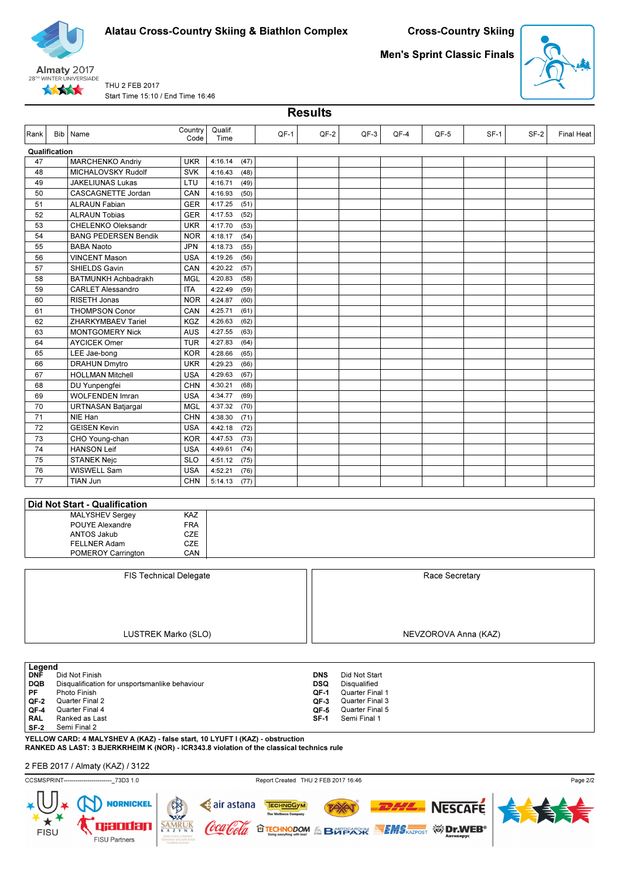



Men's Sprint Classic Finals

**Results** 



THU 2 FEB 2017 Start Time 15:10 / End Time 16:46

| Rank                     | Bib Name                                                         | Country<br>Code | Qualif.<br>Time |      | QF-1 | QF-2                     | QF-3                          | QF-4 | QF-5                 | $SF-1$ | SF-2 | <b>Final Heat</b> |
|--------------------------|------------------------------------------------------------------|-----------------|-----------------|------|------|--------------------------|-------------------------------|------|----------------------|--------|------|-------------------|
| Qualification            |                                                                  |                 |                 |      |      |                          |                               |      |                      |        |      |                   |
| 47                       | <b>MARCHENKO Andriy</b>                                          | <b>UKR</b>      | 4:16.14         | (47) |      |                          |                               |      |                      |        |      |                   |
| 48                       | MICHALOVSKY Rudolf                                               | <b>SVK</b>      | 4:16.43         | (48) |      |                          |                               |      |                      |        |      |                   |
| 49                       | <b>JAKELIUNAS Lukas</b>                                          | LTU             | 4:16.71         | (49) |      |                          |                               |      |                      |        |      |                   |
| 50                       | CASCAGNETTE Jordan                                               | CAN             | 4:16.93         | (50) |      |                          |                               |      |                      |        |      |                   |
| 51                       | <b>ALRAUN Fabian</b>                                             | <b>GER</b>      | 4:17.25         | (51) |      |                          |                               |      |                      |        |      |                   |
| 52                       | <b>ALRAUN Tobias</b>                                             | <b>GER</b>      | 4:17.53         | (52) |      |                          |                               |      |                      |        |      |                   |
| 53                       | CHELENKO Oleksandr                                               | <b>UKR</b>      | 4:17.70         | (53) |      |                          |                               |      |                      |        |      |                   |
| 54                       | <b>BANG PEDERSEN Bendik</b>                                      | <b>NOR</b>      | 4:18.17         | (54) |      |                          |                               |      |                      |        |      |                   |
| 55                       | <b>BABA Naoto</b>                                                | <b>JPN</b>      | 4:18.73         | (55) |      |                          |                               |      |                      |        |      |                   |
| 56                       | <b>VINCENT Mason</b>                                             | <b>USA</b>      | 4:19.26         | (56) |      |                          |                               |      |                      |        |      |                   |
| 57                       |                                                                  | CAN             |                 |      |      |                          |                               |      |                      |        |      |                   |
|                          | SHIELDS Gavin                                                    |                 | 4:20.22         | (57) |      |                          |                               |      |                      |        |      |                   |
| 58                       | <b>BATMUNKH Achbadrakh</b>                                       | <b>MGL</b>      | 4:20.83         | (58) |      |                          |                               |      |                      |        |      |                   |
| 59                       | <b>CARLET Alessandro</b>                                         | <b>ITA</b>      | 4:22.49         | (59) |      |                          |                               |      |                      |        |      |                   |
| 60                       | RISETH Jonas                                                     | <b>NOR</b>      | 4:24.87         | (60) |      |                          |                               |      |                      |        |      |                   |
| 61                       | <b>THOMPSON Conor</b>                                            | CAN             | 4:25.71         | (61) |      |                          |                               |      |                      |        |      |                   |
| 62                       | ZHARKYMBAEV Tariel                                               | KGZ             | 4:26.63         | (62) |      |                          |                               |      |                      |        |      |                   |
| 63                       | <b>MONTGOMERY Nick</b>                                           | <b>AUS</b>      | 4:27.55         | (63) |      |                          |                               |      |                      |        |      |                   |
| 64                       | <b>AYCICEK Omer</b>                                              | <b>TUR</b>      | 4:27.83         | (64) |      |                          |                               |      |                      |        |      |                   |
| 65                       | LEE Jae-bong                                                     | <b>KOR</b>      | 4:28.66         | (65) |      |                          |                               |      |                      |        |      |                   |
| 66                       | <b>DRAHUN Dmytro</b>                                             | <b>UKR</b>      | 4:29.23         | (66) |      |                          |                               |      |                      |        |      |                   |
| 67                       | <b>HOLLMAN Mitchell</b>                                          | <b>USA</b>      | 4:29.63         | (67) |      |                          |                               |      |                      |        |      |                   |
| 68                       | DU Yunpengfei                                                    | <b>CHN</b>      | 4:30.21         | (68) |      |                          |                               |      |                      |        |      |                   |
| 69                       | <b>WOLFENDEN Imran</b>                                           | <b>USA</b>      | 4:34.77         | (69) |      |                          |                               |      |                      |        |      |                   |
| 70                       | <b>URTNASAN Batjargal</b>                                        | <b>MGL</b>      | 4:37.32         | (70) |      |                          |                               |      |                      |        |      |                   |
| 71                       | NIE Han                                                          | <b>CHN</b>      | 4:38.30         | (71) |      |                          |                               |      |                      |        |      |                   |
| 72                       | <b>GEISEN Kevin</b>                                              | <b>USA</b>      | 4:42.18         | (72) |      |                          |                               |      |                      |        |      |                   |
| 73                       | CHO Young-chan                                                   | <b>KOR</b>      | 4:47.53         | (73) |      |                          |                               |      |                      |        |      |                   |
| 74                       | <b>HANSON Leif</b>                                               | <b>USA</b>      | 4:49.61         | (74) |      |                          |                               |      |                      |        |      |                   |
| 75                       | <b>STANEK Nejc</b>                                               | <b>SLO</b>      | 4:51.12         | (75) |      |                          |                               |      |                      |        |      |                   |
| 76                       | WISWELL Sam                                                      | <b>USA</b>      | 4:52.21         | (76) |      |                          |                               |      |                      |        |      |                   |
| 77                       | TIAN Jun                                                         | <b>CHN</b>      | 5:14.13         | (77) |      |                          |                               |      |                      |        |      |                   |
|                          |                                                                  |                 |                 |      |      |                          |                               |      |                      |        |      |                   |
|                          | Did Not Start - Qualification                                    |                 |                 |      |      |                          |                               |      |                      |        |      |                   |
|                          | <b>MALYSHEV Sergey</b>                                           | KAZ             |                 |      |      |                          |                               |      |                      |        |      |                   |
|                          | POUYE Alexandre                                                  | <b>FRA</b>      |                 |      |      |                          |                               |      |                      |        |      |                   |
|                          | <b>ANTOS Jakub</b>                                               | <b>CZE</b>      |                 |      |      |                          |                               |      |                      |        |      |                   |
|                          | FELLNER Adam                                                     | CZE             |                 |      |      |                          |                               |      |                      |        |      |                   |
|                          | POMEROY Carrington                                               | CAN             |                 |      |      |                          |                               |      |                      |        |      |                   |
|                          |                                                                  |                 |                 |      |      |                          |                               |      |                      |        |      |                   |
|                          | <b>FIS Technical Delegate</b>                                    |                 |                 |      |      |                          |                               |      | Race Secretary       |        |      |                   |
|                          |                                                                  |                 |                 |      |      |                          |                               |      |                      |        |      |                   |
|                          |                                                                  |                 |                 |      |      |                          |                               |      |                      |        |      |                   |
|                          |                                                                  |                 |                 |      |      |                          |                               |      |                      |        |      |                   |
|                          |                                                                  |                 |                 |      |      |                          |                               |      |                      |        |      |                   |
|                          |                                                                  |                 |                 |      |      |                          |                               |      |                      |        |      |                   |
|                          | LUSTREK Marko (SLO)                                              |                 |                 |      |      |                          |                               |      | NEVZOROVA Anna (KAZ) |        |      |                   |
|                          |                                                                  |                 |                 |      |      |                          |                               |      |                      |        |      |                   |
|                          |                                                                  |                 |                 |      |      |                          |                               |      |                      |        |      |                   |
| Legend                   |                                                                  |                 |                 |      |      |                          |                               |      |                      |        |      |                   |
| <b>DNF</b><br><b>DQB</b> | Did Not Finish<br>Disqualification for unsportsmanlike behaviour |                 |                 |      |      | <b>DNS</b><br><b>DSQ</b> | Did Not Start<br>Disqualified |      |                      |        |      |                   |
| PF                       | Photo Finish                                                     |                 |                 |      |      | QF-1                     | Quarter Final 1               |      |                      |        |      |                   |
| QF-2                     | Quarter Final 2                                                  |                 |                 |      |      | QF-3                     | Quarter Final 3               |      |                      |        |      |                   |
| QF-4                     | Quarter Final 4                                                  |                 |                 |      |      | QF-5                     | Quarter Final 5               |      |                      |        |      |                   |
| <b>RAL</b>               | Ranked as Last                                                   |                 |                 |      |      | $SF-1$                   | Semi Final 1                  |      |                      |        |      |                   |
| $SF-2$                   | Semi Final 2                                                     |                 |                 |      |      |                          |                               |      |                      |        |      |                   |

YELLOW CARD: 4 MALYSHEV A (KAZ) - false start, 10 LYUFT I (KAZ) - obstruction RANKED AS LAST: 3 BJERKRHEIM K (NOR) - ICR343.8 violation of the classical technics rule

2 FEB 2017 / Almaty (KAZ) / 3122

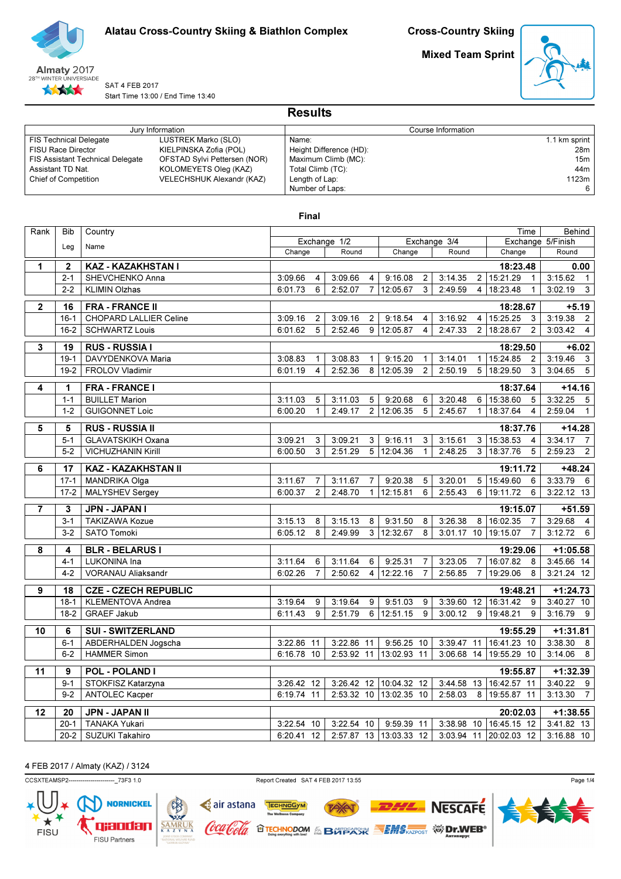

Mixed Team Sprint



SAT 4 FEB 2017 Start Time 13:00 / End Time 13:40

|                                         |                              | <b>Results</b>          |                 |
|-----------------------------------------|------------------------------|-------------------------|-----------------|
|                                         | Jury Information             | Course Information      |                 |
| <b>FIS Technical Delegate</b>           | LUSTREK Marko (SLO)          | Name:                   | 1.1 km sprint   |
| <b>FISU Race Director</b>               | KIELPINSKA Zofia (POL)       | Height Difference (HD): | 28m             |
| <b>FIS Assistant Technical Delegate</b> | OFSTAD Sylvi Pettersen (NOR) | Maximum Climb (MC):     | 15 <sub>m</sub> |
| Assistant TD Nat.                       | KOLOMEYETS Oleg (KAZ)        | Total Climb (TC):       | 44m             |
| Chief of Competition                    | VELECHSHUK Alexandr (KAZ)    | Length of Lap:          | 1123m           |
|                                         |                              | Number of Laps:         |                 |

# Final

| Rank                    | <b>Bib</b>      | Country                       |              |                |              |                |                        |                |              |                |                        | Time           | Behind                             |
|-------------------------|-----------------|-------------------------------|--------------|----------------|--------------|----------------|------------------------|----------------|--------------|----------------|------------------------|----------------|------------------------------------|
|                         | Leg             | Name                          |              |                | Exchange 1/2 |                |                        |                | Exchange 3/4 |                |                        |                | Exchange 5/Finish                  |
|                         |                 |                               | Change       |                | Round        |                | Change                 |                | Round        |                | Change                 |                | Round                              |
| $\mathbf{1}$            | $\mathbf{2}$    | KAZ - KAZAKHSTAN I            |              |                |              |                |                        |                |              |                | 18:23.48               |                | 0.00                               |
|                         | $2 - 1$         | SHEVCHENKO Anna               | 3:09.66      | 4              | 3:09.66      | 4              | 9:16.08                | $\overline{2}$ | 3:14.35      |                | 2 15:21.29             | $\overline{1}$ | 3:15.62<br>$\overline{1}$          |
|                         | $2 - 2$         | <b>KLIMIN Olzhas</b>          | 6:01.73      | 6              | 2:52.07      | $\overline{7}$ | 12:05.67               | 3              | 2:49.59      |                | 4 18:23.48             | $\mathbf{1}$   | 3:02.19<br>$\overline{\mathbf{3}}$ |
| $\overline{\mathbf{2}}$ | 16              | <b>FRA - FRANCE II</b>        |              |                |              |                |                        |                |              |                | 18:28.67               |                | $+5.19$                            |
|                         | $16 - 1$        | <b>CHOPARD LALLIER Celine</b> | 3:09.16      | 2              | 3:09.16      | $\overline{2}$ | 9:18.54                | 4              | 3:16.92      |                | 4 15:25.25             | 3              | 3:19.38<br>$\overline{2}$          |
|                         | $16-2$          | <b>SCHWARTZ Louis</b>         | 6:01.62      | 5              | 2:52.46      | 9              | 12:05.87               | 4              | 2:47.33      | 2 <sup>1</sup> | 18:28.67               | $\overline{2}$ | 3:03.42<br>$\overline{4}$          |
|                         |                 |                               |              |                |              |                |                        |                |              |                |                        |                |                                    |
| 3                       | 19              | <b>RUS - RUSSIA I</b>         |              |                |              |                |                        |                |              |                | 18:29.50               |                | $+6.02$                            |
|                         | $19-1$          | DAVYDENKOVA Maria             | 3:08.83      | 1              | 3:08.83      | $\mathbf{1}$   | 9:15.20                | $\mathbf{1}$   | 3:14.01      |                | 1 15:24.85             | $\overline{2}$ | 3:19.46<br>$\overline{\mathbf{3}}$ |
|                         | $19-2$          | FROLOV Vladimir               | 6:01.19      | 4              | 2:52.36      | 8              | 12:05.39               | $\overline{2}$ | 2:50.19      |                | 5 18:29.50             | 3              | $\overline{5}$<br>3:04.65          |
| 4                       | 1               | <b>FRA - FRANCE I</b>         |              |                |              |                |                        |                |              |                | 18:37.64               |                | $+14.16$                           |
|                         | $1 - 1$         | <b>BUILLET Marion</b>         | 3:11.03      | 5              | 3:11.03      | 5              | 9:20.68                | 6              | 3:20.48      | 6              | 15:38.60               | 5              | 3:32.25<br>$5\phantom{.0}$         |
|                         | $1 - 2$         | <b>GUIGONNET Loic</b>         | 6:00.20      | $\mathbf{1}$   | 2:49.17      | 2              | 12:06.35               | 5              | 2:45.67      | 1              | 18:37.64               | 4              | 2:59.04<br>$\mathbf{1}$            |
|                         |                 |                               |              |                |              |                |                        |                |              |                |                        |                |                                    |
| 5                       | 5               | <b>RUS - RUSSIA II</b>        |              |                |              |                |                        |                |              |                | 18:37.76               |                | $+14.28$                           |
|                         | $5 - 1$         | <b>GLAVATSKIKH Oxana</b>      | 3:09.21      | 3              | 3:09.21      | 3              | 9:16.11                | 3              | 3:15.61      |                | 3   15:38.53           | $\overline{4}$ | 3:34.17<br>$\overline{7}$          |
|                         | $5-2$           | <b>VICHUZHANIN Kirill</b>     | 6:00.50      | 3              | 2:51.29      | 5              | 12:04.36               | $\mathbf{1}$   | 2:48.25      |                | 3 18:37.76             | 5              | 2:59.23<br>$\overline{2}$          |
| 6                       | 17              | KAZ - KAZAKHSTAN II           |              |                |              |                |                        |                |              |                | 19:11.72               |                | $+48.24$                           |
|                         | $17 - 1$        | <b>MANDRIKA Olga</b>          | 3:11.67      | $\overline{7}$ | 3:11.67      | 7              | 9:20.38                | 5              | 3:20.01      |                | 5 15:49.60             | 6              | 3:33.79<br>6                       |
|                         | $17 - 2$        | MALYSHEV Sergey               | 6:00.37      | $\overline{2}$ | 2:48.70      | $\mathbf{1}$   | 12:15.81               | 6              | 2:55.43      |                | 6 19:11.72             | 6              | $3:22.12$ 13                       |
| 7                       | 3               | <b>JPN - JAPAN I</b>          |              |                |              |                |                        |                |              |                | 19:15.07               |                | $+51.59$                           |
|                         | $3 - 1$         | <b>TAKIZAWA Kozue</b>         | 3:15.13      | 8              | 3:15.13      | 8              | 9:31.50                | 8              | 3:26.38      | 8              | 16:02.35               | $\overline{7}$ | 3:29.68<br>$\overline{4}$          |
|                         | $3-2$           | <b>SATO Tomoki</b>            | 6:05.12      | 8              | 2:49.99      | 3              | 12:32.67               | 8              | 3:01.17 10   |                | 19:15.07               | $\overline{7}$ | 3:12.72<br>6                       |
|                         |                 |                               |              |                |              |                |                        |                |              |                |                        |                |                                    |
| 8                       | 4               | <b>BLR - BELARUS I</b>        |              |                |              |                |                        |                |              |                | 19:29.06               |                | $+1:05.58$                         |
|                         | $4 - 1$         | LUKONINA Ina                  | 3:11.64      | 6              | 3:11.64      | 6              | 9:25.31                | $\overline{7}$ | 3:23.05      |                | 7 16:07.82             | 8              | 3:45.66 14                         |
|                         | $4 - 2$         | <b>VORANAU Aliaksandr</b>     | 6:02.26      | $\overline{7}$ | 2:50.62      | 4              | 12:22.16               | $\overline{7}$ | 2:56.85      | $\overline{7}$ | 19:29.06               | 8              | $3:21.24$ 12                       |
| 9                       | $\overline{18}$ | <b>CZE - CZECH REPUBLIC</b>   |              |                |              |                |                        |                |              |                | 19:48.21               |                | $+1:24.73$                         |
|                         | $18-1$          | KLEMENTOVA Andrea             | 3:19.64      | 9              | 3:19.64      | 9              | 9:51.03                | 9              | 3:39.60      | 12             | 16:31.42               | 9              | 3:40.27 10                         |
|                         | $18-2$          | <b>GRAEF Jakub</b>            | 6:11.43      | 9              | 2:51.79      | 6              | 12:51.15               | 9              | 3:00.12      | 9              | 19:48.21               | 9              | 3:16.79<br>9                       |
| $\overline{10}$         | 6               | <b>SUI - SWITZERLAND</b>      |              |                |              |                |                        |                |              |                | 19:55.29               |                | $+1:31.81$                         |
|                         | $6 - 1$         | ABDERHALDEN Jogscha           | $3:22.86$ 11 |                | 3:22.86 11   |                | $9:56.25$ 10           |                | 3:39.47      |                | 11 16:41.23 10         |                | 3:38.30<br>8                       |
|                         | $6-2$           | <b>HAMMER Simon</b>           | 6:16.78 10   |                |              |                | 2:53.92 11 13:02.93 11 |                |              |                | 3:06.68 14 19:55.29 10 |                | 3:14.06<br>8                       |
|                         |                 |                               |              |                |              |                |                        |                |              |                |                        |                |                                    |
| 11                      | 9               | <b>POL - POLAND I</b>         |              |                |              |                |                        |                |              |                | 19:55.87               |                | $+1:32.39$                         |
|                         | $9 - 1$         | STOKFISZ Katarzyna            | 3:26.42 12   |                | 3:26.42      |                | 12 10:04.32 12         |                | 3:44.58      | 13             | 16:42.57 11            |                | 3:40.22<br>9                       |
|                         | $9 - 2$         | <b>ANTOLEC Kacper</b>         | 6:19.74 11   |                |              |                | 2:53.32 10 13:02.35 10 |                | 2:58.03      |                | 8 19:55.87 11          |                | 3:13.30<br>$\overline{7}$          |
| $\overline{12}$         | $\overline{20}$ | <b>JPN - JAPAN II</b>         |              |                |              |                |                        |                |              |                | 20:02.03               |                | $+1:38.55$                         |
|                         | $20-1$          | <b>TANAKA Yukari</b>          | 3:22.54 10   |                | 3:22.54 10   |                | 9:59.39 11             |                | 3:38.98      |                | 10 16:45.15 12         |                | 3:41.82 13                         |
|                         | $20-2$          | SUZUKI Takahiro               | 6:20.41 12   |                |              |                | 2:57.87 13 13:03.33 12 |                |              |                | 3:03.94 11 20:02.03 12 |                | 3:16.88 10                         |
|                         |                 |                               |              |                |              |                |                        |                |              |                |                        |                |                                    |

4 FEB 2017 / Almaty (KAZ) / 3124

CCSXTEAMSP2-----------------------\_73F3 1.0 Report Created SAT 4 FEB 2017 13:55



TECHNOGYM

c air astana

'Cola

(oca

 $\frac{\overline{SAMR}}{K\ A\ Z}$ 



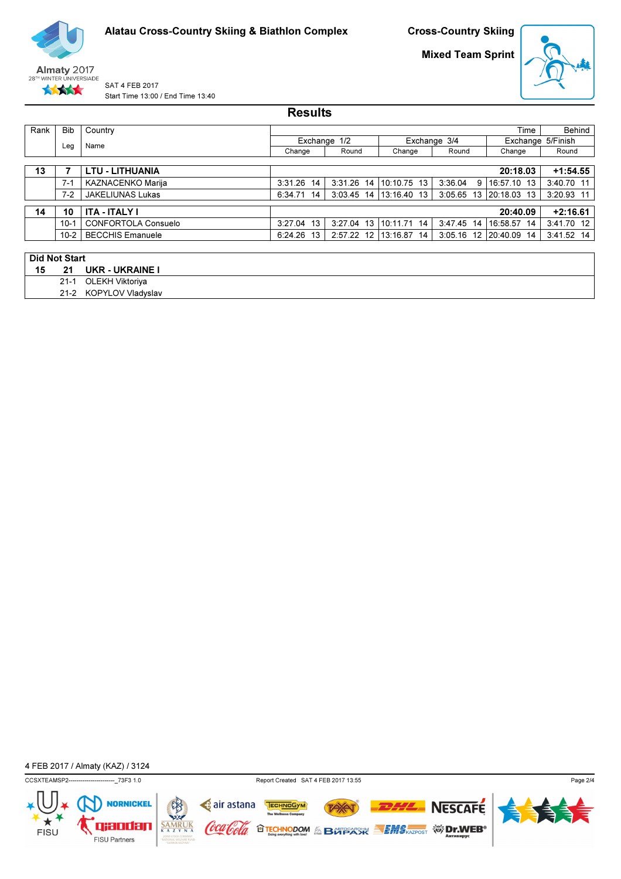

Mixed Team Sprint



SAT 4 FEB 2017 Start Time 13:00 / End Time 13:40

|                      |            |                            | <b>Results</b> |               |             |                |             |                   |
|----------------------|------------|----------------------------|----------------|---------------|-------------|----------------|-------------|-------------------|
| Rank                 | <b>Bib</b> | Country                    |                |               |             |                | Time        | Behind            |
|                      |            | Name                       |                | Exchange 1/2  |             | Exchange 3/4   |             | Exchange 5/Finish |
|                      | Leg        |                            | Change         | Round         | Change      | Round          | Change      | Round             |
|                      |            |                            |                |               |             |                |             |                   |
| 13                   |            | <b>LTU - LITHUANIA</b>     |                |               |             |                | 20:18.03    | $+1:54.55$        |
|                      | $7-1$      | KAZNACENKO Marija          | 3:31.26<br>14  | 3:31.26<br>14 | 10:10.75 13 | 3:36.04<br>9   | 16:57.10 13 | 3:40.70 11        |
|                      | $7-2$      | <b>JAKELIUNAS Lukas</b>    | 6:34.71 14     | 3:03.45 14    | 13:16.40 13 | 3:05.65<br>-13 | 20:18.03 13 | 3:20.93 11        |
| 14                   | 10         | <b>ITA - ITALY I</b>       |                |               |             |                | 20:40.09    | $+2:16.61$        |
|                      | $10 - 1$   | <b>CONFORTOLA Consuelo</b> | 3:27.04 13     | 3:27.04 13    | 10:11.71 14 | 3:47.45<br>-14 | 16:58.57 14 | 3:41.70 12        |
|                      | $10-2$     | <b>BECCHIS Emanuele</b>    | 6:24.26 13     | 2:57.22<br>12 | 13:16.87 14 | 3:05.16<br>-12 | 20:40.09 14 | 3:41.52 14        |
|                      |            |                            |                |               |             |                |             |                   |
| <b>Did Not Start</b> |            |                            |                |               |             |                |             |                   |
| 15                   | 21         | <b>UKR - UKRAINE I</b>     |                |               |             |                |             |                   |
|                      | $21 - 1$   | OLEKH Viktoriya            |                |               |             |                |             |                   |

21-2 KOPYLOV Vladyslav

4 FEB 2017 / Almaty (KAZ) / 3124



q xanafan

FISU Partners

 $SAMRUK  
 $\overline{K A Z Y N A}$$ </u>

Coca Cola

TECHNOGYM **NESCAFE** TAX **O TECHNODOM & BOTPARK SEMS AZPOST WIDERS** 



Page 2/4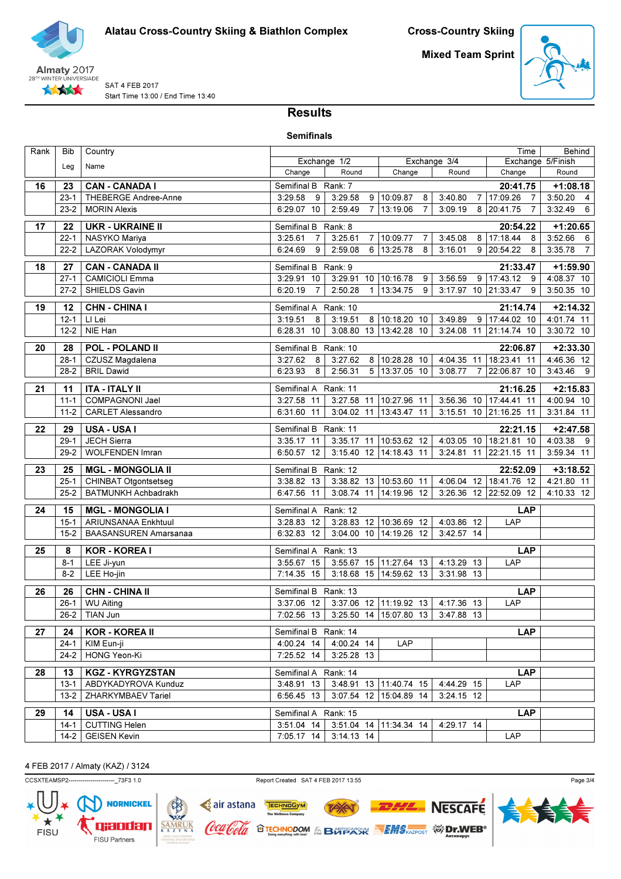

Mixed Team Sprint



SAT 4 FEB 2017 Start Time 13:00 / End Time 13:40

# Results

| <b>Semifinals</b> |  |
|-------------------|--|
|-------------------|--|

| Rank | Bib            | Country                                          | Time                                         |                                                  |                |               |                |                          | Behind |                                    |                |                           |
|------|----------------|--------------------------------------------------|----------------------------------------------|--------------------------------------------------|----------------|---------------|----------------|--------------------------|--------|------------------------------------|----------------|---------------------------|
|      | Leg            | Name                                             |                                              | Exchange 1/2                                     |                |               |                | Exchange 3/4             |        |                                    |                | Exchange 5/Finish         |
|      |                |                                                  | Change                                       | Round                                            |                | Change        |                | Round                    |        | Change                             |                | Round                     |
| 16   | 23             | <b>CAN - CANADA I</b>                            | Semifinal B Rank: 7                          |                                                  |                |               |                |                          |        | 20:41.75                           |                | $+1:08.18$                |
|      | $23-1$         | THEBERGE Andree-Anne                             | 3:29.58<br>9                                 | 3:29.58                                          | 9              | 10:09.87      | 8              | 3:40.80                  |        | 7 17:09.26                         | $\overline{7}$ | 3:50.20<br>$\overline{4}$ |
|      | $23-2$         | <b>MORIN Alexis</b>                              | 6:29.07 10                                   | 2:59.49                                          | $\overline{7}$ | 13:19.06      | $\overline{7}$ | 3:09.19                  |        | 8 20:41.75                         | $\overline{7}$ | 3:32.49<br>6              |
| 17   | 22             | <b>UKR - UKRAINE II</b>                          | Semifinal B Rank: 8                          |                                                  |                |               |                |                          |        | 20:54.22                           |                | $+1:20.65$                |
|      | $22 - 1$       | NASYKO Mariya                                    | 3:25.61<br>$\overline{7}$                    | 3:25.61                                          |                | 7 10:09.77    | 7              | 3:45.08                  |        | 8 17:18.44                         | $^{\circ}$ 8   | 3:52.66<br>6              |
|      | $22 - 2$       | LAZORAK Volodymyr                                | 6:24.69<br>9                                 | 2:59.08                                          | 6              | 13:25.78      | 8              | 3:16.01                  |        | 9 20:54.22                         | 8              | $\overline{7}$<br>3:35.78 |
| 18   | 27             | <b>CAN - CANADA II</b>                           | Semifinal B Rank: 9                          |                                                  |                |               |                |                          |        | 21:33.47                           |                | $+1:59.90$                |
|      | $27-1$         | <b>CAMICIOLI Emma</b>                            | 3:29.91<br>10                                | 3:29.91 10 10:16.78                              |                |               | 9              | 3:56.59                  |        | $9 17:43.12$ 9                     |                | 4:08.37 10                |
|      | $27 - 2$       | SHIELDS Gavin                                    | $\overline{7}$<br>6:20.19                    | 2:50.28                                          | $\mathbf{1}$   | 13:34.75      | 9              |                          |        | 3:17.97 10 21:33.47                | - 9            | 3:50.35 10                |
|      |                |                                                  |                                              |                                                  |                |               |                |                          |        |                                    |                |                           |
| 19   | 12             | <b>CHN - CHINA I</b>                             | Semifinal A                                  | Rank: 10                                         |                |               |                |                          |        | 21:14.74                           |                | $+2:14.32$                |
|      | $12 - 1$       | LI Lei                                           | 3:19.51<br>8                                 | 3:19.51                                          |                | 8 10:18.20 10 |                | 3:49.89                  |        | $9 \overline{17:44.02}$ 10         |                | 4:01.74 11                |
|      | $12 - 2$       | NIE Han                                          | $6:28.31$ 10                                 | 3:08.80 13 13:42.28 10                           |                |               |                |                          |        | 3:24.08 11 21:14.74 10             |                | 3:30.72 10                |
| 20   | 28             | <b>POL - POLAND II</b>                           | Semifinal B Rank: 10                         |                                                  |                |               |                |                          |        | 22:06.87                           |                | $+2:33.30$                |
|      | $28-1$         | CZUSZ Magdalena                                  | 3:27.62<br>8                                 | 3:27.62                                          |                | 8 10:28.28 10 |                | 4:04.35 11               |        | 18:23.41 11                        |                | $4:46.36$ 12              |
|      | $28-2$         | <b>BRIL Dawid</b>                                | 6:23.93<br>8                                 | 2:56.31                                          |                | 5 13:37.05 10 |                | 3:08.77                  | 7      | 22:06.87 10                        |                | $3:43.46$ 9               |
| 21   | 11             | <b>ITA - ITALY II</b>                            | Semifinal A Rank: 11                         |                                                  |                |               |                |                          |        | 21:16.25                           |                | $+2:15.83$                |
|      | $11 - 1$       | COMPAGNONI Jael                                  | 3:27.58 11                                   | 3:27.58 11                                       |                | 10:27.96 11   |                |                          |        | 3:56.36 10 17:44.41 11             |                | 4:00.94 10                |
|      | $11-2$         | <b>CARLET Alessandro</b>                         | 6:31.60 11                                   | 3:04.02 11 13:43.47 11                           |                |               |                |                          |        | 3:15.51 10 21:16.25 11             |                | 3:31.84 11                |
| 22   | 29             | USA - USA I                                      | Semifinal B Rank: 11                         |                                                  |                |               |                |                          |        | 22:21.15                           |                | $+2:47.58$                |
|      | $29-1$         | JECH Sierra                                      | $3:35.17$ 11                                 | 3:35.17 11 10:53.62 12                           |                |               |                |                          |        | 4:03.05 10 18:21.81 10             |                | 4:03.38<br>- 9            |
|      | $29-2$         | WOLFENDEN Imran                                  | 6:50.57 12                                   | 3:15.40 12 14:18.43 11                           |                |               |                |                          |        | 3:24.81 11 22:21.15 11             |                | 3:59.34 11                |
|      |                |                                                  |                                              |                                                  |                |               |                |                          |        |                                    |                |                           |
| 23   | 25<br>$25 - 1$ | <b>MGL - MONGOLIA II</b><br>CHINBAT Otgontsetseg | Semifinal B Rank: 12<br>3:38.82 13           | 3:38.82 13 10:53.60 11                           |                |               |                |                          |        | 22:52.09<br>4:06.04 12 18:41.76 12 |                | $+3:18.52$<br>4:21.80 11  |
|      | $25 - 2$       | BATMUNKH Achbadrakh                              | 6:47.56 11                                   | 3:08.74 11 14:19.96 12                           |                |               |                |                          |        | 3:26.36 12 22:52.09 12             |                | 4:10.33 12                |
|      |                |                                                  |                                              |                                                  |                |               |                |                          |        |                                    |                |                           |
| 24   | 15             | <b>MGL - MONGOLIA I</b>                          | Semifinal A Rank: 12                         |                                                  |                |               |                |                          |        |                                    | <b>LAP</b>     |                           |
|      | $15 - 1$       | ARIUNSANAA Enkhtuul                              | 3:28.83 12                                   | 3:28.83 12 10:36.69 12                           |                |               |                | 4:03.86 12               |        | LAP                                |                |                           |
|      | $15 - 2$       | <b>BAASANSUREN Amarsanaa</b>                     | 6:32.83 12                                   | 3:04.00 10 14:19.26 12                           |                |               |                | 3:42.57 14               |        |                                    |                |                           |
| 25   | 8              | <b>KOR - KOREA I</b>                             | Semifinal A Rank: 13                         |                                                  |                |               |                |                          |        |                                    | <b>LAP</b>     |                           |
|      | $8 - 1$        | LEE Ji-yun                                       | 3:55.67 15                                   | 3:55.67 15 11:27.64 13                           |                |               |                | 4:13.29 13               |        | LAP                                |                |                           |
|      | $8 - 2$        | LEE Ho-jin                                       | 7:14.35 15                                   | 3:18.68 15 14:59.62 13                           |                |               |                | 3:31.98 13               |        |                                    |                |                           |
| 26   | 26             | <b>CHN - CHINA II</b>                            | Semifinal B Rank: 13                         |                                                  |                |               |                |                          |        |                                    | <b>LAP</b>     |                           |
|      | $26-1$         | <b>WU Aiting</b>                                 | $3:37.06$ 12 $\mid$ 3:37.06 12 11:19.92 13   |                                                  |                |               |                | 4:17.36 13               |        | LAP                                |                |                           |
|      |                | 26-2   TIAN Jun                                  | 7:02.56 13 3:25.50 14 15:07.80 13 3:47.88 13 |                                                  |                |               |                |                          |        |                                    |                |                           |
| 27   | 24             | <b>KOR - KOREA II</b>                            | Semifinal B Rank: 14                         |                                                  |                |               |                |                          |        |                                    | <b>LAP</b>     |                           |
|      | $24-1$         | KIM Eun-ji                                       | 4:00.24 14                                   | 4:00.24 14                                       |                | LAP           |                |                          |        |                                    |                |                           |
|      | $24-2$         | HONG Yeon-Ki                                     | 7:25.52 14                                   | 3:25.28 13                                       |                |               |                |                          |        |                                    |                |                           |
|      |                |                                                  |                                              |                                                  |                |               |                |                          |        |                                    |                |                           |
| 28   | 13             | <b>KGZ-KYRGYZSTAN</b>                            | Semifinal A Rank: 14<br>$3:48.91$ 13         |                                                  |                |               |                |                          |        |                                    | <b>LAP</b>     |                           |
|      | 13-1<br>13-2   | ABDYKADYROVA Kunduz<br>ZHARKYMBAEV Tariel        | 6:56.45 13                                   | 3:48.91 13 11:40.74 15<br>3:07.54 12 15:04.89 14 |                |               |                | 4:44.29 15<br>3:24.15 12 |        | LAP                                |                |                           |
|      |                |                                                  |                                              |                                                  |                |               |                |                          |        |                                    |                |                           |
| 29   | 14             | <b>USA - USA I</b>                               | Semifinal A Rank: 15                         |                                                  |                |               |                |                          |        |                                    | <b>LAP</b>     |                           |
|      | $14 - 1$       | <b>CUTTING Helen</b>                             | 3:51.04 14                                   | 3:51.04 14 11:34.34 14                           |                |               |                | 4:29.17 14               |        |                                    |                |                           |
|      | $14-2$         | <b>GEISEN Kevin</b>                              | 7:05.17 14                                   | $3:14.13$ 14                                     |                |               |                |                          |        | LAP                                |                |                           |

4 FEB 2017 / Almaty (KAZ) / 3124



FISU

**NORNICKEL** 

q xanafan

FISU Partners

 $\alpha$ 

 $SAMRU$ </u>

**72X** 

TECHNOGYM

c air astana

Coca Cola

Page 3/4



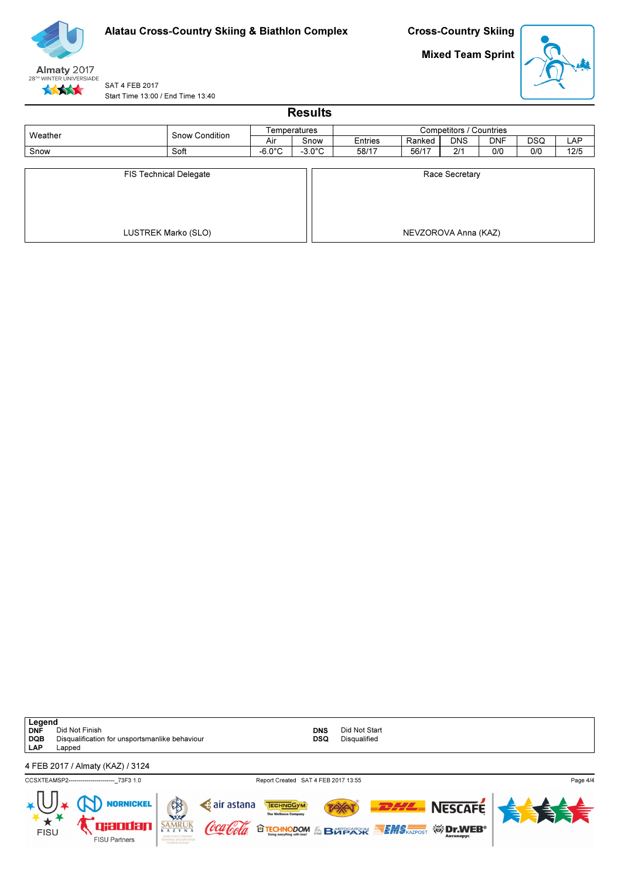

Mixed Team Sprint



SAT 4 FEB 2017 Start Time 13:00 / End Time 13:40

|                               |                     |                  | <b>Results</b>   |                         |        |                      |            |            |            |  |  |  |  |
|-------------------------------|---------------------|------------------|------------------|-------------------------|--------|----------------------|------------|------------|------------|--|--|--|--|
| Weather                       | Snow Condition      |                  | Temperatures     | Competitors / Countries |        |                      |            |            |            |  |  |  |  |
|                               |                     | Air              | Snow             | Entries                 | Ranked | <b>DNS</b>           | <b>DNF</b> | <b>DSQ</b> | <b>LAP</b> |  |  |  |  |
| Snow                          | Soft                | $-6.0^{\circ}$ C | $-3.0^{\circ}$ C | 58/17                   | 56/17  | 2/1                  | 0/0        | 0/0        | 12/5       |  |  |  |  |
| <b>FIS Technical Delegate</b> |                     |                  |                  |                         |        | Race Secretary       |            |            |            |  |  |  |  |
|                               | LUSTREK Marko (SLO) |                  |                  |                         |        | NEVZOROVA Anna (KAZ) |            |            |            |  |  |  |  |

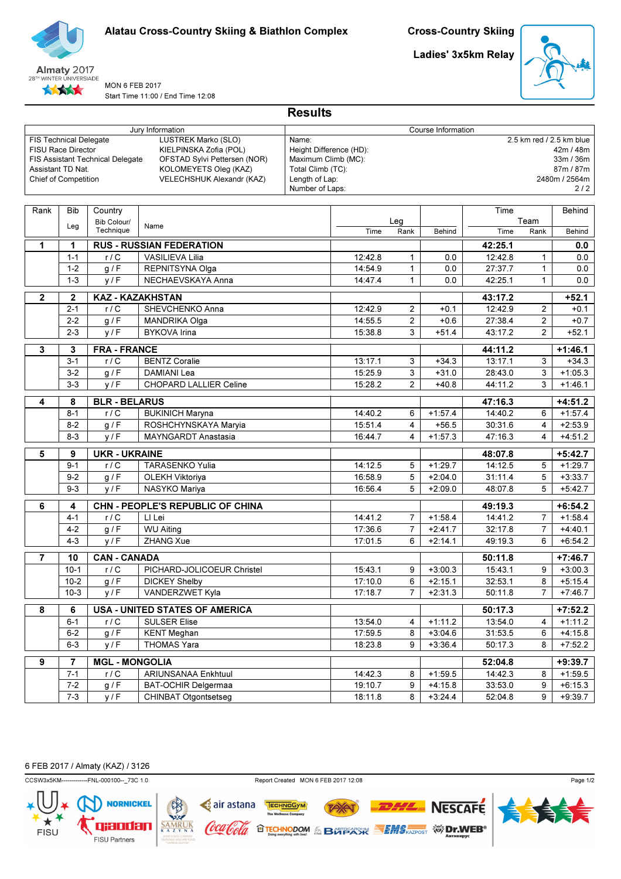

Ladies' 3x5km Relay



MON 6 FEB 2017 Start Time 11:00 / End Time 12:08

|                               | Jury Information          |                                  |                                  | Course Information                |                         |                |           |         |                |               |  |  |  |
|-------------------------------|---------------------------|----------------------------------|----------------------------------|-----------------------------------|-------------------------|----------------|-----------|---------|----------------|---------------|--|--|--|
| <b>FIS Technical Delegate</b> |                           |                                  | LUSTREK Marko (SLO)              | 2.5 km red / 2.5 km blue<br>Name: |                         |                |           |         |                |               |  |  |  |
|                               | <b>FISU Race Director</b> |                                  | KIELPINSKA Zofia (POL)           |                                   | Height Difference (HD): |                |           |         |                | 42m / 48m     |  |  |  |
|                               |                           | FIS Assistant Technical Delegate | OFSTAD Sylvi Pettersen (NOR)     | Maximum Climb (MC):               |                         |                |           |         |                | 33m / 36m     |  |  |  |
|                               | Assistant TD Nat.         |                                  | KOLOMEYETS Oleg (KAZ)            | Total Climb (TC):                 |                         |                |           |         |                | 87m / 87m     |  |  |  |
|                               | Chief of Competition      |                                  | VELECHSHUK Alexandr (KAZ)        | Length of Lap:<br>Number of Laps: |                         |                |           |         |                | 2480m / 2564m |  |  |  |
|                               |                           |                                  |                                  |                                   |                         |                |           |         |                | 2/2           |  |  |  |
| Rank                          | <b>Bib</b>                | Country                          |                                  |                                   |                         |                |           | Time    |                | Behind        |  |  |  |
|                               |                           | Bib Colour/                      |                                  |                                   |                         | Leg            |           |         | Team           |               |  |  |  |
|                               | Leg                       | Technique                        | Name                             |                                   | Time                    | Rank           | Behind    | Time    | Rank           | Behind        |  |  |  |
| $\mathbf 1$                   | 1                         |                                  | <b>RUS - RUSSIAN FEDERATION</b>  |                                   |                         |                |           | 42:25.1 |                | 0.0           |  |  |  |
|                               | $1 - 1$                   | r/C                              | <b>VASILIEVA Lilia</b>           |                                   | 12:42.8                 | 1              | 0.0       | 12:42.8 | 1              | 0.0           |  |  |  |
|                               | $1 - 2$                   | g/F                              | REPNITSYNA Olga                  |                                   | 14:54.9                 | 1              | 0.0       | 27:37.7 | $\mathbf{1}$   | 0.0           |  |  |  |
|                               | $1 - 3$                   | y/F                              | NECHAEVSKAYA Anna                |                                   | 14:47.4                 | $\mathbf{1}$   | 0.0       | 42:25.1 | $\mathbf{1}$   | 0.0           |  |  |  |
|                               |                           |                                  |                                  |                                   |                         |                |           |         |                |               |  |  |  |
| $\overline{2}$                | $\boldsymbol{2}$          |                                  | <b>KAZ - KAZAKHSTAN</b>          |                                   |                         |                |           | 43:17.2 |                | $+52.1$       |  |  |  |
|                               | $2 - 1$                   | $r/\overline{C}$                 | SHEVCHENKO Anna                  |                                   | 12:42.9                 | $\overline{2}$ | $+0.1$    | 12:42.9 | $\overline{2}$ | $+0.1$        |  |  |  |
|                               | $2 - 2$                   | g/F                              | <b>MANDRIKA Olga</b>             |                                   | 14:55.5                 | $\overline{2}$ | $+0.6$    | 27:38.4 | $\overline{2}$ | $+0.7$        |  |  |  |
|                               | $2 - 3$                   | y/F                              | <b>BYKOVA Irina</b>              |                                   | 15:38.8                 | 3              | $+51.4$   | 43:17.2 | $\overline{2}$ | $+52.1$       |  |  |  |
| 3                             | 3                         | <b>FRA - FRANCE</b>              |                                  |                                   |                         |                |           | 44:11.2 |                | $+1:46.1$     |  |  |  |
|                               | $3 - 1$                   | r/C                              | <b>BENTZ Coralie</b>             |                                   | 13:17.1                 | 3              | $+34.3$   | 13:17.1 | 3              | $+34.3$       |  |  |  |
|                               | $3 - 2$                   | g/F                              | DAMIANI Lea                      |                                   | 15:25.9                 | 3              | $+31.0$   | 28:43.0 | 3              | $+1:05.3$     |  |  |  |
|                               | $3-3$                     | y/F                              | <b>CHOPARD LALLIER Celine</b>    |                                   | 15:28.2                 | $\overline{2}$ | $+40.8$   | 44:11.2 | 3              | $+1:46.1$     |  |  |  |
| 4                             | 8                         | <b>BLR - BELARUS</b>             |                                  |                                   |                         |                |           | 47:16.3 |                | $+4:51.2$     |  |  |  |
|                               | $8 - 1$                   | r/C                              | <b>BUKINICH Maryna</b>           |                                   | 14:40.2                 | 6              | $+1:57.4$ | 14:40.2 | 6              | $+1:57.4$     |  |  |  |
|                               | $8 - 2$                   | g/F                              | ROSHCHYNSKAYA Maryia             |                                   | 15:51.4                 | $\overline{4}$ | $+56.5$   | 30:31.6 | 4              | $+2:53.9$     |  |  |  |
|                               | $8 - 3$                   | y/F                              | <b>MAYNGARDT Anastasia</b>       |                                   | 16:44.7                 | 4              | $+1:57.3$ | 47:16.3 | 4              | $+4:51.2$     |  |  |  |
| 5                             | 9                         | <b>UKR - UKRAINE</b>             |                                  |                                   |                         |                |           | 48:07.8 |                | $+5:42.7$     |  |  |  |
|                               | $9 - 1$                   | r/C                              | <b>TARASENKO Yulia</b>           |                                   | 14:12.5                 | 5              | $+1:29.7$ | 14:12.5 | 5              | $+1:29.7$     |  |  |  |
|                               | $9 - 2$                   | g / F                            | OLEKH Viktoriya                  |                                   | 16:58.9                 | 5              | $+2:04.0$ | 31:11.4 | 5              | $+3:33.7$     |  |  |  |
|                               | $9 - 3$                   | y/F                              | NASYKO Mariya                    |                                   | 16:56.4                 | 5              | $+2:09.0$ | 48:07.8 | 5              | $+5:42.7$     |  |  |  |
|                               |                           |                                  |                                  |                                   |                         |                |           |         |                |               |  |  |  |
| 6                             | 4                         |                                  | CHN - PEOPLE'S REPUBLIC OF CHINA |                                   |                         |                |           | 49:19.3 |                | $+6:54.2$     |  |  |  |
|                               | $4 - 1$                   | r/C                              | LI Lei                           |                                   | 14:41.2                 | $\overline{7}$ | $+1:58.4$ | 14:41.2 | $\overline{7}$ | $+1:58.4$     |  |  |  |
|                               | $4 - 2$                   | g/F                              | <b>WU Aiting</b>                 |                                   | 17:36.6                 | $\overline{7}$ | $+2:41.7$ | 32:17.8 | $\overline{7}$ | $+4:40.1$     |  |  |  |
|                               | $4 - 3$                   | y/F                              | ZHANG Xue                        |                                   | 17:01.5                 | 6              | $+2:14.1$ | 49:19.3 | 6              | $+6:54.2$     |  |  |  |
| $\overline{7}$                | 10                        | <b>CAN - CANADA</b>              |                                  |                                   |                         |                |           | 50:11.8 |                | $+7:46.7$     |  |  |  |
|                               | $10-1$                    | r/C                              | PICHARD-JOLICOEUR Christel       |                                   | 15:43.1                 | 9              | $+3:00.3$ | 15:43.1 | 9              | $+3:00.3$     |  |  |  |
|                               | $10-2$                    | g / F                            | <b>DICKEY Shelby</b>             |                                   | 17:10.0                 | 6              | $+2:15.1$ | 32:53.1 | 8              | $+5:15.4$     |  |  |  |
|                               | $10-3$                    | y/F                              | VANDERZWET Kyla                  |                                   | 17:18.7                 | $\overline{7}$ | $+2:31.3$ | 50:11.8 | $\overline{7}$ | $+7:46.7$     |  |  |  |
| 8                             | 6                         |                                  | USA - UNITED STATES OF AMERICA   |                                   |                         |                |           | 50:17.3 |                | $+7:52.2$     |  |  |  |
|                               | $6 - 1$                   | r/C                              | <b>SULSER Elise</b>              |                                   | 13:54.0                 | $\overline{4}$ | $+1:11.2$ | 13:54.0 | 4              | $+1:11.2$     |  |  |  |
|                               | $6 - 2$                   | g / F                            | <b>KENT Meghan</b>               |                                   | 17:59.5                 | 8              | $+3:04.6$ | 31:53.5 | 6              | $+4:15.8$     |  |  |  |
|                               | $6 - 3$                   | y/F                              | THOMAS Yara                      |                                   | 18:23.8                 | 9              | $+3:36.4$ | 50:17.3 | 8              | $+7:52.2$     |  |  |  |
| $\overline{9}$                | 7                         | <b>MGL - MONGOLIA</b>            |                                  |                                   |                         |                |           | 52:04.8 |                | $+9:39.7$     |  |  |  |
|                               | $7 - 1$                   | r/C                              | ARIUNSANAA Enkhtuul              |                                   | 14:42.3                 | 8              | $+1:59.5$ | 14:42.3 | 8              | $+1:59.5$     |  |  |  |
|                               | $7 - 2$                   | g / F                            | BAT-OCHIR Delgermaa              |                                   | 19:10.7                 | 9              | $+4:15.8$ | 33:53.0 | 9              | $+6:15.3$     |  |  |  |
|                               | $7 - 3$                   | y/F                              | CHINBAT Otgontsetseg             |                                   | 18:11.8                 | 8              | $+3:24.4$ | 52:04.8 | 9              | $+9:39.7$     |  |  |  |
|                               |                           |                                  |                                  |                                   |                         |                |           |         |                |               |  |  |  |

Results

6 FEB 2017 / Almaty (KAZ) / 3126



CCSW3x5KM-------------FNL-000100--\_73C 1.0 Report Created MON 6 FEB 2017 12:08

**TAY** 

**OTECHNODOM & BOTPACK SEMS AZPOST WIDERS** 

TECHNOGYM

air astana

'lool*a* 

(oca

Page 1/2



**NESCAFE**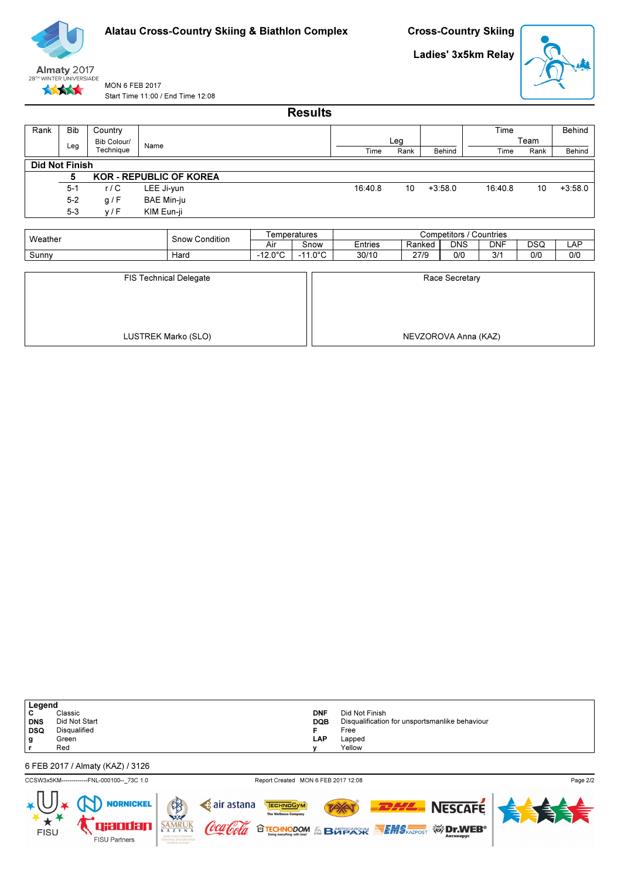

Cross-Country Skiing

Ladies' 3x5km Relay



MON 6 FEB 2017 Start Time 11:00 / End Time 12:08

Results

| Rank                  | <b>Bib</b> | Country     |                                |         |      |           | Time    |      | Behind    |
|-----------------------|------------|-------------|--------------------------------|---------|------|-----------|---------|------|-----------|
|                       |            | Bib Colour/ | Name                           |         | Leg  |           |         | Team |           |
|                       | Leg        | Technique   |                                | Time    | Rank | Behind    | Time    | Rank | Behind    |
| <b>Did Not Finish</b> |            |             |                                |         |      |           |         |      |           |
|                       | 5          |             | <b>KOR - REPUBLIC OF KOREA</b> |         |      |           |         |      |           |
|                       | $5-1$      | r/C         | LEE Ji-yun                     | 16:40.8 | 10   | $+3:58.0$ | 16:40.8 | 10   | $+3:58.0$ |
|                       | $5 - 2$    | g/F         | <b>BAE Min-ju</b>              |         |      |           |         |      |           |
|                       | $5 - 3$    | V/F         | KIM Eun-ji                     |         |      |           |         |      |           |
|                       |            |             |                                |         |      |           |         |      |           |

| Weather | Condition<br>snow | l emperatures |            | Countries<br>Competitors |        |            |            |           |     |  |  |
|---------|-------------------|---------------|------------|--------------------------|--------|------------|------------|-----------|-----|--|--|
|         |                   | Aıı           | Snow       | <b>Entries</b>           | Ranked | <b>DNS</b> | <b>DNF</b> | חפח<br>◡◡ | ⊷   |  |  |
| Sunny   | ์Haro             | 1000          | ∩∘∩<br>. . | 30/10                    | 27/9   | O/C        | 214<br>◡   | 0/0       | 0/0 |  |  |

| <b>FIS Technical Delegate</b> | Race Secretary       |
|-------------------------------|----------------------|
| LUSTREK Marko (SLO)           | NEVZOROVA Anna (KAZ) |

| Legend     |               |            |                                                |
|------------|---------------|------------|------------------------------------------------|
| ັ          | Classic       | <b>DNF</b> | Did Not Finish                                 |
| <b>DNS</b> | Did Not Start | <b>DQB</b> | Disqualification for unsportsmanlike behaviour |
| <b>DSQ</b> | Disqualified  |            | Free                                           |
| g          | Green         | <b>LAP</b> | Lapped                                         |
|            | Red           | v          | Yellow                                         |
|            |               |            |                                                |

6 FEB 2017 / Almaty (KAZ) / 3126

CCSW3x5KM-------------FNL-000100--\_73C 1.0 Report Created MON 6 FEB 2017 12:08

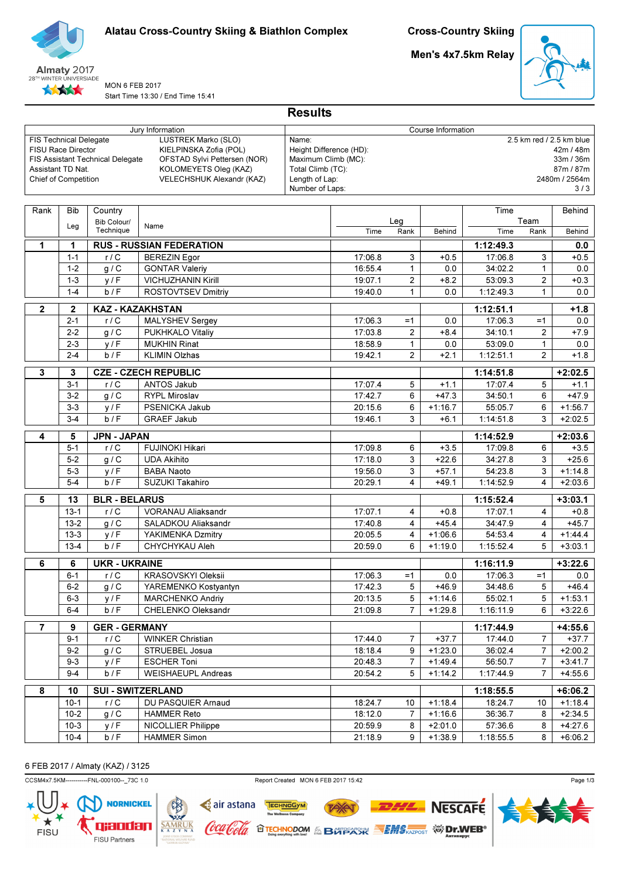

Men's 4x7.5km Relay



MON 6 FEB 2017 Start Time 13:30 / End Time 15:41

|                      | Jury Information<br><b>FIS Technical Delegate</b> |                                  |                                                       |                                          | Course Information      |                |                        |                      |                                  |                          |  |
|----------------------|---------------------------------------------------|----------------------------------|-------------------------------------------------------|------------------------------------------|-------------------------|----------------|------------------------|----------------------|----------------------------------|--------------------------|--|
|                      |                                                   |                                  | LUSTREK Marko (SLO)                                   | Name:                                    |                         |                |                        |                      |                                  | 2.5 km red / 2.5 km blue |  |
| FISU Race Director   |                                                   |                                  | KIELPINSKA Zofia (POL)                                |                                          | Height Difference (HD): |                |                        |                      |                                  | 42m / 48m                |  |
| Assistant TD Nat.    |                                                   | FIS Assistant Technical Delegate | OFSTAD Sylvi Pettersen (NOR)<br>KOLOMEYETS Oleg (KAZ) | Maximum Climb (MC):<br>Total Climb (TC): |                         |                |                        |                      |                                  | 33m / 36m<br>87m / 87m   |  |
| Chief of Competition |                                                   |                                  | VELECHSHUK Alexandr (KAZ)                             | Length of Lap:                           |                         |                |                        |                      |                                  | 2480m / 2564m            |  |
|                      |                                                   |                                  |                                                       | Number of Laps:                          |                         |                |                        |                      |                                  | 3/3                      |  |
|                      |                                                   |                                  |                                                       |                                          |                         |                |                        |                      |                                  |                          |  |
| Rank                 | <b>Bib</b>                                        | Country                          |                                                       |                                          |                         |                |                        | Time                 |                                  | Behind                   |  |
|                      | Leg                                               | Bib Colour/                      | Name                                                  |                                          |                         | Leg            |                        |                      | Team                             |                          |  |
|                      |                                                   | Technique                        |                                                       |                                          | Time                    | Rank           | Behind                 | Time                 | Rank                             | Behind                   |  |
| $\mathbf 1$          | 1                                                 |                                  | <b>RUS - RUSSIAN FEDERATION</b>                       |                                          |                         |                |                        | 1:12:49.3            |                                  | 0.0                      |  |
|                      | $1 - 1$                                           | r/C                              | <b>BEREZIN Egor</b>                                   |                                          | 17:06.8                 | 3              | $+0.5$                 | 17:06.8              | 3                                | $+0.5$                   |  |
|                      | $1 - 2$                                           | g/C                              | <b>GONTAR Valeriy</b>                                 |                                          | 16:55.4                 | $\mathbf{1}$   | 0.0                    | 34:02.2              | $\mathbf{1}$                     | 0.0                      |  |
|                      | $1 - 3$                                           | y/F                              | <b>VICHUZHANIN Kirill</b>                             |                                          | 19:07.1                 | $\overline{c}$ | $+8.2$                 | 53:09.3              | $\overline{c}$                   | $+0.3$                   |  |
|                      | $1 - 4$                                           | b/F                              | ROSTOVTSEV Dmitriy                                    |                                          | 19:40.0                 | $\mathbf{1}$   | 0.0                    | 1:12:49.3            | $\mathbf{1}$                     | 0.0                      |  |
| $\mathbf{2}$         | $\mathbf{2}$                                      | <b>KAZ - KAZAKHSTAN</b>          |                                                       |                                          |                         |                |                        | 1:12:51.1            |                                  | $+1.8$                   |  |
|                      | $2 - 1$                                           | r/C                              | MALYSHEV Sergey                                       |                                          | 17:06.3                 | $=1$           | 0.0                    | 17:06.3              | $=1$                             | 0.0                      |  |
|                      | $2 - 2$                                           | g / C                            | PUKHKALO Vitaliy                                      |                                          | 17:03.8                 | $\overline{c}$ | $+8.4$                 | 34:10.1              | $\overline{2}$                   | $+7.9$                   |  |
|                      | $2 - 3$                                           | y/F                              | <b>MUKHIN Rinat</b>                                   |                                          | 18:58.9                 | $\mathbf{1}$   | 0.0                    | 53:09.0              | $\mathbf{1}$                     | 0.0                      |  |
|                      | $2 - 4$                                           | b/F                              | <b>KLIMIN Olzhas</b>                                  |                                          | 19:42.1                 | $\overline{2}$ | $+2.1$                 | 1:12:51.1            | $\overline{2}$                   | $+1.8$                   |  |
|                      |                                                   |                                  |                                                       |                                          |                         |                |                        |                      |                                  |                          |  |
| $\mathbf 3$          | 3                                                 |                                  | <b>CZE - CZECH REPUBLIC</b>                           |                                          |                         |                | 1:14:51.8              |                      | $+2:02.5$                        |                          |  |
|                      | $3 - 1$                                           | r/C                              | ANTOS Jakub                                           |                                          | 17:07.4                 | 5              | $+1.1$                 | 17:07.4              | 5                                | $+1.1$                   |  |
|                      | $3-2$                                             | g / C                            | RYPL Miroslav                                         |                                          | 17:42.7                 | 6              | $+47.3$                | 34:50.1              | 6                                | $+47.9$                  |  |
|                      | $3 - 3$                                           | y/F                              | PSENICKA Jakub                                        |                                          | 20:15.6                 | 6              | $+1:16.7$              | 55:05.7              | 6                                | $+1:56.7$                |  |
|                      | $3 - 4$                                           | b/F                              | <b>GRAEF Jakub</b>                                    |                                          | 19:46.1                 | 3              | $+6.1$                 | 1:14:51.8            | 3                                | $+2:02.5$                |  |
| 4                    | 5<br><b>JPN - JAPAN</b>                           |                                  |                                                       |                                          |                         |                | 1:14:52.9              |                      | $+2:03.6$                        |                          |  |
|                      | $5 - 1$                                           | r/C                              | <b>FUJINOKI Hikari</b>                                |                                          | 17:09.8                 | 6              | $+3.5$                 | 17:09.8              | 6                                | $+3.5$                   |  |
|                      | $5-2$                                             | g / C                            | <b>UDA Akihito</b>                                    |                                          | 17:18.0                 | 3              | $+22.6$                | 34:27.8              | 3                                | $+25.6$                  |  |
|                      | $5-3$                                             | y/F                              | BABA Naoto                                            |                                          | 19:56.0                 | 3              | $+57.1$                | 54:23.8              | 3                                | $+1:14.8$                |  |
|                      | $5 - 4$                                           | b/F                              | SUZUKI Takahiro                                       |                                          | 20:29.1                 | 4              | $+49.1$                | 1:14:52.9            | 4                                | $+2:03.6$                |  |
| 5                    | 13                                                | <b>BLR - BELARUS</b>             |                                                       |                                          |                         |                |                        | 1:15:52.4            |                                  | $+3:03.1$                |  |
|                      | $13-1$                                            | r/C                              | VORANAU Aliaksandr                                    |                                          | 17:07.1                 | 4              | $+0.8$                 | 17:07.1              | $\overline{4}$                   | $+0.8$                   |  |
|                      | $13 - 2$                                          | g/C                              | SALADKOU Aliaksandr                                   |                                          | 17:40.8                 | 4              | $+45.4$                | 34:47.9              | $\overline{4}$                   | $+45.7$                  |  |
|                      | $13 - 3$                                          | y/F                              | YAKIMENKA Dzmitry                                     |                                          | 20:05.5                 | 4              | $+1:06.6$              | 54:53.4              | 4                                | $+1:44.4$                |  |
|                      | $13 - 4$                                          | b/F                              | CHYCHYKAU Aleh                                        |                                          | 20:59.0                 | 6              | $+1:19.0$              | 1:15:52.4            | 5                                | $+3:03.1$                |  |
| 6                    | 6                                                 | <b>UKR - UKRAINE</b>             |                                                       |                                          |                         |                |                        | 1:16:11.9            |                                  | $+3:22.6$                |  |
|                      | $6 - 1$                                           | r/C                              | <b>KRASOVSKYI Oleksii</b>                             |                                          | 17:06.3                 | $=1$           | 0.0                    | 17:06.3              | $=1$                             | 0.0                      |  |
|                      | $6 - 2$                                           | $g/\overline{C}$                 | YAREMENKO Kostyantyn                                  |                                          | 17:42.3                 | 5              | $+46.9$                | 34:48.6              | 5                                | $+46.4$                  |  |
|                      | $6 - 3$                                           | y/F                              | <b>MARCHENKO Andriy</b>                               |                                          | 20:13.5                 | 5              | $+1:14.6$              | 55:02.1              | 5                                | $+1:53.1$                |  |
|                      | $6 - 4$                                           | b/F                              | CHELENKO Oleksandr                                    |                                          | 21:09.8                 | $\overline{7}$ | $+1:29.8$              | 1:16:11.9            | 6                                | $+3:22.6$                |  |
|                      |                                                   |                                  |                                                       |                                          |                         |                |                        |                      |                                  |                          |  |
| $\overline{7}$       | $\overline{9}$<br>$9 - 1$                         | <b>GER - GERMANY</b><br>r/C      | <b>WINKER Christian</b>                               |                                          |                         |                |                        | 1:17:44.9<br>17:44.0 |                                  | $+4:55.6$<br>$+37.7$     |  |
|                      |                                                   |                                  |                                                       |                                          | 17:44.0                 | $\overline{7}$ | $+37.7$                |                      | $\overline{7}$                   |                          |  |
|                      | $9 - 2$<br>$9 - 3$                                | g/C<br>y/F                       | STRUEBEL Josua<br><b>ESCHER Toni</b>                  |                                          | 18:18.4<br>20:48.3      | 9<br>7         | $+1:23.0$<br>$+1:49.4$ | 36:02.4<br>56:50.7   | $\overline{7}$<br>$\overline{7}$ | $+2:00.2$<br>$+3:41.7$   |  |
|                      | $9 - 4$                                           | b/F                              | <b>WEISHAEUPL Andreas</b>                             |                                          | 20:54.2                 | 5              | $+1:14.2$              | 1:17:44.9            | $\overline{7}$                   | $+4:55.6$                |  |
|                      |                                                   |                                  |                                                       |                                          |                         |                |                        |                      |                                  |                          |  |
| 8                    | 10                                                |                                  | <b>SUI - SWITZERLAND</b>                              |                                          |                         |                |                        | 1:18:55.5            |                                  | $+6:06.2$                |  |
|                      | $10-1$                                            | r/C                              | DU PASQUIER Arnaud                                    |                                          | 18:24.7                 | 10             | $+1:18.4$              | 18:24.7              | 10                               | $+1:18.4$                |  |
|                      | $10 - 2$                                          | g/C                              | <b>HAMMER Reto</b>                                    |                                          | 18:12.0                 | $\overline{7}$ | $+1:16.6$              | 36:36.7              | 8                                | $+2:34.5$                |  |
|                      | $10-3$                                            | y/F                              | <b>NICOLLIER Philippe</b>                             |                                          | 20:59.9                 | 8              | $+2:01.0$              | 57:36.6              | 8                                | $+4:27.6$                |  |
|                      | $10 - 4$                                          | b/F                              | <b>HAMMER Simon</b>                                   |                                          | 21:18.9                 | 9              | $+1:38.9$              | 1:18:55.5            | 8                                | $+6:06.2$                |  |

Results

6 FEB 2017 / Almaty (KAZ) / 3125

CCSM4x7.5KM-----------FNL-000100--\_73C 1.0 Report Created MON 6 FEB 2017 15:42



**TAY** 

**OTECHNODOM & BOTSEXISK SEMS REPORT WE DIVIDEB®** 

TECHNOGYM

air astana

Coca Cola

 $SAMRUK  
 $\overline{K A Z Y N A}$$ </u>



**NESCAFE**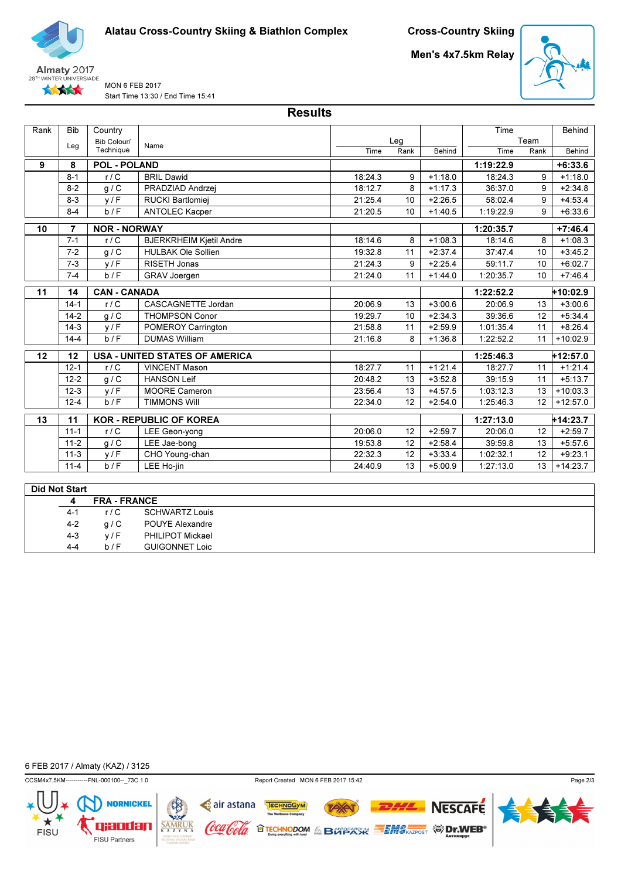

Men's 4x7.5km Relay



MON 6 FEB 2017 Start Time 13:30 / End Time 15:41

Results

| Rank | <b>Bib</b> | Country             |                                       |         |                 |           | Time      |      | Behind     |
|------|------------|---------------------|---------------------------------------|---------|-----------------|-----------|-----------|------|------------|
|      | Leg        | Bib Colour/         | Name                                  |         | Leg             |           |           | Team |            |
|      |            | Technique           |                                       | Time    | Rank            | Behind    | Time      | Rank | Behind     |
| 9    | 8          | <b>POL - POLAND</b> |                                       |         |                 |           | 1:19:22.9 |      | $+6:33.6$  |
|      | $8 - 1$    | r/C                 | <b>BRIL Dawid</b>                     | 18:24.3 | 9               | $+1:18.0$ | 18:24.3   | 9    | $+1:18.0$  |
|      | $8 - 2$    | g/C                 | PRADZIAD Andrzej                      | 18:12.7 | 8               | $+1:17.3$ | 36:37.0   | 9    | $+2:34.8$  |
|      | $8 - 3$    | V/F                 | RUCKI Bartlomiej                      | 21:25.4 | 10              | $+2:26.5$ | 58:02.4   | 9    | $+4:53.4$  |
|      | $8 - 4$    | b/F                 | <b>ANTOLEC Kacper</b>                 | 21:20.5 | 10 <sup>1</sup> | $+1:40.5$ | 1:19:22.9 | 9    | $+6:33.6$  |
| 10   | 7          | <b>NOR - NORWAY</b> |                                       |         |                 |           | 1:20:35.7 |      | $+7:46.4$  |
|      | $7 - 1$    | r/C                 | <b>BJERKRHEIM Kjetil Andre</b>        | 18:14.6 | 8               | $+1:08.3$ | 18:14.6   | 8    | $+1:08.3$  |
|      | $7 - 2$    | g/C                 | <b>HULBAK Ole Sollien</b>             | 19:32.8 | 11              | $+2:37.4$ | 37:47.4   | 10   | $+3:45.2$  |
|      | $7 - 3$    | V/F                 | RISETH Jonas                          | 21:24.3 | 9               | $+2:25.4$ | 59:11.7   | 10   | $+6:02.7$  |
|      | $7 - 4$    | b/F                 | <b>GRAV Joergen</b>                   | 21:24.0 | 11              | $+1:44.0$ | 1:20:35.7 | 10   | $+7:46.4$  |
| 11   | 14         | <b>CAN - CANADA</b> |                                       |         |                 |           | 1:22:52.2 |      | $+10:02.9$ |
|      | $14-1$     | r/C                 | CASCAGNETTE Jordan                    | 20:06.9 | 13              | $+3:00.6$ | 20:06.9   | 13   | $+3:00.6$  |
|      | $14-2$     | g/C                 | <b>THOMPSON Conor</b>                 | 19:29.7 | 10              | $+2:34.3$ | 39:36.6   | 12   | $+5:34.4$  |
|      | $14-3$     | y/F                 | POMEROY Carrington                    | 21:58.8 | 11              | $+2:59.9$ | 1:01:35.4 | 11   | $+8:26.4$  |
|      | $14 - 4$   | b/F                 | <b>DUMAS William</b>                  | 21:16.8 | 8               | $+1:36.8$ | 1:22:52.2 | 11   | $+10:02.9$ |
| 12   | 12         |                     | <b>USA - UNITED STATES OF AMERICA</b> |         |                 |           | 1:25:46.3 |      | $+12:57.0$ |
|      | $12 - 1$   | r/C                 | <b>VINCENT Mason</b>                  | 18:27.7 | 11              | $+1:21.4$ | 18:27.7   | 11   | $+1:21.4$  |
|      | $12 - 2$   | q/C                 | <b>HANSON Leif</b>                    | 20:48.2 | 13              | $+3:52.8$ | 39:15.9   | 11   | $+5:13.7$  |
|      | $12 - 3$   | v/F                 | <b>MOORE Cameron</b>                  | 23:56.4 | 13              | $+4:57.5$ | 1:03:12.3 | 13   | $+10:03.3$ |
|      | $12 - 4$   | b/F                 | <b>TIMMONS Will</b>                   | 22:34.0 | 12              | $+2:54.0$ | 1:25:46.3 | 12   | $+12:57.0$ |
| 13   | 11         |                     | <b>KOR - REPUBLIC OF KOREA</b>        |         |                 |           | 1:27:13.0 |      | $+14:23.7$ |
|      | $11 - 1$   | r/C                 | LEE Geon-yong                         | 20:06.0 | 12              | $+2:59.7$ | 20:06.0   | 12   | $+2:59.7$  |
|      | $11 - 2$   | g/C                 | LEE Jae-bong                          | 19:53.8 | 12              | $+2:58.4$ | 39:59.8   | 13   | $+5:57.6$  |
|      | $11-3$     | V/F                 | CHO Young-chan                        | 22:32.3 | 12              | $+3:33.4$ | 1:02:32.1 | 12   | $+9:23.1$  |
|      | $11 - 4$   | b/F                 | LEE Ho-jin                            | 24:40.9 | 13              | $+5:00.9$ | 1:27:13.0 | 13   | $+14:23.7$ |
|      |            |                     |                                       |         |                 |           |           |      |            |

| <b>Did Not Start</b> |         |                     |                       |  |
|----------------------|---------|---------------------|-----------------------|--|
|                      | 4       | <b>FRA - FRANCE</b> |                       |  |
|                      | $4 - 1$ | r/C                 | <b>SCHWARTZ Louis</b> |  |
|                      | $4 - 2$ | q/C                 | POUYE Alexandre       |  |
|                      | $4 - 3$ | V/F                 | PHILIPOT Mickael      |  |
|                      | $4 - 4$ | b/F                 | <b>GUIGONNET Loic</b> |  |

6 FEB 2017 / Almaty (KAZ) / 3125



× FISU

**NORNICKEL** 

qjaodan

FISU Partners

 $SAMRU$ </u>

**72X** 

**OTECHNODOM & BOTPACK SEMS AZPOST WIDERS** 

TECHNOGYM

**e** air astana

Coca Cola



**NESCAFE**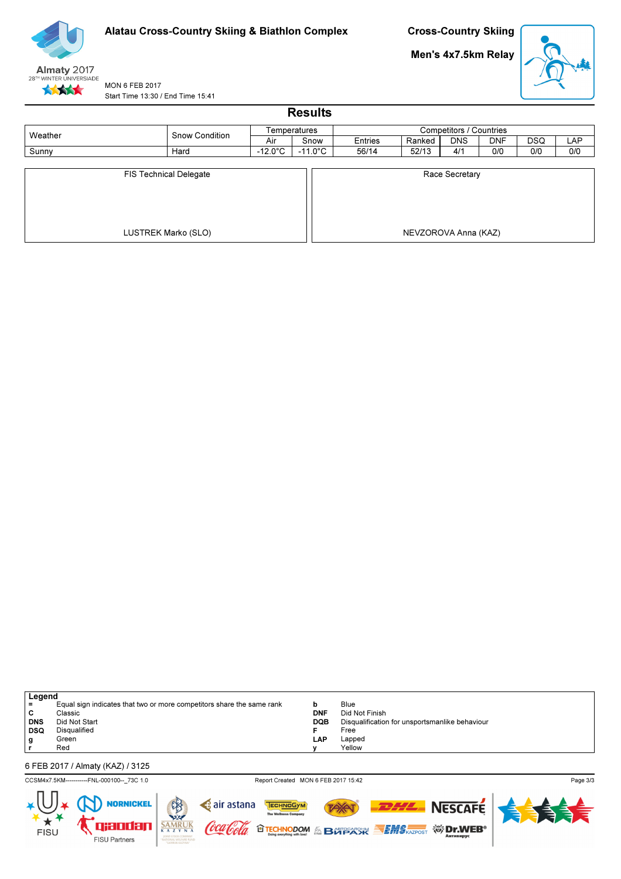

Men's 4x7.5km Relay



MON 6 FEB 2017 Start Time 13:30 / End Time 15:41

| <b>Results</b>                |                       |                   |                   |                         |        |                |            |            |            |  |
|-------------------------------|-----------------------|-------------------|-------------------|-------------------------|--------|----------------|------------|------------|------------|--|
| Weather                       |                       |                   | Temperatures      | Competitors / Countries |        |                |            |            |            |  |
|                               | <b>Snow Condition</b> | Air               | Snow              | Entries                 | Ranked | <b>DNS</b>     | <b>DNF</b> | <b>DSQ</b> | <b>LAP</b> |  |
| Sunny                         | Hard                  | $-12.0^{\circ}$ C | $-11.0^{\circ}$ C | 56/14                   | 52/13  | 4/1            | 0/0        | 0/0        | 0/0        |  |
| <b>FIS Technical Delegate</b> |                       |                   |                   |                         |        | Race Secretary |            |            |            |  |
|                               | LUSTREK Marko (SLO)   |                   |                   | NEVZOROVA Anna (KAZ)    |        |                |            |            |            |  |

| Legend     |                                                                       |            |                                                |  |  |  |  |  |  |
|------------|-----------------------------------------------------------------------|------------|------------------------------------------------|--|--|--|--|--|--|
| l =        | Equal sign indicates that two or more competitors share the same rank | b          | Blue                                           |  |  |  |  |  |  |
| C          | Classic                                                               | <b>DNF</b> | Did Not Finish                                 |  |  |  |  |  |  |
| <b>DNS</b> | Did Not Start                                                         | <b>DQB</b> | Disqualification for unsportsmanlike behaviour |  |  |  |  |  |  |
| DSQ        | Disqualified                                                          |            | Free                                           |  |  |  |  |  |  |
| g          | Green                                                                 | LAP        | Lapped                                         |  |  |  |  |  |  |
|            | Red                                                                   |            | Yellow                                         |  |  |  |  |  |  |
|            |                                                                       |            |                                                |  |  |  |  |  |  |
|            | 6 FEB 2017 / Almaty (KAZ) / 3125                                      |            |                                                |  |  |  |  |  |  |

CCSM4x7.5KM------------FNL-000100--\_73C 1.0 Report Created MON 6 FEB 2017 15:42

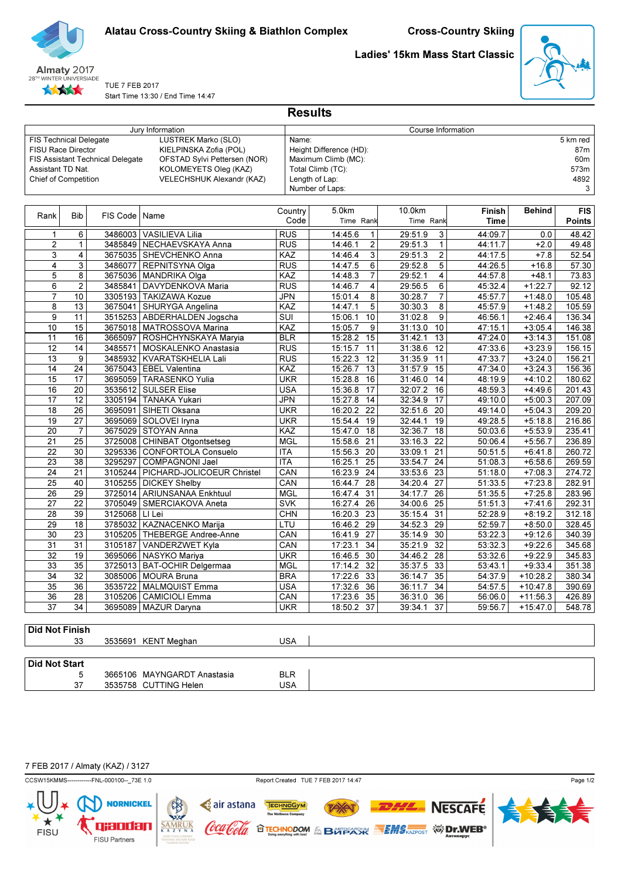



# TUE 7 FEB 2017

Ladies' 15km Mass Start Classic



Start Time 13:30 / End Time 14:47

|                               |                 |                                         | Jury Information                     |                  |                           | Course Information        |               |               |               |
|-------------------------------|-----------------|-----------------------------------------|--------------------------------------|------------------|---------------------------|---------------------------|---------------|---------------|---------------|
| <b>FIS Technical Delegate</b> |                 |                                         | LUSTREK Marko (SLO)                  | Name:            |                           |                           |               |               | 5 km red      |
| <b>FISU Race Director</b>     |                 |                                         | KIELPINSKA Zofia (POL)               |                  | Height Difference (HD):   |                           |               |               | 87m           |
|                               |                 | <b>FIS Assistant Technical Delegate</b> | OFSTAD Sylvi Pettersen (NOR)         |                  | Maximum Climb (MC):       |                           |               |               | 60m           |
| Assistant TD Nat.             |                 |                                         | KOLOMEYETS Oleg (KAZ)                |                  | Total Climb (TC):         |                           |               |               | 573m          |
| <b>Chief of Competition</b>   |                 |                                         | VELECHSHUK Alexandr (KAZ)            |                  | Length of Lap:            |                           |               |               | 4892          |
|                               |                 |                                         |                                      |                  | Number of Laps:           |                           |               |               | 3             |
|                               |                 |                                         |                                      |                  |                           |                           |               |               |               |
| Rank                          | <b>Bib</b>      | FIS Code   Name                         |                                      | Country          | 5.0km                     | 10.0km                    | <b>Finish</b> | <b>Behind</b> | <b>FIS</b>    |
|                               |                 |                                         |                                      | Code             | Time Rank                 | Time Rank                 | <b>Time</b>   |               | <b>Points</b> |
| 1                             | 6               | 3486003                                 | <b>VASILIEVA Lilia</b>               | <b>RUS</b>       | 14:45.6<br>1              | 29:51.9<br>3              | 44:09.7       | 0.0           | 48.42         |
| $\overline{2}$                | $\mathbf{1}$    | 3485849                                 | NECHAEVSKAYA Anna                    | <b>RUS</b>       | $\overline{c}$<br>14:46.1 | $\mathbf{1}$<br>29:51.3   | 44:11.7       | $+2.0$        | 49.48         |
| 3                             | 4               | 3675035                                 | SHEVCHENKO Anna                      | KAZ              | 3<br>14:46.4              | $\overline{c}$<br>29:51.3 | 44:17.5       | $+7.8$        | 52.54         |
| 4                             | 3               | 3486077                                 | REPNITSYNA Olga                      | <b>RUS</b>       | 6<br>14:47.5              | 5<br>29:52.8              | 44:26.5       | $+16.8$       | 57.30         |
| $\overline{5}$                | 8               | 3675036                                 | <b>MANDRIKA Olga</b>                 | KAZ              | $\overline{7}$<br>14:48.3 | 29:52.1<br>4              | 44:57.8       | $+48.1$       | 73.83         |
| 6                             | $\overline{2}$  | 3485841                                 | DAVYDENKOVA Maria                    | <b>RUS</b>       | 14:46.7<br>4              | 29:56.5<br>6              | 45:32.4       | $+1:22.7$     | 92.12         |
| $\overline{7}$                | 10              |                                         | 3305193 TAKIZAWA Kozue               | <b>JPN</b>       | 8<br>15:01.4              | $\overline{7}$<br>30:28.7 | 45:57.7       | $+1:48.0$     | 105.48        |
| 8                             | 13              | 3675041                                 | SHURYGA Angelina                     | KAZ              | 5<br>14:47.1              | 8<br>30:30.3              | 45:57.9       | $+1:48.2$     | 105.59        |
| $\overline{9}$                | 11              | 3515253                                 | ABDERHALDEN Jogscha                  | $\overline{SUI}$ | 10<br>15:06.1             | 31:02.8<br>9              | 46:56.1       | $+2:46.4$     | 136.34        |
| 10                            | $\overline{15}$ | 3675018                                 | <b>MATROSSOVA Marina</b>             | KAZ              | 9<br>15:05.7              | 10<br>31:13.0             | 47:15.1       | $+3:05.4$     | 146.38        |
| 11                            | 16              | 3665097                                 | ROSHCHYNSKAYA Maryia                 | <b>BLR</b>       | 15<br>15:28.2             | 31:42.1<br>13             | 47:24.0       | $+3:14.3$     | 151.08        |
| 12                            | 14              | 3485571                                 | MOSKALENKO Anastasia                 | <b>RUS</b>       | 15:15.7<br>11             | 31:38.6<br>12             | 47:33.6       | $+3:23.9$     | 156.15        |
| 13                            | 9               | 3485932                                 | KVARATSKHELIA Lali                   | <b>RUS</b>       | 15:22.3<br>12             | 31:35.9<br>11             | 47:33.7       | $+3:24.0$     | 156.21        |
| 14                            | 24              | 3675043                                 | <b>EBEL Valentina</b>                | KAZ              | 15:26.7<br>13             | 31:57.9<br>15             | 47:34.0       | $+3:24.3$     | 156.36        |
| 15                            | 17              | 3695059                                 | <b>TARASENKO Yulia</b>               | <b>UKR</b>       | 15:28.8<br>16             | 31:46.0<br>14             | 48:19.9       | $+4:10.2$     | 180.62        |
| 16                            | 20              | 3535612                                 | <b>SULSER Elise</b>                  | <b>USA</b>       | 17<br>15:36.8             | 32:07.2<br>16             | 48:59.3       | $+4:49.6$     | 201.43        |
| 17                            | 12              | 3305194                                 | <b>TANAKA Yukari</b>                 | <b>JPN</b>       | 15:27.8<br>14             | 32:34.9<br>17             | 49:10.0       | $+5:00.3$     | 207.09        |
| 18                            | 26              | 3695091                                 | SIHETI Oksana                        | <b>UKR</b>       | 22<br>16:20.2             | 32:51.6<br>20             | 49:14.0       | $+5:04.3$     | 209.20        |
| 19                            | 27              |                                         | 3695069   SOLOVEI Iryna              | <b>UKR</b>       | 19<br>15:54.4             | 32:44.1<br>19             | 49:28.5       | $+5:18.8$     | 216.86        |
| 20                            | $\overline{7}$  | 3675029                                 | <b>STOYAN Anna</b>                   | KAZ              | 15:47.0<br>18             | 32:36.7<br>18             | 50:03.6       | $+5:53.9$     | 235.41        |
| 21                            | 25              | 3725008                                 | <b>CHINBAT Otgontsetseg</b>          | <b>MGL</b>       | 21<br>15:58.6             | 22<br>33:16.3             | 50:06.4       | $+5:56.7$     | 236.89        |
| 22                            | 30              | 3295336                                 | <b>CONFORTOLA Consuelo</b>           | <b>ITA</b>       | 15:56.3<br>20             | 33:09.1<br>21             | 50:51.5       | $+6:41.8$     | 260.72        |
| 23                            | 38              | 3295297                                 | <b>COMPAGNONI Jael</b>               | <b>ITA</b>       | 16:25.1<br>25             | 33:54.7<br>24             | 51:08.3       | $+6:58.6$     | 269.59        |
| $\overline{24}$               | $\overline{21}$ |                                         | 3105244   PICHARD-JOLICOEUR Christel | CAN              | 16:23.9<br>24             | 33:53.6<br>23             | 51:18.0       | $+7:08.3$     | 274.72        |

**Results** 

| Did Not Finish |  |  |
|----------------|--|--|
|                |  |  |

**FISU** 

| 33 | 3535691 KENT Meghan | USA. |
|----|---------------------|------|

3725013 BAT-OCHIR Delgermaa

3535722 MALMQUIST Emma

3105187 VANDERZWET Kyla CAN 17:23.1 34 35:21.9 32

| Did Not Start |                       |            |            |
|---------------|-----------------------|------------|------------|
|               | 3665106 MAYNGARDT     | ʿAnastasia | <b>BLR</b> |
| $\sim$        | 3535758 CUTTING Helen |            | USA        |

25 40 3105255 DICKEY Shelby CAN 16:44.7 28 34:20.4 27 51:33.5 +7:23.8 282.91<br>26 29 3725014 ARIUNSANAA Frikhtiuul MGL 16:47 4 31 34:17 7 26 51:35.5 +7:25.8 283.96 26 29 3725014 ARIUNSANAA Enkhtuul MGL 16:47.4 31 34:17.7 26 51:35.5 +7:25.8 283.96 27 22 SMERCIAKOVA Aneta SVK 3705049 16:27.4 26 34:00.6 25 51:51.3 +7:41.6 292.31

32 19 3695066 NASYKO Mariya UKR 16:46.5 30 34:46.2 28 53:32.6 +9:22.9 345.83<br>33 35 3725013 BAT-OCHIR Delgermaa MGL 17:14.2 32 35:37.5 33 53:43.1 +9:33.4 351.38

34 32 MOURA Bruna BRA 3085006 17:22.6 33 36:14.7 35 54:37.9 +10:28.2 380.34

36 28 3105206 CAMICIOLI Emma CAN 17:23.6 35 36:31.0 36 56:06.0 +11:56.3 426.89 37 34 MAZUR Daryna UKR 3695089 18:50.2 37 39:34.1 37 59:56.7 +15:47.0 548.78

28 39 LI Lei CHN 3125068 16:20.3 23 35:15.4 31 52:28.9 +8:19.2 312.18 29 18 KAZNACENKO Marija LTU 3785032 16:46.2 29 34:52.3 29 52:59.7 +8:50.0 328.45 30 23 3105205 THEBERGE Andree-Anne CAN 16:41.9 27 35:14.9 30 53:22.3 +9:12.6 340.39<br>31 31 3105187 VANDERZWET Kyla CAN 17:23.1 34 35:21.9 32 53:32.3 +9:22.6 345.68

7 FEB 2017 / Almaty (KAZ) / 3127



qxodan

FISU Partners

**TECHNODOM & BUPSACK SEMS KAZPOST ※ Dr.WEB**®

TECHNOGYM



**NESCAFE** 

Page 1/2

Coca Cola

 $**SAMRUK**$ <sub>K A Z Y N A</sub></u>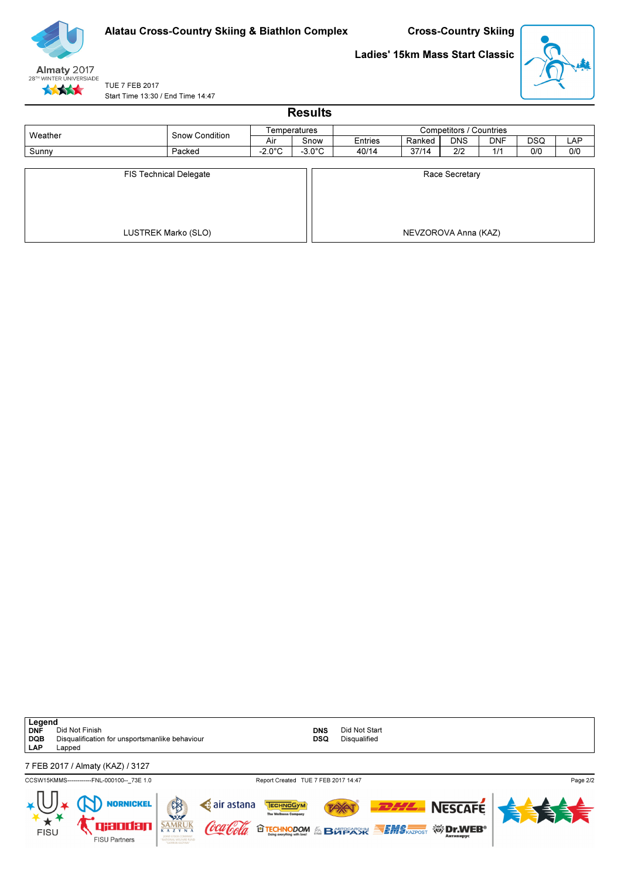

Ladies' 15km Mass Start Classic



TUE 7 FEB 2017 Start Time 13:30 / End Time 14:47

| <b>Results</b>                |                     |                  |                  |                         |                      |            |            |            |     |  |  |
|-------------------------------|---------------------|------------------|------------------|-------------------------|----------------------|------------|------------|------------|-----|--|--|
| Weather                       | Snow Condition      | Temperatures     |                  | Competitors / Countries |                      |            |            |            |     |  |  |
|                               |                     | Air              | Snow             | Entries                 | Ranked               | <b>DNS</b> | <b>DNF</b> | <b>DSQ</b> | LAP |  |  |
| Sunny                         | Packed              | $-2.0^{\circ}$ C | $-3.0^{\circ}$ C | 40/14                   | 37/14                | 2/2        | 1/1        | 0/0        | 0/0 |  |  |
| <b>FIS Technical Delegate</b> |                     |                  |                  | Race Secretary          |                      |            |            |            |     |  |  |
|                               | LUSTREK Marko (SLO) |                  |                  |                         | NEVZOROVA Anna (KAZ) |            |            |            |     |  |  |

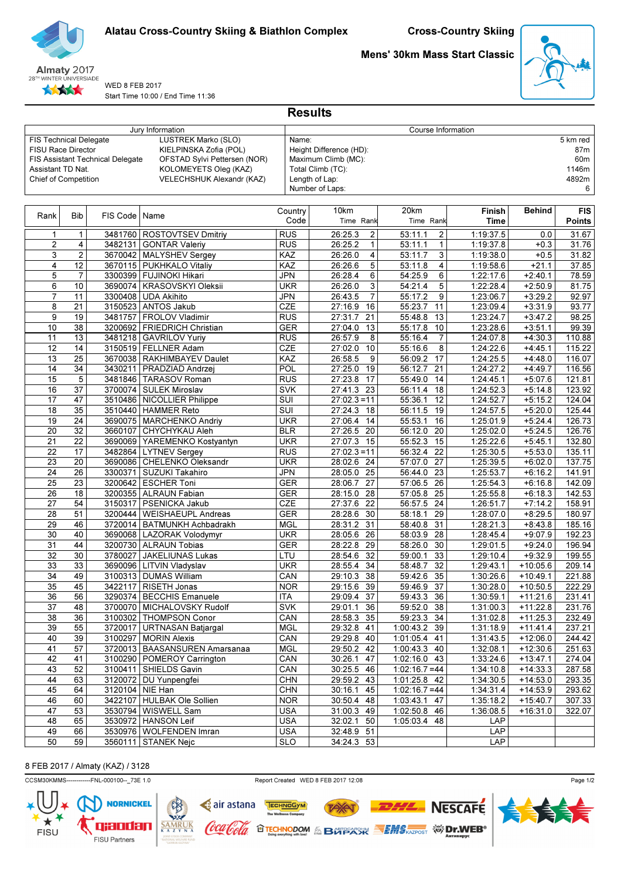



#### WED 8 FEB 2017 Start Time 10:00 / End Time 11:36

Mens' 30km Mass Start Classic



|                               | Jury Information |                                         |                                 |            |                           | Course Information           |                        |                        |                 |
|-------------------------------|------------------|-----------------------------------------|---------------------------------|------------|---------------------------|------------------------------|------------------------|------------------------|-----------------|
| <b>FIS Technical Delegate</b> |                  |                                         | LUSTREK Marko (SLO)             | Name:      |                           |                              |                        |                        | 5 km red        |
| FISU Race Director            |                  |                                         | KIELPINSKA Zofia (POL)          |            | Height Difference (HD):   |                              |                        |                        | 87m             |
|                               |                  | <b>FIS Assistant Technical Delegate</b> | OFSTAD Sylvi Pettersen (NOR)    |            | Maximum Climb (MC):       |                              |                        |                        | 60 <sub>m</sub> |
| Assistant TD Nat.             |                  |                                         | KOLOMEYETS Oleg (KAZ)           |            | Total Climb (TC):         |                              |                        |                        | 1146m           |
| Chief of Competition          |                  |                                         | VELECHSHUK Alexandr (KAZ)       |            | Length of Lap:            |                              |                        |                        | 4892m           |
|                               |                  |                                         |                                 |            | Number of Laps:           |                              |                        |                        | 6               |
|                               |                  |                                         |                                 |            |                           |                              |                        |                        |                 |
|                               |                  |                                         |                                 | Country    | 10km                      | 20km                         | Finish                 | <b>Behind</b>          | <b>FIS</b>      |
| Rank                          | <b>Bib</b>       | FIS Code                                | Name                            | Code       | Time Rank                 | Time Rank                    | Time                   |                        | <b>Points</b>   |
|                               | $\mathbf{1}$     |                                         |                                 | <b>RUS</b> |                           | 53:11.1                      |                        | 0.0                    | 31.67           |
| $\mathbf{1}$                  |                  | 3482131                                 | 3481760   ROSTOVTSEV Dmitriy    | <b>RUS</b> | 26:25.3<br>2<br>1         | 2<br>53:11.1<br>$\mathbf{1}$ | 1:19:37.5<br>1:19:37.8 |                        | 31.76           |
| 2                             | 4                |                                         | <b>GONTAR Valeriy</b>           |            | 26:25.2                   |                              |                        | $+0.3$                 |                 |
| 3                             | $\overline{2}$   |                                         | 3670042   MALYSHEV Sergey       | KAZ        | 26:26.0<br>4              | 3<br>53:11.7                 | 1:19:38.0              | $+0.5$                 | 31.82           |
| 4                             | 12               | 3670115                                 | <b>PUKHKALO Vitaliy</b>         | KAZ        | 26:26.6<br>5              | 53:11.8<br>4                 | 1:19:58.6              | $+21.1$                | 37.85           |
| 5                             | $\overline{7}$   |                                         | 3300399   FUJINOKI Hikari       | <b>JPN</b> | 26:28.4<br>6              | 6<br>54:25.9                 | 1:22:17.6              | $+2:40.1$              | 78.59           |
| 6                             | 10               |                                         | 3690074   KRASOVSKYI Oleksii    | <b>UKR</b> | 26:26.0<br>3              | 5<br>54:21.4                 | 1:22:28.4              | $+2:50.9$              | 81.75           |
| $\overline{7}$                | 11               | 3300408                                 | <b>UDA Akihito</b>              | <b>JPN</b> | $\overline{7}$<br>26:43.5 | 55:17.2<br>9                 | 1:23:06.7              | $+3:29.2$              | 92.97           |
| 8                             | 21               |                                         | 3150523 ANTOS Jakub             | CZE        | 16<br>27:16.9             | 11<br>55:23.7                | 1:23:09.4              | $+3:31.9$              | 93.77           |
| 9                             | 19               | 3481757                                 | FROLOV Vladimir                 | <b>RUS</b> | 27:31.7<br>21             | $\overline{13}$<br>55:48.8   | 1:23:24.7              | $+3:47.2$              | 98.25           |
| 10                            | 38               | 3200692                                 | FRIEDRICH Christian             | <b>GER</b> | 27:04.0<br>13             | 55:17.8<br>10                | 1:23:28.6              | $+3:51.1$              | 99.39           |
| 11                            | 13               | 3481218                                 | GAVRILOV Yuriy                  | <b>RUS</b> | 26:57.9<br>8              | 55:16.4<br>7                 | 1:24:07.8              | $+4:30.3$              | 110.88          |
| 12                            | 14               |                                         | 3150519 FELLNER Adam            | CZE        | 27:02.0<br>10             | 55:16.6<br>8                 | 1:24:22.6              | $+4:45.1$              | 115.22          |
| 13                            | 25               |                                         | 3670038   RAKHIMBAYEV Daulet    | KAZ        | 26:58.5<br>9              | 56:09.2<br>17                | 1:24:25.5              | $+4:48.0$              | 116.07          |
| 14                            | 34               | 3430211                                 | PRADZIAD Andrzei                | <b>POL</b> | 27:25.0<br>19             | 21<br>56:12.7                | 1:24:27.2              | $+4:49.7$              | 116.56          |
| 15                            | 5                | 3481846                                 | <b>TARASOV Roman</b>            | <b>RUS</b> | 27:23.8<br>17             | 55:49.0<br>14                | 1:24:45.1              | $+5:07.6$              | 121.81          |
| 16                            | 37               | 3700074                                 | SULEK Miroslav                  | <b>SVK</b> | 27:41.3<br>23             | 56:11.4<br>18                | 1:24:52.3              | $+5:14.8$              | 123.92          |
| 17                            | 47               |                                         | 3510486 NICOLLIER Philippe      | <b>SUT</b> | $27:02.3=11$              | 55:36.1<br>12                | 1:24:52.7              | $+5:15.2$              | 124.04          |
| 18                            | 35               |                                         | 3510440 HAMMER Reto             | SUI        | 27:24.3<br>18             | 56:11.5<br>19                | 1:24:57.5              | $+5:20.0$              | 125.44          |
| 19                            | 24               | 3690075                                 | MARCHENKO Andriy                | <b>UKR</b> | 27:06.4<br>14             | 55:53.1<br>16                | 1:25:01.9              | $+5:24.4$              | 126.73          |
| 20                            | 32               | 3660107                                 | CHYCHYKAU Aleh                  | <b>BLR</b> | 27:26.5<br>20             | $\overline{20}$<br>56:12.0   | 1:25:02.0              | $+5:24.5$              | 126.76          |
| 21                            | 22               |                                         | 3690069 YAREMENKO Kostyantyn    | <b>UKR</b> | 27:07.3<br>15             | 55:52.3<br>15                | 1:25:22.6              | $+5:45.1$              | 132.80          |
| $\overline{22}$               | 17               | 3482864                                 | <b>LYTNEV Sergey</b>            | <b>RUS</b> | $\overline{27:02.3} = 11$ | 56:32.4<br>22                | 1:25:30.5              | $+5:53.0$              | 135.11          |
| 23                            | 20               |                                         | 3690086   CHELENKO Oleksandr    | <b>UKR</b> | 28:02.6 24                | 27<br>57:07.0                | 1:25:39.5              | $+6:02.0$              | 137.75          |
| 24                            | 26               | 3300371                                 | SUZUKI Takahiro                 | <b>JPN</b> | 28:05.0<br>25             | 56:44.0<br>23                | 1:25:53.7              | $+6:16.2$              | 141.91          |
| 25                            | $\overline{23}$  |                                         | 3200642   ESCHER Toni           | <b>GER</b> | 28:06.7<br>27             | 26<br>57:06.5                | 1:25:54.3              | $+6:16.8$              | 142.09          |
| 26                            | 18               |                                         | 3200355 ALRAUN Fabian           | <b>GER</b> | 28:15.0<br>28             | 25<br>57:05.8                | 1:25:55.8              | $+6:18.3$              | 142.53          |
| 27                            | 54               |                                         | 3150317   PSENICKA Jakub        | CZE        | 27:37.6<br>22             | 56:57.5<br>24                | 1:26:51.7              | $+7:14.2$              | 158.91          |
| 28                            | 51               | 3200444                                 | <b>WEISHAEUPL Andreas</b>       | <b>GER</b> | 28:28.6<br>30             | 58:18.1<br>29                | 1:28:07.0              | $+8:29.5$              | 180.97          |
|                               |                  |                                         |                                 |            |                           |                              |                        |                        |                 |
| 29                            | 46               | 3720014                                 | <b>BATMUNKH Achbadrakh</b>      | <b>MGL</b> | 28:31.2<br>31             | 58:40.8<br>31                | 1:28:21.3              | $+8:43.8$<br>$+9:07.9$ | 185.16          |
| 30                            | 40               |                                         | 3690068   LAZORAK Volodymyr     | <b>UKR</b> | 28:05.6<br>26             | 58:03.9<br>28                | 1:28:45.4              |                        | 192.23          |
| 31                            | 44               |                                         | 3200730 ALRAUN Tobias           | <b>GER</b> | 28:22.8<br>29             | 58:26.0<br>30                | 1:29:01.5              | $+9:24.0$              | 196.94          |
| 32                            | 30               | 3780027                                 | JAKELIUNAS Lukas                | LTU        | 32<br>28:54.6             | 33<br>59:00.1                | 1:29:10.4              | $+9:32.9$              | 199.55          |
| 33                            | 33               |                                         | 3690096   LITVIN Vladyslav      | <b>UKR</b> | 28:55.4<br>34             | 58:48.7<br>32                | 1:29:43.1              | $+10:05.6$             | 209.14          |
| 34                            | 49               |                                         | 3100313   DUMAS William         | CAN        | 29:10.3<br>38             | 35<br>59:42.6                | 1:30:26.6              | $+10:49.1$             | 221.88          |
| 35                            | 45               | 3422117                                 | <b>RISETH Jonas</b>             | <b>NOR</b> | 39<br>29:15.6             | 37<br>59:46.9                | 1:30:28.0              | $+10:50.5$             | 222.29          |
| 36                            | 56               |                                         | 3290374   BECCHIS Emanuele      | ITA        | 29:09.4 37                | $\overline{59:43.3}$ 36      | 1:30:59.1              | $+11:21.6$             | 231.41          |
| 37                            | 48               |                                         | 3700070   MICHALOVSKY Rudolf    | <b>SVK</b> | 29:01.1 36                | 59:52.0 38                   | 1:31:00.3              | $+11:22.8$             | 231.76          |
| 38                            | 36               |                                         | 3100302 THOMPSON Conor          | CAN        | 28:58.3 35                | 59:23.3 34                   | 1:31:02.8              | $+11:25.3$             | 232.49          |
| 39                            | 55               |                                         | 3720017   URTNASAN Batjargal    | <b>MGL</b> | 29:32.8 41                | 1:00:43.2 39                 | 1:31:18.9              | $+11:41.4$             | 237.21          |
| 40                            | $\overline{39}$  |                                         | 3100297 MORIN Alexis            | CAN        | 29:29.8 40                | 1:01:05.4 41                 | 1:31:43.5              | $+12:06.0$             | 244.42          |
| 41                            | 57               |                                         | 3720013   BAASANSUREN Amarsanaa | <b>MGL</b> | 29:50.2 42                | 1:00:43.3 40                 | 1:32:08.1              | $+12:30.6$             | 251.63          |
| 42                            | 41               |                                         | 3100290   POMEROY Carrington    | CAN        | 30:26.1<br>47             | 1:02:16.0 43                 | 1:33:24.6              | $+13:47.1$             | 274.04          |
| 43                            | 52               |                                         | 3100411 SHIELDS Gavin           | CAN        | 30:25.5 46                | $1:02:16.7=44$               | 1:34:10.8              | $+14:33.3$             | 287.58          |
| 44                            | 63               |                                         | 3120072   DU Yunpengfei         | <b>CHN</b> | 29:59.2 43                | 1:01:25.8 42                 | 1:34:30.5              | $+14:53.0$             | 293.35          |
| 45                            | 64               | 3120104 NIE Han                         |                                 | <b>CHN</b> | 30:16.1 45                | $1:02:16.7=44$               | 1:34:31.4              | $+14:53.9$             | 293.62          |
| 46                            | 60               |                                         | 3422107   HULBAK Ole Sollien    | <b>NOR</b> | 30:50.4 48                | 1:03:43.1 47                 | 1:35:18.2              | $+15:40.7$             | 307.33          |
| 47                            | 53               |                                         | 3530794   WISWELL Sam           | <b>USA</b> | 31:00.3 49                | 1:02:50.8 46                 | 1:36:08.5              | $+16:31.0$             | 322.07          |
| 48                            | 65               |                                         | 3530972   HANSON Leif           | <b>USA</b> | 32:02.1 50                | 1:05:03.4 48                 | LAP                    |                        |                 |
| 49                            | 66               |                                         | 3530976   WOLFENDEN Imran       | <b>USA</b> | 32:48.9 51                |                              | LAP                    |                        |                 |
| 50                            | 59               |                                         | 3560111   STANEK Nejc           | <b>SLO</b> | 34:24.3 53                |                              | <b>LAP</b>             |                        |                 |

**Results** 

# 8 FEB 2017 / Almaty (KAZ) / 3128

CCSM30KMMS-------------FNL-000100--\_73E 1.0 Report Created WED 8 FEB 2017 12:08

FISU



TAX

**O TECHNODOM & BOTPARK SEMS AZPOST WIDERS** 

TECHNOGYM

air astana

Coca Cola

Page 1/2



**NESCAFE**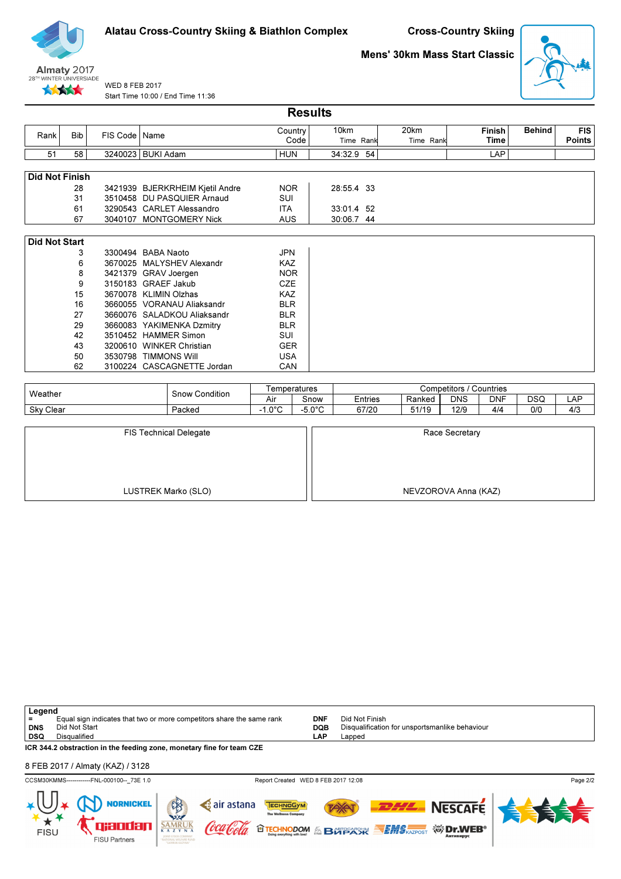

Cross-Country Skiing

# Mens' 30km Mass Start Classic



WED 8 FEB 2017 Start Time 10:00 / End Time 11:36

|                       | <b>Results</b> |                 |                                 |                 |                   |                   |                       |               |                             |  |  |  |  |  |
|-----------------------|----------------|-----------------|---------------------------------|-----------------|-------------------|-------------------|-----------------------|---------------|-----------------------------|--|--|--|--|--|
| Rank                  | <b>Bib</b>     | FIS Code   Name |                                 | Country<br>Code | 10km<br>Time Rank | 20km<br>Time Rank | <b>Finish</b><br>Time | <b>Behind</b> | <b>FIS</b><br><b>Points</b> |  |  |  |  |  |
| 51                    | 58             |                 | 3240023   BUKI Adam             | <b>HUN</b>      | 34:32.9<br>54     |                   | LAP                   |               |                             |  |  |  |  |  |
|                       |                |                 |                                 |                 |                   |                   |                       |               |                             |  |  |  |  |  |
| <b>Did Not Finish</b> |                |                 |                                 |                 |                   |                   |                       |               |                             |  |  |  |  |  |
|                       | 28             |                 | 3421939 BJERKRHEIM Kjetil Andre | <b>NOR</b>      | 28:55.4 33        |                   |                       |               |                             |  |  |  |  |  |
|                       | 31             |                 | 3510458 DU PASQUIER Arnaud      | SUI             |                   |                   |                       |               |                             |  |  |  |  |  |
|                       | 61             |                 | 3290543 CARLET Alessandro       | <b>ITA</b>      | 33:01.4 52        |                   |                       |               |                             |  |  |  |  |  |
|                       | 67             |                 | 3040107 MONTGOMERY Nick         | <b>AUS</b>      | 30:06.7 44        |                   |                       |               |                             |  |  |  |  |  |
|                       |                |                 |                                 |                 |                   |                   |                       |               |                             |  |  |  |  |  |
| <b>Did Not Start</b>  |                |                 |                                 |                 |                   |                   |                       |               |                             |  |  |  |  |  |
|                       | 3              |                 | 3300494 BABA Naoto              | <b>JPN</b>      |                   |                   |                       |               |                             |  |  |  |  |  |
|                       | 6              | 3670025         | MALYSHEV Alexandr               | <b>KAZ</b>      |                   |                   |                       |               |                             |  |  |  |  |  |
|                       | 8              |                 | 3421379 GRAV Joergen            | <b>NOR</b>      |                   |                   |                       |               |                             |  |  |  |  |  |
|                       | 9              |                 | 3150183 GRAEF Jakub             | <b>CZE</b>      |                   |                   |                       |               |                             |  |  |  |  |  |
|                       | 15             |                 | 3670078 KLIMIN Olzhas           | KAZ             |                   |                   |                       |               |                             |  |  |  |  |  |
|                       | 16             |                 | 3660055 VORANAU Aliaksandr      | <b>BLR</b>      |                   |                   |                       |               |                             |  |  |  |  |  |
|                       | 27             |                 | 3660076 SALADKOU Aliaksandr     | <b>BLR</b>      |                   |                   |                       |               |                             |  |  |  |  |  |
|                       | 29             |                 | 3660083 YAKIMENKA Dzmitry       | <b>BLR</b>      |                   |                   |                       |               |                             |  |  |  |  |  |
|                       | 42             |                 | 3510452 HAMMER Simon            | SUI             |                   |                   |                       |               |                             |  |  |  |  |  |
|                       | 43             |                 | 3200610 WINKER Christian        | <b>GER</b>      |                   |                   |                       |               |                             |  |  |  |  |  |
|                       | 50             | 3530798         | <b>TIMMONS Will</b>             | <b>USA</b>      |                   |                   |                       |               |                             |  |  |  |  |  |
|                       | 62             |                 | 3100224 CASCAGNETTE Jordan      | CAN             |                   |                   |                       |               |                             |  |  |  |  |  |

| Weather   | Condition<br>Snow |               | Γemperatures | Countries <sup>:</sup><br>Competitors |        |            |            |     |     |  |  |  |
|-----------|-------------------|---------------|--------------|---------------------------------------|--------|------------|------------|-----|-----|--|--|--|
|           |                   | . .<br>Aır    | Snow         | Entries                               | Ranked | <b>DNS</b> | <b>DNF</b> | DSQ | LAF |  |  |  |
| Sky Clear | Packed            | $\sim$<br>ں . | $\sim$       | 67/20                                 | 51/19  | 12/9       | 4/4        | 0/0 | 4/3 |  |  |  |

| FIS Technical Delegate | Race Secretary       |
|------------------------|----------------------|
|                        |                      |
|                        |                      |
|                        |                      |
| LUSTREK Marko (SLO)    | NEVZOROVA Anna (KAZ) |

| Legend<br><b>DNS</b><br>Did Not Start<br>Disqualified<br>DSQ | Equal sign indicates that two or more competitors share the same rank |                                                                 |            |                                                     | <b>DNF</b><br><b>DQB</b><br>LAP | Did Not Finish<br>Disqualification for unsportsmanlike behaviour<br>Lapped |                                                      |          |  |  |  |  |
|--------------------------------------------------------------|-----------------------------------------------------------------------|-----------------------------------------------------------------|------------|-----------------------------------------------------|---------------------------------|----------------------------------------------------------------------------|------------------------------------------------------|----------|--|--|--|--|
|                                                              | ICR 344.2 obstraction in the feeding zone, monetary fine for team CZE |                                                                 |            |                                                     |                                 |                                                                            |                                                      |          |  |  |  |  |
|                                                              | 8 FEB 2017 / Almaty (KAZ) / 3128                                      |                                                                 |            |                                                     |                                 |                                                                            |                                                      |          |  |  |  |  |
|                                                              | CCSM30KMMS-------------FNL-000100-- 73E 1.0                           |                                                                 |            | Report Created WED 8 FEB 2017 12:08                 |                                 |                                                                            |                                                      | Page 2/2 |  |  |  |  |
| <b>FISU</b>                                                  | <b>ORNICKEL</b><br>q;aodan<br><b>FISU Partners</b>                    | <b>REA</b><br><b>SAMRUK</b><br><b>KAZYNA</b><br>"SAMRUK-KAZYNA" | air astana | <b>ECHNOGYM</b><br><b>O TECHNODOM &amp; BUTPANK</b> | 74 YA 5                         | 2H<br><b>EMS</b> MENT                                                      | <b>NESCAFE</b><br><b>等Dr.WEB</b><br><b>Антивирус</b> |          |  |  |  |  |